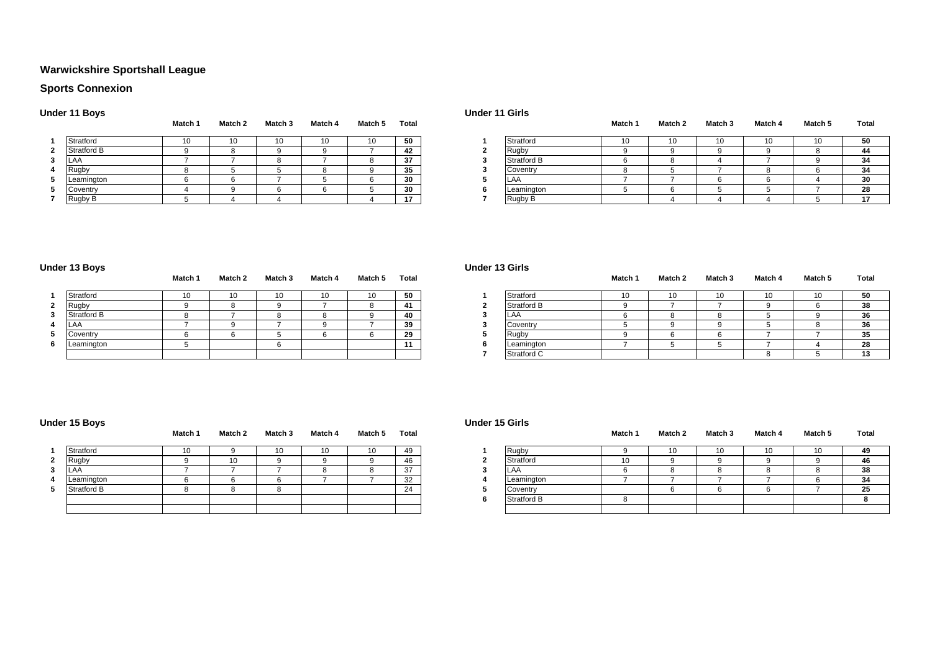# **Warwickshire Sportshall League**

# **Sports Connexion**

### **Under 11 Boys**

|                | - - -              |         |         |         |         |         |       |   |
|----------------|--------------------|---------|---------|---------|---------|---------|-------|---|
|                |                    | Match 1 | Match 2 | Match 3 | Match 4 | Match 5 | Total |   |
| 1              | Stratford          | 10      | 10      | 10      | 10      | 10      | 50    |   |
| $\mathbf{2}$   | <b>Stratford B</b> |         |         |         |         |         | 42    |   |
| 3              | LAA                |         |         |         |         |         | 37    |   |
| $\overline{4}$ | Rugby              |         |         |         |         |         | 35    |   |
| 5              | Leamington         |         |         |         |         |         | 30    |   |
| 5              | Coventry           |         |         |         | а       |         | 30    | 6 |
| 7              | Rugby B            |         |         |         |         |         | 17    |   |

|             | Match 1 | Match 2 | <b>Match 3</b> | Match 4 | Match 5 | Total                 |             | Match 1 | Match 2 | Match 3 | Match 4 | Match 5 | Total         |
|-------------|---------|---------|----------------|---------|---------|-----------------------|-------------|---------|---------|---------|---------|---------|---------------|
| Stratford   | טו      | 10      | 10             | 10      |         | 50<br>ູບ              | Stratford   | 10      | 10      | 10      |         | 10      | 50            |
| Stratford B |         |         |                |         |         | 42                    | <b>Rugb</b> |         |         |         |         |         | 44            |
| .LAA        |         |         |                |         |         | 37                    | Stratford B |         |         |         |         |         | 34            |
| Rugby       |         |         |                |         |         | 35<br>ູ               | Coventry    |         |         |         |         |         | 34            |
| Leamington  |         |         |                |         |         | 20<br>οU              | LAA         |         |         |         |         |         | 30            |
| Coventry    |         |         |                |         |         | 30                    | Leamington  |         |         |         |         |         | 28            |
| Rugby B     |         |         |                |         |         | -45<br>$\blacksquare$ | Rugby B     |         |         |         |         |         | $\rightarrow$ |

### **Under 13 Boys**

|          | --                 | Match 1 | Match 2 | Match 3 | Match 4 | Match 5 | Total |             | Match 1 | Match 2 | Match 3 | Match 4 | Match 5 | Tot |
|----------|--------------------|---------|---------|---------|---------|---------|-------|-------------|---------|---------|---------|---------|---------|-----|
|          | Stratford          | 10      | 10      |         | 10      | 10      | 50    | Stratford   |         | 10.     | 10      | ιv      | 10      | 50  |
| <u>.</u> | Rugby              |         |         |         |         |         | 41    | Stratford B |         |         |         |         |         | 38  |
|          | <b>Stratford B</b> |         |         |         |         |         | 40    | ILAA        |         |         |         |         |         | 36  |
|          | <b>LAA</b>         |         |         |         |         |         | 39    | Coventry    |         |         |         |         |         | 36  |
|          | Coventry           |         |         |         |         |         | 29    | Rugby       |         |         |         |         |         | 35  |
|          | Leamington         |         |         |         |         |         |       | Leamington  |         |         |         |         |         | 28  |
|          |                    |         |         |         |         |         |       | Stratford C |         |         |         |         |         | 13  |

| Match 1 | Match 2 | Match <sub>3</sub> | Match 4 | Match 5 | <b>Total</b> |                    | Match ' | Match <sub>2</sub>   | Match <sub>3</sub> | Match 4 | Match 5 | Total  |
|---------|---------|--------------------|---------|---------|--------------|--------------------|---------|----------------------|--------------------|---------|---------|--------|
|         |         | 10                 | 10      | 10      | 60<br>ູບ     | Stratford          |         | $\overline{10}$<br>. |                    | . .     | 10      | 50     |
|         |         |                    |         |         |              | <b>Stratford B</b> |         |                      |                    |         |         | 38     |
|         |         |                    |         |         |              | ILA/               |         |                      |                    |         |         | 36     |
|         |         |                    |         |         | $\sim$       | $\bigcap$          |         |                      |                    |         |         | $\sim$ |

**Under 11 Girls**

**Under 13 Girls**

**Under 15 Girls**

| . <u>. .</u>       |  |  | .        | . <del>.</del> |  |  |           |
|--------------------|--|--|----------|----------------|--|--|-----------|
| <b>Stratford L</b> |  |  | 40       |                |  |  | υu        |
|                    |  |  | 39       | ;oventr        |  |  |           |
| Coventry           |  |  | າດ<br>-- |                |  |  |           |
| Leamington         |  |  |          | Leamington     |  |  | ົດຕ<br>20 |
|                    |  |  |          | Stratford C    |  |  |           |
|                    |  |  |          |                |  |  |           |

### **Under 15 Boys**

|              |             | Match 1 | Match 2 | Match 3 | Match 4 | Match 5 | Total |
|--------------|-------------|---------|---------|---------|---------|---------|-------|
| 1            | Stratford   | 10      |         | 10      | 10      | 10      | 49    |
| $\mathbf{2}$ | Rugby       | q       | 10      |         |         |         | 46    |
| 3            | LAA         |         |         |         |         | 8       | 37    |
| 4            | Leamington  | 6       |         | 6       |         |         | 32    |
| 5            | Stratford B | $\circ$ |         | 8       |         |         | 24    |
|              |             |         |         |         |         |         |       |
|              |             |         |         |         |         |         |       |

|             | Match 1 | Match 2 | <b>Match 3</b> | Match 4 | Match 5 | Total |              | Match 1 | Match 2 | Match 3 | Match 4 | Match 5 | Total |
|-------------|---------|---------|----------------|---------|---------|-------|--------------|---------|---------|---------|---------|---------|-------|
| Stratford   | 10      |         | 10             | 10      |         | 49    | <b>Rugby</b> |         |         |         |         | 10      | 49    |
| Rugby       |         | 10      |                |         |         | 46    | Stratford    | 10      |         |         |         |         | 46    |
| LAA         |         |         |                |         |         | 27    | LAA          |         |         |         |         |         | 38    |
| Leamington  |         |         |                |         |         | 32    | Leamington   |         |         |         |         |         | 34    |
| Stratford B |         |         |                |         |         | 24    | Coventry     |         |         |         |         |         | 25    |
|             |         |         |                |         |         |       | Stratford B  |         |         |         |         |         |       |
|             |         |         |                |         |         |       |              |         |         |         |         |         |       |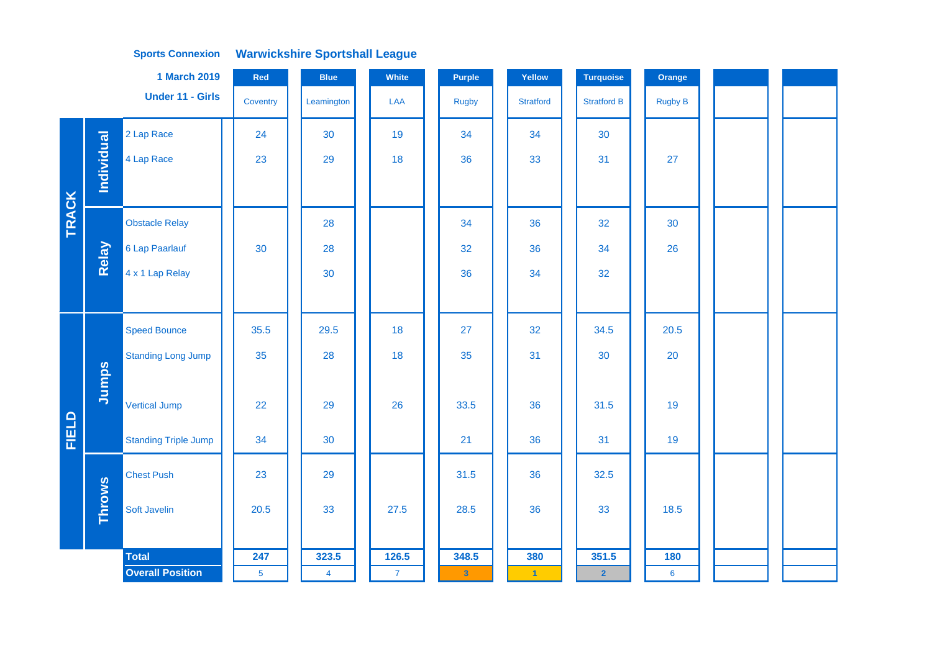|              |               | <b>1 March 2019</b>         | Red            | <b>Blue</b>    | White        | Purple       | Yellow               | <b>Turquoise</b>   | Orange          |  |  |
|--------------|---------------|-----------------------------|----------------|----------------|--------------|--------------|----------------------|--------------------|-----------------|--|--|
|              |               | <b>Under 11 - Girls</b>     | Coventry       | Leamington     | LAA          | <b>Rugby</b> | <b>Stratford</b>     | <b>Stratford B</b> | <b>Rugby B</b>  |  |  |
|              |               | 2 Lap Race                  | 24             | 30             | 19           | 34           | 34                   | 30                 |                 |  |  |
|              | Individual    | 4 Lap Race                  | 23             | 29             | 18           | 36           | 33                   | 31                 | 27              |  |  |
|              |               |                             |                |                |              |              |                      |                    |                 |  |  |
| <b>TRACK</b> |               | <b>Obstacle Relay</b>       |                | 28             |              | 34           | 36                   | 32                 | 30              |  |  |
|              | Relay         | 6 Lap Paarlauf              | 30             | 28             |              | 32           | 36                   | 34                 | 26              |  |  |
|              |               | 4 x 1 Lap Relay             |                | 30             |              | 36           | 34                   | 32                 |                 |  |  |
|              |               |                             |                |                |              |              |                      |                    |                 |  |  |
|              |               | <b>Speed Bounce</b>         | 35.5           | 29.5           | 18           | 27           | 32                   | 34.5               | 20.5            |  |  |
|              |               | <b>Standing Long Jump</b>   | 35             | 28             | 18           | 35           | 31                   | 30                 | 20              |  |  |
|              | Jumps         |                             |                |                |              |              |                      |                    |                 |  |  |
|              |               | <b>Vertical Jump</b>        | 22             | 29             | 26           | 33.5         | 36                   | 31.5               | 19              |  |  |
| FIELD        |               | <b>Standing Triple Jump</b> | 34             | 30             |              | 21           | 36                   | 31                 | 19              |  |  |
|              |               | <b>Chest Push</b>           | 23             | 29             |              | 31.5         | 36                   | 32.5               |                 |  |  |
|              | <b>Throws</b> | Soft Javelin                | 20.5           | 33             | 27.5         | 28.5         | 36                   | 33                 | 18.5            |  |  |
|              |               |                             |                |                |              |              |                      |                    |                 |  |  |
|              |               | <b>Total</b>                | 247            | 323.5          | 126.5        | 348.5        | 380                  | 351.5              | 180             |  |  |
|              |               | <b>Overall Position</b>     | $\overline{5}$ | $\overline{4}$ | $\mathbf{7}$ | $\mathbf{3}$ | $\blacktriangleleft$ | $\overline{2}$     | $6\phantom{1}6$ |  |  |
|              |               |                             |                |                |              |              |                      |                    |                 |  |  |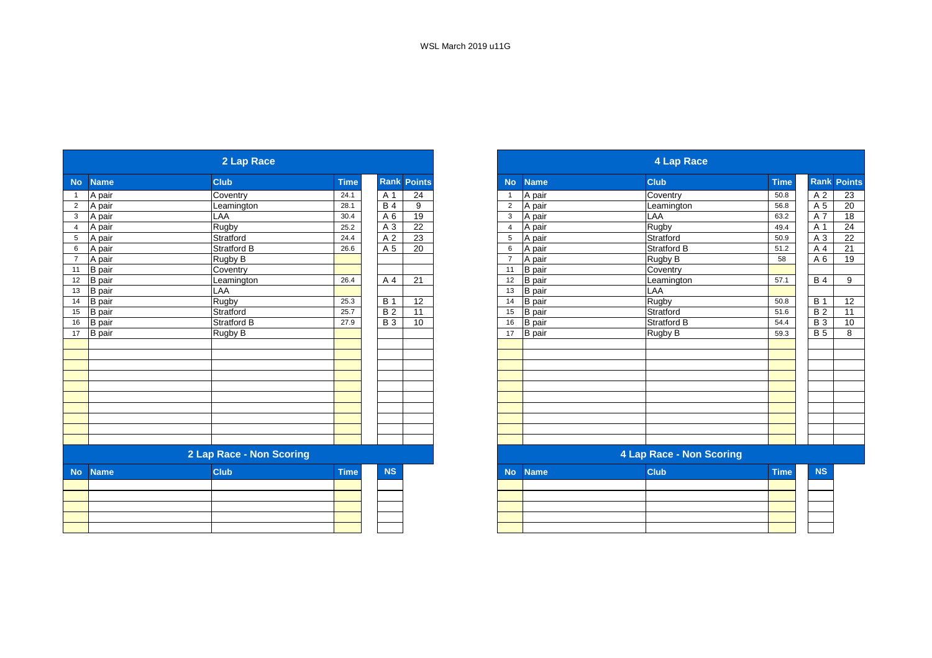|                |               | 2 Lap Race               |             |                 |                    |                |               | <b>4 Lap Race</b>               |             |
|----------------|---------------|--------------------------|-------------|-----------------|--------------------|----------------|---------------|---------------------------------|-------------|
| <b>No</b>      | <b>Name</b>   | <b>Club</b>              | <b>Time</b> |                 | <b>Rank Points</b> | <b>No</b>      | <b>Name</b>   | <b>Club</b>                     | <b>Time</b> |
| $\mathbf{1}$   | A pair        | Coventry                 | 24.1        | A 1             | 24                 | -1             | A pair        | Coventry                        | 50.8        |
| $\overline{2}$ | A pair        | Leamington               | 28.1        | $\overline{B4}$ | 9                  | $\overline{2}$ | A pair        | Leamington                      | 56.8        |
| $\mathbf{3}$   | A pair        | LAA                      | 30.4        | A 6             | 19                 | 3              | A pair        | LAA                             | 63.2        |
| $\overline{4}$ | A pair        | Rugby                    | 25.2        | A 3             | 22                 | $\overline{4}$ | A pair        | <b>Rugby</b>                    | 49.4        |
| 5              | A pair        | Stratford                | 24.4        | A 2             | 23                 | 5              | A pair        | Stratford                       | 50.9        |
| 6              | A pair        | Stratford B              | 26.6        | A 5             | 20                 | 6              | A pair        | <b>Stratford B</b>              | 51.2        |
| $\overline{7}$ | A pair        | Rugby B                  |             |                 |                    | $\overline{7}$ | A pair        | Rugby B                         | 58          |
| 11             | <b>B</b> pair | Coventry                 |             |                 |                    | 11             | <b>B</b> pair | Coventry                        |             |
| 12             | <b>B</b> pair | Leamington               | 26.4        | A 4             | 21                 | 12             | <b>B</b> pair | Leamington                      | 57.1        |
| 13             | <b>B</b> pair | LAA                      |             |                 |                    | 13             | <b>B</b> pair | LAA                             |             |
| 14             | <b>B</b> pair | Rugby                    | 25.3        | <b>B</b> 1      | 12                 | 14             | <b>B</b> pair | Rugby                           | 50.8        |
| 15             | <b>B</b> pair | Stratford                | 25.7        | $\overline{B2}$ | 11                 | 15             | <b>B</b> pair | Stratford                       | 51.6        |
| 16             | <b>B</b> pair | Stratford B              | 27.9        | <b>B3</b>       | 10                 | 16             | <b>B</b> pair | <b>Stratford B</b>              | 54.4        |
| 17             | <b>B</b> pair | Rugby B                  |             |                 |                    | 17             | <b>B</b> pair | Rugby B                         | 59.3        |
|                |               |                          |             |                 |                    |                |               |                                 |             |
|                |               |                          |             |                 |                    |                |               |                                 |             |
|                |               |                          |             |                 |                    |                |               |                                 |             |
|                |               |                          |             |                 |                    |                |               |                                 |             |
|                |               |                          |             |                 |                    |                |               |                                 |             |
|                |               |                          |             |                 |                    |                |               |                                 |             |
|                |               |                          |             |                 |                    |                |               |                                 |             |
|                |               |                          |             |                 |                    |                |               |                                 |             |
|                |               |                          |             |                 |                    |                |               |                                 |             |
|                |               |                          |             |                 |                    |                |               |                                 |             |
|                |               | 2 Lap Race - Non Scoring |             |                 |                    |                |               | <b>4 Lap Race - Non Scoring</b> |             |
| <b>No</b>      | <b>Name</b>   | <b>Club</b>              | <b>Time</b> | <b>NS</b>       |                    | <b>No</b>      | <b>Name</b>   | <b>Club</b>                     | <b>Time</b> |
|                |               |                          |             |                 |                    |                |               |                                 |             |
|                |               |                          |             |                 |                    |                |               |                                 |             |
|                |               |                          |             |                 |                    |                |               |                                 |             |
|                |               |                          |             |                 |                    |                |               |                                 |             |
|                |               |                          |             |                 |                    |                |               |                                 |             |
|                |               |                          |             |                 |                    |                |               |                                 |             |

|                 |               | 2 Lap Race               |             |             |               |                |               | 4 Lap Race               |             |                |                 |
|-----------------|---------------|--------------------------|-------------|-------------|---------------|----------------|---------------|--------------------------|-------------|----------------|-----------------|
| No              | <b>Name</b>   | <b>Club</b>              | <b>Time</b> | <b>Rank</b> | <b>Points</b> | <b>No</b>      | <b>Name</b>   | <b>Club</b>              | <b>Time</b> | <b>Rank</b>    | <b>Points</b>   |
|                 | A pair        | Coventry                 | 24.1        | A 1         | 24            |                | A pair        | Coventry                 | 50.8        | A 2            | 23              |
| 2               | A pair        | Leamington               | 28.1        | <b>B</b> 4  | 9             | $\overline{2}$ | A pair        | Leamington               | 56.8        | A 5            | $\overline{20}$ |
| $\mathbf{3}$    | A pair        | LAA                      | 30.4        | A 6         | 19            | 3              | A pair        | LAA                      | 63.2        | A 7            | 18              |
| $\overline{4}$  | A pair        | Rugby                    | 25.2        | A 3         | 22            | 4              | A pair        | Rugby                    | 49.4        | A 1            | 24              |
| $5\phantom{.0}$ | A pair        | Stratford                | 24.4        | A 2         | 23            | 5              | A pair        | Stratford                | 50.9        | A 3            | 22              |
| 6               | A pair        | <b>Stratford B</b>       | 26.6        | A 5         | 20            | 6              | A pair        | <b>Stratford B</b>       | 51.2        | A 4            | 21              |
| $\overline{7}$  | A pair        | Rugby B                  |             |             |               |                | A pair        | Rugby B                  | 58          | A 6            | 19              |
| 11              | <b>B</b> pair | Coventry                 |             |             |               | 11             | <b>B</b> pair | Coventry                 |             |                |                 |
| 12              | <b>B</b> pair | Leamington               | 26.4        | A 4         | 21            | 12             | <b>B</b> pair | Leamington               | 57.1        | <b>B4</b>      | 9               |
| 13              | <b>B</b> pair | LAA                      |             |             |               | 13             | <b>B</b> pair | <b>LAA</b>               |             |                |                 |
| 14              | <b>B</b> pair | Rugby                    | 25.3        | <b>B</b> 1  | 12            | 14             | <b>B</b> pair | Rugby                    | 50.8        | <b>B</b> 1     | 12              |
| 15              | <b>B</b> pair | Stratford                | 25.7        | <b>B2</b>   | 11            | 15             | <b>B</b> pair | Stratford                | 51.6        | B <sub>2</sub> | 11              |
| 16              | <b>B</b> pair | <b>Stratford B</b>       | 27.9        | <b>B3</b>   | 10            | 16             | <b>B</b> pair | <b>Stratford B</b>       | 54.4        | <b>B3</b>      | 10              |
| 17              | B pair        | Rugby B                  |             |             |               | 17             | <b>B</b> pair | Rugby B                  | 59.3        | <b>B</b> 5     | 8               |
|                 |               |                          |             |             |               |                |               |                          |             |                |                 |
|                 |               |                          |             |             |               |                |               |                          |             |                |                 |
|                 |               |                          |             |             |               |                |               |                          |             |                |                 |
|                 |               |                          |             |             |               |                |               |                          |             |                |                 |
|                 |               |                          |             |             |               |                |               |                          |             |                |                 |
|                 |               |                          |             |             |               |                |               |                          |             |                |                 |
|                 |               |                          |             |             |               |                |               |                          |             |                |                 |
|                 |               |                          |             |             |               |                |               |                          |             |                |                 |
|                 |               |                          |             |             |               |                |               |                          |             |                |                 |
|                 |               | 2 Lap Race - Non Scoring |             |             |               |                |               | 4 Lap Race - Non Scoring |             |                |                 |
|                 | No Name       | <b>Club</b>              | <b>Time</b> | <b>NS</b>   |               | <b>No</b>      | <b>Name</b>   | <b>Club</b>              | <b>Time</b> | <b>NS</b>      |                 |

|  | $IVU$ $N$ allic | <b>URB</b> | $\blacksquare$ | <b>IVO</b> |
|--|-----------------|------------|----------------|------------|
|  |                 |            |                |            |
|  |                 |            |                |            |
|  |                 |            |                |            |
|  |                 |            |                |            |
|  |                 |            |                |            |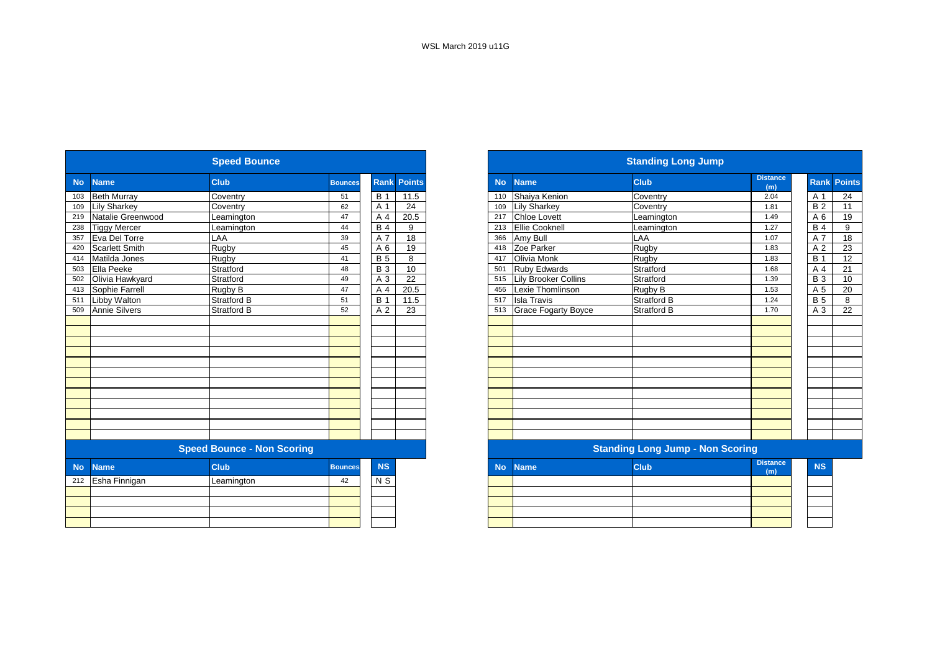|           |                       | <b>Speed Bounce</b>               |                |                |                    |           |                             | <b>Standing Long Jump</b>               |                        |
|-----------|-----------------------|-----------------------------------|----------------|----------------|--------------------|-----------|-----------------------------|-----------------------------------------|------------------------|
| <b>No</b> | <b>Name</b>           | Club                              | <b>Bounces</b> |                | <b>Rank Points</b> | <b>No</b> | <b>Name</b>                 | <b>Club</b>                             | <b>Distance</b><br>(m) |
| 103       | <b>Beth Murray</b>    | Coventry                          | 51             | <b>B</b> 1     | 11.5               | 110       | Shaiya Kenion               | Coventry                                | 2.04                   |
| 109       | <b>Lily Sharkey</b>   | Coventry                          | 62             | A 1            | 24                 | 109       | <b>Lily Sharkey</b>         | Coventry                                | 1.81                   |
| 219       | Natalie Greenwood     | Leamington                        | 47             | A 4            | 20.5               | 217       | <b>Chloe Lovett</b>         | Leamington                              | 1.49                   |
| 238       | <b>Tiggy Mercer</b>   | Leamington                        | 44             | <b>B4</b>      | 9                  | 213       | Ellie Cooknell              | Leamington                              | 1.27                   |
| 357       | Eva Del Torre         | LAA                               | 39             | A 7            | 18                 | 366       | Amy Bull                    | LAA                                     | 1.07                   |
| 420       | <b>Scarlett Smith</b> | Rugby                             | 45             | A 6            | 19                 | 418       | Zoe Parker                  | Rugby                                   | 1.83                   |
| 414       | Matilda Jones         | Rugby                             | 41             | <b>B</b> 5     | 8                  | 417       | Olivia Monk                 | Rugby                                   | 1.83                   |
| 503       | Ella Peeke            | Stratford                         | 48             | <b>B3</b>      | 10                 | 501       | <b>Ruby Edwards</b>         | Stratford                               | 1.68                   |
| 502       | Olivia Hawkyard       | Stratford                         | 49             | A 3            | 22                 | 515       | <b>Lily Brooker Collins</b> | Stratford                               | 1.39                   |
| 413       | Sophie Farrell        | Rugby B                           | 47             | A 4            | 20.5               | 456       | Lexie Thomlinson            | Rugby B                                 | 1.53                   |
| 511       | Libby Walton          | Stratford B                       | 51             | <b>B</b> 1     | 11.5               | 517       | <b>Isla Travis</b>          | <b>Stratford B</b>                      | 1.24                   |
| 509       | <b>Annie Silvers</b>  | <b>Stratford B</b>                | 52             | A 2            | 23                 | 513       | <b>Grace Fogarty Boyce</b>  | <b>Stratford B</b>                      | 1.70                   |
|           |                       |                                   |                |                |                    |           |                             |                                         |                        |
|           |                       |                                   |                |                |                    |           |                             |                                         |                        |
|           |                       |                                   |                |                |                    |           |                             |                                         |                        |
|           |                       |                                   |                |                |                    |           |                             |                                         |                        |
|           |                       |                                   |                |                |                    |           |                             |                                         |                        |
|           |                       |                                   |                |                |                    |           |                             |                                         |                        |
|           |                       |                                   |                |                |                    |           |                             |                                         |                        |
|           |                       |                                   |                |                |                    |           |                             |                                         |                        |
|           |                       |                                   |                |                |                    |           |                             |                                         |                        |
|           |                       |                                   |                |                |                    |           |                             |                                         |                        |
|           |                       |                                   |                |                |                    |           |                             |                                         |                        |
|           |                       |                                   |                |                |                    |           |                             |                                         |                        |
|           |                       | <b>Speed Bounce - Non Scoring</b> |                |                |                    |           |                             | <b>Standing Long Jump - Non Scoring</b> |                        |
| <b>No</b> | <b>Name</b>           | <b>Club</b>                       | <b>Bounces</b> | <b>NS</b>      |                    | <b>No</b> | <b>Name</b>                 | <b>Club</b>                             | <b>Distance</b><br>(m) |
| 212       | Esha Finnigan         | Leamington                        | 42             | N <sub>S</sub> |                    |           |                             |                                         |                        |
|           |                       |                                   |                |                |                    |           |                             |                                         |                        |
|           |                       |                                   |                |                |                    |           |                             |                                         |                        |
|           |                       |                                   |                |                |                    |           |                             |                                         |                        |
|           |                       |                                   |                |                |                    |           |                             |                                         |                        |

|           |                       | <b>Speed Bounce</b>               |                |                |                    |
|-----------|-----------------------|-----------------------------------|----------------|----------------|--------------------|
| <b>No</b> | <b>Name</b>           | <b>Club</b>                       | <b>Bounces</b> |                | <b>Rank Points</b> |
|           | <b>Beth Murray</b>    | Coventry                          | 51             | <b>B</b> 1     | 11.5               |
| 109       | <b>Lily Sharkey</b>   | Coventry                          | 62             | A 1            | 24                 |
| 219       | Natalie Greenwood     | Leamington                        | 47             | A 4            | 20.5               |
| 238       | <b>Tiggy Mercer</b>   | Leamington                        | 44             | <b>B</b> 4     | 9                  |
|           | Eva Del Torre         | LAA                               | 39             | A 7            | 18                 |
| 420       | <b>Scarlett Smith</b> | Rugby                             | 45             | A 6            | 19                 |
| 414       | Matilda Jones         | Rugby                             | 41             | <b>B</b> 5     | 8                  |
| 503       | Ella Peeke            | Stratford                         | 48             | <b>B</b> 3     | 10                 |
| 502       | Olivia Hawkyard       | Stratford                         | 49             | A 3            | 22                 |
| 413       | Sophie Farrell        | Rugby B                           | 47             | A 4            | 20.5               |
| 511       | <b>Libby Walton</b>   | <b>Stratford B</b>                | 51             | <b>B</b> 1     | 11.5               |
| 509       | <b>Annie Silvers</b>  | Stratford B                       | 52             | A 2            | 23                 |
|           |                       |                                   |                |                |                    |
|           |                       |                                   |                |                |                    |
|           |                       |                                   |                |                |                    |
|           |                       |                                   |                |                |                    |
|           |                       |                                   |                |                |                    |
|           |                       |                                   |                |                |                    |
|           |                       |                                   |                |                |                    |
|           |                       |                                   |                |                |                    |
|           |                       |                                   |                |                |                    |
|           |                       |                                   |                |                |                    |
|           |                       |                                   |                |                |                    |
|           |                       |                                   |                |                |                    |
|           |                       | <b>Speed Bounce - Non Scoring</b> |                |                |                    |
| <b>No</b> | <b>Name</b>           | <b>Club</b>                       | <b>Bounces</b> | <b>NS</b>      |                    |
| 212       | Esha Finnigan         | Leamington                        | 42             | N <sub>S</sub> |                    |
|           |                       |                                   |                |                |                    |
|           |                       |                                   |                |                |                    |
|           |                       |                                   |                |                |                    |
|           |                       |                                   |                |                |                    |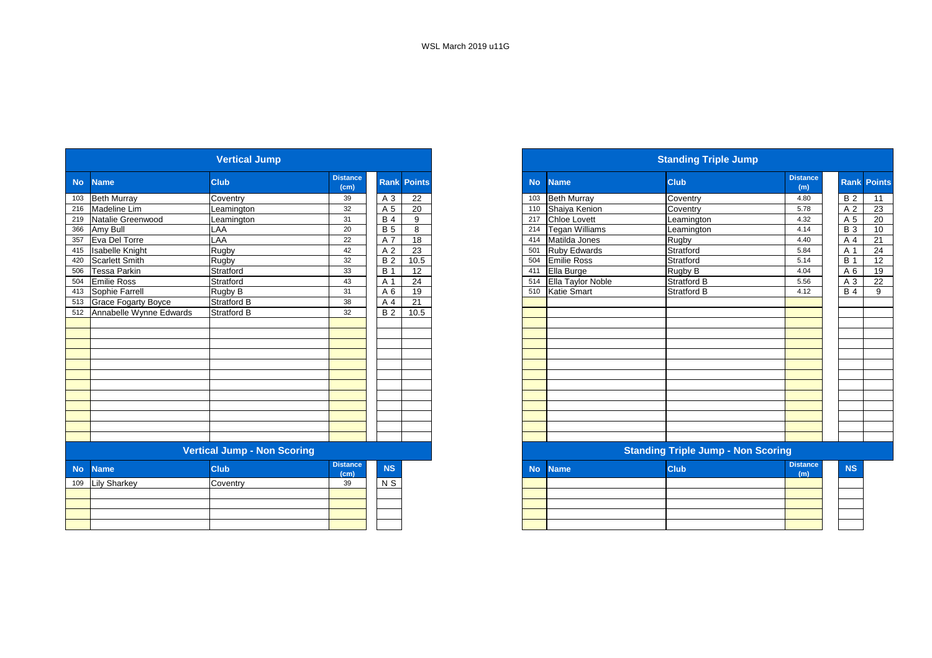|           |                         | <b>Vertical Jump</b>               |                                      |                |                    |
|-----------|-------------------------|------------------------------------|--------------------------------------|----------------|--------------------|
| <b>No</b> | <b>Name</b>             | <b>Club</b>                        | <b>Distance</b><br>(cm)              |                | <b>Rank Points</b> |
| 103       | <b>Beth Murray</b>      | Coventry                           | 39                                   | A 3            | 22                 |
| 216       | Madeline Lim            | Leamington                         | 32                                   | A 5            | 20                 |
| 219       | Natalie Greenwood       | Leamington                         | 31                                   | <b>B4</b>      | 9                  |
| 366       | Amy Bull                | LAA                                | 20                                   | <b>B5</b>      | 8                  |
| 357       | Eva Del Torre           | LAA                                | 22                                   | A 7            | 18                 |
| 415       | <b>Isabelle Knight</b>  | Rugby                              | 42                                   | A <sub>2</sub> | 23                 |
| 420       | Scarlett Smith          | Rugby                              | 32                                   | <b>B2</b>      | 10.5               |
| 506       | <b>Tessa Parkin</b>     | Stratford                          | 33                                   | <b>B</b> 1     | 12                 |
| 504       | <b>Emilie Ross</b>      | Stratford                          | 43                                   | A 1            | 24                 |
| 413       | Sophie Farrell          | Rugby B                            | 31                                   | A 6            | 19                 |
| 513       | Grace Fogarty Boyce     | Stratford B                        | 38                                   | A 4            | 21                 |
| 512       | Annabelle Wynne Edwards | Stratford B                        | 32                                   | <b>B2</b>      | 10.5               |
|           |                         |                                    |                                      |                |                    |
|           |                         |                                    |                                      |                |                    |
|           |                         |                                    |                                      |                |                    |
|           |                         |                                    |                                      |                |                    |
|           |                         |                                    |                                      |                |                    |
|           |                         |                                    |                                      |                |                    |
|           |                         |                                    |                                      |                |                    |
|           |                         |                                    |                                      |                |                    |
|           |                         |                                    |                                      |                |                    |
|           |                         |                                    |                                      |                |                    |
|           |                         |                                    |                                      |                |                    |
|           |                         |                                    |                                      |                |                    |
|           |                         | <b>Vertical Jump - Non Scoring</b> |                                      |                |                    |
| <b>No</b> | <b>Name</b>             | <b>Club</b>                        | <b>Distance</b><br>$\overline{(cm)}$ | <b>NS</b>      |                    |
| 109       | <b>Lily Sharkey</b>     | Coventry                           | 39                                   | N <sub>S</sub> |                    |
|           |                         |                                    |                                      |                |                    |
|           |                         |                                    |                                      |                |                    |
|           |                         |                                    |                                      |                |                    |
|           |                         |                                    |                                      |                |                    |
|           |                         |                                    |                                      |                |                    |

|           |                             | <b>Vertical Jump</b>               |                         |            |                    |
|-----------|-----------------------------|------------------------------------|-------------------------|------------|--------------------|
|           | <b>Name</b>                 | <b>Club</b>                        | <b>Distance</b><br>(cm) |            | <b>Rank Points</b> |
|           | 103 Beth Murray             | Coventry                           | 39                      | A 3        | 22                 |
|           | 216 Madeline Lim            | Leamington                         | 32                      | A 5        | 20                 |
|           | 219 Natalie Greenwood       | Leamington                         | 31                      | <b>B</b> 4 | 9                  |
|           | 366 Amy Bull                | LAA                                | 20                      | <b>B</b> 5 | 8                  |
|           | 357 Eva Del Torre           | LAA                                | 22                      | A 7        | 18                 |
|           | 415 Isabelle Knight         | Rugby                              | 42                      | A 2        | 23                 |
|           | <b>Scarlett Smith</b>       | Rugby                              | 32                      | <b>B2</b>  | 10.5               |
|           | <b>Tessa Parkin</b>         | Stratford                          | 33                      | <b>B</b> 1 | 12                 |
|           | <b>Emilie Ross</b>          | Stratford                          | 43                      | A 1        | 24                 |
|           | 413 Sophie Farrell          | Rugby B                            | 31                      | A 6        | 19                 |
|           | 513 Grace Fogarty Boyce     | <b>Stratford B</b>                 | 38                      | A 4        | 21                 |
|           | 512 Annabelle Wynne Edwards | <b>Stratford B</b>                 | 32                      | <b>B2</b>  | 10.5               |
|           |                             |                                    |                         |            |                    |
|           |                             |                                    |                         |            |                    |
|           |                             |                                    |                         |            |                    |
|           |                             |                                    |                         |            |                    |
|           |                             |                                    |                         |            |                    |
|           |                             |                                    |                         |            |                    |
|           |                             |                                    |                         |            |                    |
|           |                             |                                    |                         |            |                    |
|           |                             |                                    |                         |            |                    |
|           |                             |                                    |                         |            |                    |
|           |                             |                                    |                         |            |                    |
|           |                             |                                    |                         |            |                    |
|           |                             | <b>Vertical Jump - Non Scoring</b> |                         |            |                    |
| <b>No</b> | <b>Name</b>                 | <b>Club</b>                        | <b>Distance</b><br>(cm) | <b>NS</b>  |                    |
|           | 109 Lily Sharkey            | Coventry                           | 39                      | N S        |                    |
|           |                             |                                    |                         |            |                    |
|           |                             |                                    |                         |            |                    |
|           |                             |                                    |                         |            |                    |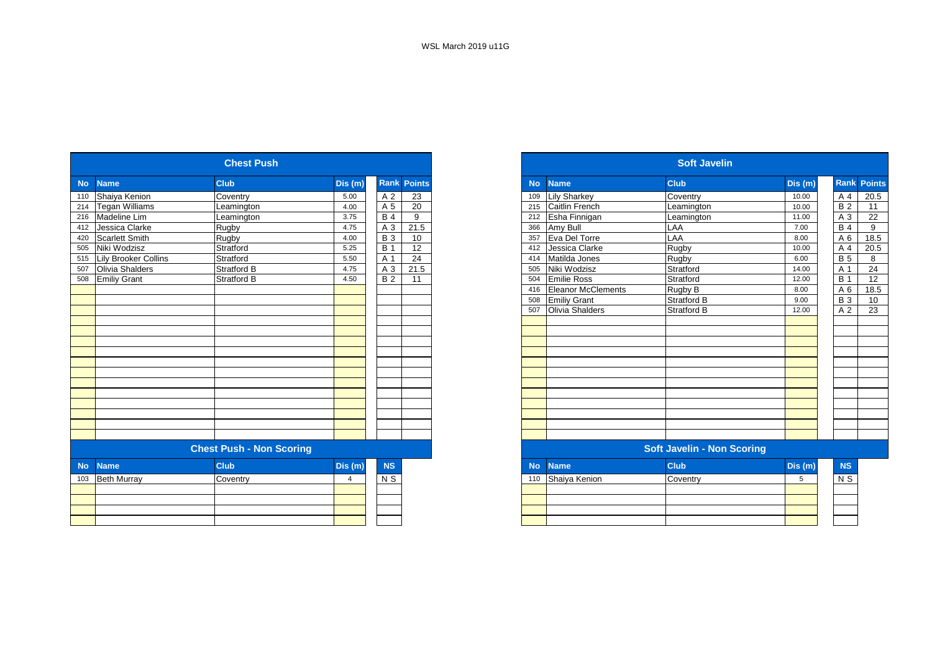| <b>Name</b><br>Shaiya Kenion<br><b>Tegan Williams</b><br>Madeline Lim<br>Jessica Clarke<br><b>Scarlett Smith</b><br>Niki Wodzisz<br>Lily Brooker Collins<br>Olivia Shalders<br><b>Emiliy Grant</b> | <b>Club</b><br>Coventry<br>Leamington<br>Leamington<br>Rugby<br><b>Rugby</b><br>Stratford<br>Stratford<br>Stratford B<br>Stratford B | Dis(m)<br>5.00<br>4.00<br>3.75<br>4.75<br>4.00<br>5.25<br>5.50<br>4.75 | A 2<br>A 5<br><b>B</b> 4<br>A 3<br><b>B</b> 3<br><b>B</b> 1<br>A 1 | <b>Rank Points</b><br>23<br>20<br>9<br>21.5<br>10<br>12 |
|----------------------------------------------------------------------------------------------------------------------------------------------------------------------------------------------------|--------------------------------------------------------------------------------------------------------------------------------------|------------------------------------------------------------------------|--------------------------------------------------------------------|---------------------------------------------------------|
|                                                                                                                                                                                                    |                                                                                                                                      |                                                                        |                                                                    |                                                         |
|                                                                                                                                                                                                    |                                                                                                                                      |                                                                        |                                                                    |                                                         |
|                                                                                                                                                                                                    |                                                                                                                                      |                                                                        |                                                                    |                                                         |
|                                                                                                                                                                                                    |                                                                                                                                      |                                                                        |                                                                    |                                                         |
|                                                                                                                                                                                                    |                                                                                                                                      |                                                                        |                                                                    |                                                         |
|                                                                                                                                                                                                    |                                                                                                                                      |                                                                        |                                                                    |                                                         |
|                                                                                                                                                                                                    |                                                                                                                                      |                                                                        |                                                                    |                                                         |
|                                                                                                                                                                                                    |                                                                                                                                      |                                                                        |                                                                    | 24                                                      |
|                                                                                                                                                                                                    |                                                                                                                                      |                                                                        | A 3                                                                | 21.5                                                    |
|                                                                                                                                                                                                    |                                                                                                                                      | 4.50                                                                   | <b>B2</b>                                                          | 11                                                      |
|                                                                                                                                                                                                    |                                                                                                                                      |                                                                        |                                                                    |                                                         |
|                                                                                                                                                                                                    |                                                                                                                                      |                                                                        |                                                                    |                                                         |
|                                                                                                                                                                                                    |                                                                                                                                      |                                                                        |                                                                    |                                                         |
|                                                                                                                                                                                                    |                                                                                                                                      |                                                                        |                                                                    |                                                         |
|                                                                                                                                                                                                    |                                                                                                                                      |                                                                        |                                                                    |                                                         |
|                                                                                                                                                                                                    |                                                                                                                                      |                                                                        |                                                                    |                                                         |
|                                                                                                                                                                                                    |                                                                                                                                      |                                                                        |                                                                    |                                                         |
|                                                                                                                                                                                                    |                                                                                                                                      |                                                                        |                                                                    |                                                         |
|                                                                                                                                                                                                    |                                                                                                                                      |                                                                        |                                                                    |                                                         |
|                                                                                                                                                                                                    |                                                                                                                                      |                                                                        |                                                                    |                                                         |
|                                                                                                                                                                                                    |                                                                                                                                      |                                                                        |                                                                    |                                                         |
|                                                                                                                                                                                                    |                                                                                                                                      |                                                                        |                                                                    |                                                         |
|                                                                                                                                                                                                    |                                                                                                                                      |                                                                        |                                                                    |                                                         |
|                                                                                                                                                                                                    |                                                                                                                                      |                                                                        |                                                                    |                                                         |
|                                                                                                                                                                                                    |                                                                                                                                      |                                                                        |                                                                    |                                                         |
|                                                                                                                                                                                                    |                                                                                                                                      |                                                                        |                                                                    |                                                         |
| <b>Name</b>                                                                                                                                                                                        | <b>Club</b>                                                                                                                          | Dis (m)                                                                | <b>NS</b>                                                          |                                                         |
|                                                                                                                                                                                                    |                                                                                                                                      | $\overline{4}$                                                         | N S                                                                |                                                         |
|                                                                                                                                                                                                    |                                                                                                                                      |                                                                        |                                                                    |                                                         |
|                                                                                                                                                                                                    |                                                                                                                                      |                                                                        |                                                                    |                                                         |
|                                                                                                                                                                                                    |                                                                                                                                      |                                                                        |                                                                    |                                                         |
|                                                                                                                                                                                                    |                                                                                                                                      |                                                                        |                                                                    |                                                         |
|                                                                                                                                                                                                    | <b>Beth Murray</b>                                                                                                                   | Coventry                                                               | <b>Chest Push - Non Scoring</b>                                    |                                                         |

|         |                             | <b>Chest Push</b>               |        |            |                    |
|---------|-----------------------------|---------------------------------|--------|------------|--------------------|
|         | <b>Name</b>                 | <b>Club</b>                     | Dis(m) |            | <b>Rank Points</b> |
|         | Shaiva Kenion               | Coventry                        | 5.00   | A 2        | 23                 |
|         | 214 Tegan Williams          | Leamington                      | 4.00   | A 5        | 20                 |
|         | <b>Madeline Lim</b>         | Leamington                      | 3.75   | <b>B</b> 4 | 9                  |
|         | 412 Jessica Clarke          | Rugby                           | 4.75   | A 3        | 21.5               |
|         | <b>Scarlett Smith</b>       | Rugby                           | 4.00   | <b>B</b> 3 | 10                 |
|         | Niki Wodzisz                | Stratford                       | 5.25   | <b>B</b> 1 | 12                 |
|         | <b>Lily Brooker Collins</b> | Stratford                       | 5.50   | A 1        | 24                 |
|         | Olivia Shalders             | <b>Stratford B</b>              | 4.75   | A 3        | 21.5               |
|         | <b>Emiliy Grant</b>         | <b>Stratford B</b>              | 4.50   | <b>B2</b>  | 11                 |
|         |                             |                                 |        |            |                    |
|         |                             |                                 |        |            |                    |
|         |                             |                                 |        |            |                    |
|         |                             |                                 |        |            |                    |
|         |                             |                                 |        |            |                    |
|         |                             |                                 |        |            |                    |
|         |                             |                                 |        |            |                    |
|         |                             |                                 |        |            |                    |
|         |                             |                                 |        |            |                    |
|         |                             |                                 |        |            |                    |
|         |                             |                                 |        |            |                    |
|         |                             |                                 |        |            |                    |
|         |                             |                                 |        |            |                    |
|         |                             |                                 |        |            |                    |
|         |                             |                                 |        |            |                    |
|         |                             | <b>Chest Push - Non Scoring</b> |        |            |                    |
| No Name |                             | <b>Club</b>                     | Dis(m) | <b>NS</b>  |                    |

| No Name           | <b>Club</b> | Dis(m) | <b>NS</b> |
|-------------------|-------------|--------|-----------|
| 110 Shaiya Kenion | Coventry    |        | N S       |
|                   |             |        |           |
|                   |             |        |           |
|                   |             |        |           |
|                   |             |        |           |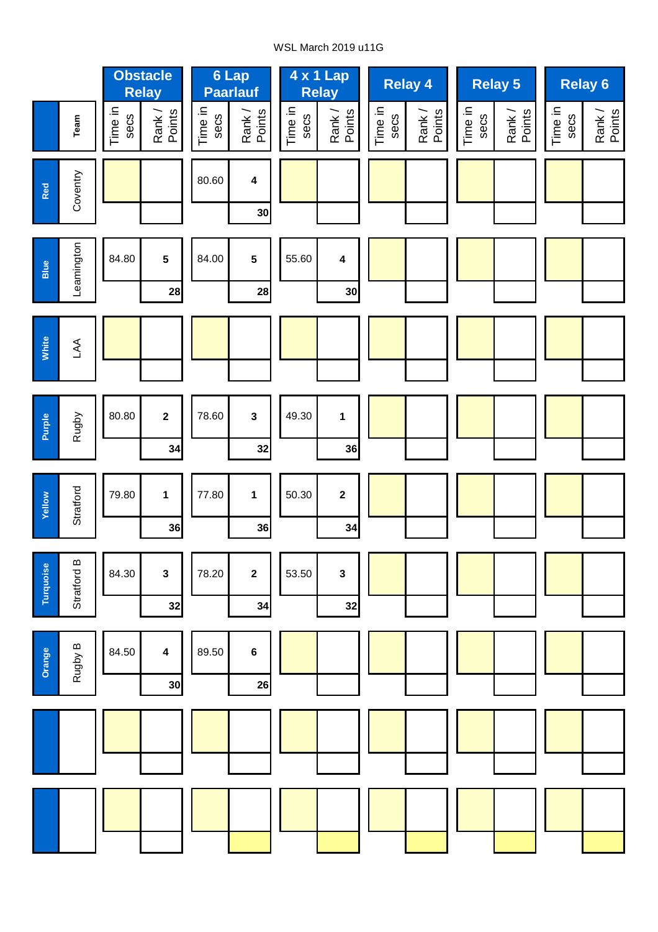## WSL March 2019 u11G

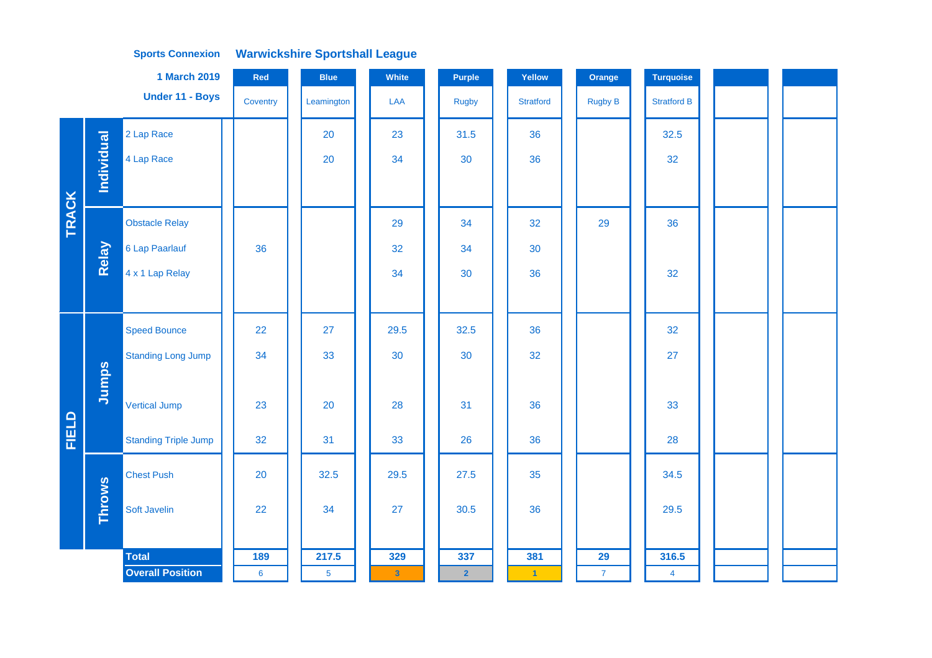|              |                   | <b>1 March 2019</b>         | Red      | <b>Blue</b>    | White        | <b>Purple</b>  | Yellow               | Orange         | <b>Turquoise</b>   |  |  |
|--------------|-------------------|-----------------------------|----------|----------------|--------------|----------------|----------------------|----------------|--------------------|--|--|
|              |                   | Under 11 - Boys             | Coventry | Leamington     | LAA          | <b>Rugby</b>   | <b>Stratford</b>     | <b>Rugby B</b> | <b>Stratford B</b> |  |  |
|              |                   | 2 Lap Race                  |          | 20             | 23           | 31.5           | 36                   |                | 32.5               |  |  |
|              | <b>Individual</b> | 4 Lap Race                  |          | 20             | 34           | 30             | 36                   |                | 32                 |  |  |
|              |                   |                             |          |                |              |                |                      |                |                    |  |  |
| <b>TRACK</b> |                   | <b>Obstacle Relay</b>       |          |                | 29           | 34             | 32                   | 29             | 36                 |  |  |
|              | Relay             | 6 Lap Paarlauf              | 36       |                | 32           | 34             | 30                   |                |                    |  |  |
|              |                   | 4 x 1 Lap Relay             |          |                | 34           | 30             | 36                   |                | 32                 |  |  |
|              |                   |                             |          |                |              |                |                      |                |                    |  |  |
|              |                   | <b>Speed Bounce</b>         | 22       | 27             | 29.5         | 32.5           | 36                   |                | 32                 |  |  |
|              |                   | <b>Standing Long Jump</b>   | 34       | 33             | 30           | 30             | 32                   |                | 27                 |  |  |
|              | Jumps             |                             |          |                |              |                |                      |                |                    |  |  |
|              |                   | <b>Vertical Jump</b>        | 23       | 20             | 28           | 31             | 36                   |                | 33                 |  |  |
| <b>FIELD</b> |                   | <b>Standing Triple Jump</b> | 32       | 31             | 33           | 26             | 36                   |                | 28                 |  |  |
|              |                   | <b>Chest Push</b>           | 20       | 32.5           | 29.5         | 27.5           | 35                   |                | 34.5               |  |  |
|              | <b>Throws</b>     | Soft Javelin                | 22       | 34             | 27           | 30.5           | 36                   |                | 29.5               |  |  |
|              |                   |                             |          |                |              |                |                      |                |                    |  |  |
|              |                   | <b>Total</b>                | 189      | 217.5          | 329          | 337            | 381                  | 29             | 316.5              |  |  |
|              |                   | <b>Overall Position</b>     | $\bf 6$  | $\overline{5}$ | $\mathbf{3}$ | $\overline{2}$ | $\blacktriangleleft$ | $\overline{7}$ | $\overline{4}$     |  |  |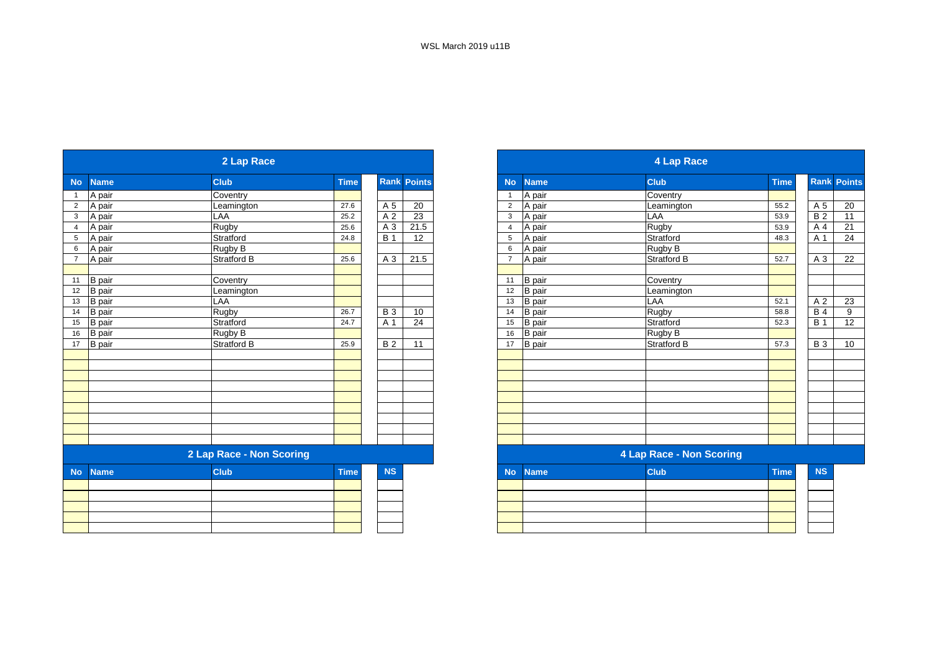|                |                                | 2 Lap Race               |             |                  |                    |                |                                | <b>4 Lap Race</b>               |             |
|----------------|--------------------------------|--------------------------|-------------|------------------|--------------------|----------------|--------------------------------|---------------------------------|-------------|
| <b>No</b>      | <b>Name</b>                    | <b>Club</b>              | <b>Time</b> |                  | <b>Rank Points</b> | <b>No</b>      | <b>Name</b>                    | <b>Club</b>                     | <b>Time</b> |
| $\mathbf{1}$   | A pair                         | Coventry                 |             |                  |                    | 1              | A pair                         | Coventry                        |             |
| $\overline{2}$ | A pair                         | Leamington               | 27.6        | A 5              | 20                 | $\overline{2}$ | A pair                         | Leamington                      | 55.2        |
| 3              | A pair                         | LAA                      | 25.2        | A 2              | 23                 | 3              | A pair                         | LAA                             | 53.9        |
| $\overline{4}$ | A pair                         | Rugby                    | 25.6        | A 3              | 21.5               | $\overline{4}$ | A pair                         | Rugby                           | 53.9        |
| 5              | A pair                         | Stratford                | 24.8        | $\overline{B}$ 1 | 12                 | 5              | A pair                         | Stratford                       | 48.3        |
| 6              | A pair                         | Rugby B                  |             |                  |                    | 6              | A pair                         | Rugby B                         |             |
| $\overline{7}$ | A pair                         | <b>Stratford B</b>       | 25.6        | A 3              | 21.5               | $\overline{7}$ | A pair                         | <b>Stratford B</b>              | 52.7        |
| 11             | <b>B</b> pair                  | Coventry                 |             |                  |                    | 11             | <b>B</b> pair                  | Coventry                        |             |
| 12             |                                |                          |             |                  |                    | 12             |                                |                                 |             |
| 13             | <b>B</b> pair                  | Leamington<br>LAA        |             |                  |                    | 13             | <b>B</b> pair                  | Leamington<br>LAA               | 52.1        |
| 14             | <b>B</b> pair<br><b>B</b> pair | <b>Rugby</b>             | 26.7        | <b>B3</b>        | 10                 | 14             | <b>B</b> pair<br><b>B</b> pair | Rugby                           | 58.8        |
| 15             | <b>B</b> pair                  | Stratford                | 24.7        | A 1              | 24                 | 15             | <b>B</b> pair                  | Stratford                       | 52.3        |
| 16             | <b>B</b> pair                  | Rugby B                  |             |                  |                    | 16             | <b>B</b> pair                  |                                 |             |
| 17             | <b>B</b> pair                  | <b>Stratford B</b>       | 25.9        | <b>B2</b>        | 11                 | 17             | <b>B</b> pair                  | Rugby B<br><b>Stratford B</b>   | 57.3        |
|                |                                |                          |             |                  |                    |                |                                |                                 |             |
|                |                                |                          |             |                  |                    |                |                                |                                 |             |
|                |                                |                          |             |                  |                    |                |                                |                                 |             |
|                |                                |                          |             |                  |                    |                |                                |                                 |             |
|                |                                |                          |             |                  |                    |                |                                |                                 |             |
|                |                                |                          |             |                  |                    |                |                                |                                 |             |
|                |                                |                          |             |                  |                    |                |                                |                                 |             |
|                |                                |                          |             |                  |                    |                |                                |                                 |             |
|                |                                | 2 Lap Race - Non Scoring |             |                  |                    |                |                                | <b>4 Lap Race - Non Scoring</b> |             |
| <b>No</b>      | <b>Name</b>                    | <b>Club</b>              | <b>Time</b> | <b>NS</b>        |                    | <b>No</b>      | <b>Name</b>                    | <b>Club</b>                     | <b>Time</b> |
|                |                                |                          |             |                  |                    |                |                                |                                 |             |
|                |                                |                          |             |                  |                    |                |                                |                                 |             |
|                |                                |                          |             |                  |                    |                |                                |                                 |             |
|                |                                |                          |             |                  |                    |                |                                |                                 |             |
|                |                                |                          |             |                  |                    |                |                                |                                 |             |
|                |                                |                          |             |                  |                    |                |                                |                                 |             |

|                   | 2 Lap Race               |             |                    |      |
|-------------------|--------------------------|-------------|--------------------|------|
| No<br><b>Name</b> | <b>Club</b>              | <b>Time</b> | <b>Rank Points</b> |      |
| A pair            | Coventry                 |             |                    |      |
| A pair            | Leamington               | 27.6        | A 5                | 20   |
| A pair            | LAA                      | 25.2        | A 2                | 23   |
| A pair            | Rugby                    | 25.6        | A 3                | 21.5 |
| A pair            | Stratford                | 24.8        | <b>B</b> 1         | 12   |
| A pair            | Rugby B                  |             |                    |      |
| A pair            | Stratford B              | 25.6        | A 3                | 21.5 |
|                   |                          |             |                    |      |
| 11 B pair         | Coventry                 |             |                    |      |
| B pair            | Leamington               |             |                    |      |
| B pair            | LAA                      |             |                    |      |
| B pair            | Rugby                    | 26.7        | <b>B</b> 3         | 10   |
| <b>B</b> pair     | Stratford                | 24.7        | A 1                | 24   |
| B pair            | Rugby B                  |             |                    |      |
| <b>B</b> pair     | <b>Stratford B</b>       | 25.9        | <b>B2</b>          | 11   |
|                   |                          |             |                    |      |
|                   |                          |             |                    |      |
|                   |                          |             |                    |      |
|                   |                          |             |                    |      |
|                   |                          |             |                    |      |
|                   |                          |             |                    |      |
|                   |                          |             |                    |      |
|                   |                          |             |                    |      |
|                   |                          |             |                    |      |
|                   | 2 Lap Race - Non Scoring |             |                    |      |
| No Name           | <b>Club</b>              | <b>Time</b> | <b>NS</b>          |      |

|  | $\overline{N}$ $\overline{N}$ $\overline{N}$ $\overline{N}$ | <b>PORTO</b> | $\blacksquare$ | 190 L |
|--|-------------------------------------------------------------|--------------|----------------|-------|
|  |                                                             |              |                |       |
|  |                                                             |              |                |       |
|  |                                                             |              |                |       |
|  |                                                             |              |                |       |
|  |                                                             |              |                |       |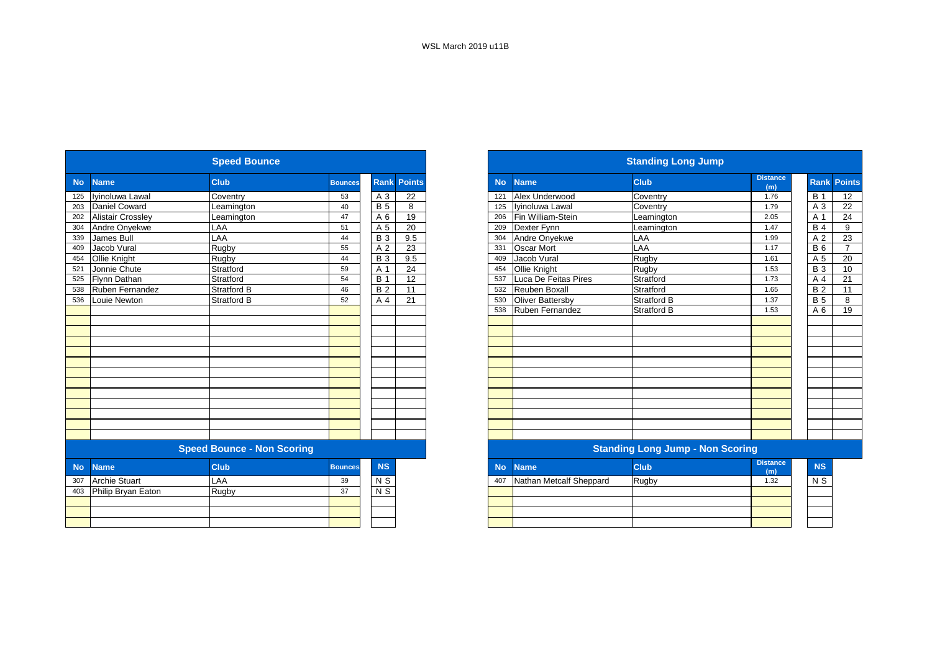|           |                          | <b>Speed Bounce</b>               |                |                |                    |           |                         | <b>Standing Long Jump</b>               |                        |
|-----------|--------------------------|-----------------------------------|----------------|----------------|--------------------|-----------|-------------------------|-----------------------------------------|------------------------|
| <b>No</b> | <b>Name</b>              | <b>Club</b>                       | <b>Bounces</b> |                | <b>Rank Points</b> | <b>No</b> | <b>Name</b>             | <b>Club</b>                             | <b>Distance</b><br>(m) |
| 125       | Iyinoluwa Lawal          | Coventry                          | 53             | A 3            | 22                 | 121       | Alex Underwood          | Coventry                                | 1.76                   |
| 203       | Daniel Coward            | Leamington                        | 40             | <b>B</b> 5     | 8                  | 125       | Ivinoluwa Lawal         | Coventry                                | 1.79                   |
| 202       | <b>Alistair Crossley</b> | Leamington                        | 47             | A 6            | 19                 | 206       | Fin William-Stein       | Leamington                              | 2.05                   |
| 304       | Andre Onyekwe            | LAA                               | 51             | A 5            | 20                 | 209       | Dexter Fynn             | Leamington                              | 1.47                   |
| 339       | James Bull               | LAA                               | 44             | <b>B</b> 3     | 9.5                | 304       | Andre Onyekwe           | LAA                                     | 1.99                   |
| 409       | Jacob Vural              | Rugby                             | 55             | A 2            | 23                 | 331       | <b>Oscar Mort</b>       | LAA                                     | 1.17                   |
| 454       | Ollie Knight             | Rugby                             | 44             | <b>B3</b>      | 9.5                | 409       | Jacob Vural             | Rugby                                   | 1.61                   |
| 521       | Jonnie Chute             | Stratford                         | 59             | A 1            | 24                 | 454       | Ollie Knight            | Rugby                                   | 1.53                   |
| 525       | Flynn Dathan             | Stratford                         | 54             | <b>B</b> 1     | 12                 | 537       | Luca De Feitas Pires    | Stratford                               | 1.73                   |
| 538       | Ruben Fernandez          | <b>Stratford B</b>                | 46             | <b>B2</b>      | 11                 | 532       | <b>Reuben Boxall</b>    | Stratford                               | 1.65                   |
| 536       | Louie Newton             | <b>Stratford B</b>                | 52             | A 4            | 21                 | 530       | Oliver Battersby        | <b>Stratford B</b>                      | 1.37                   |
|           |                          |                                   |                |                |                    | 538       | <b>Ruben Fernandez</b>  | <b>Stratford B</b>                      | 1.53                   |
|           |                          |                                   |                |                |                    |           |                         |                                         |                        |
|           |                          |                                   |                |                |                    |           |                         |                                         |                        |
|           |                          |                                   |                |                |                    |           |                         |                                         |                        |
|           |                          |                                   |                |                |                    |           |                         |                                         |                        |
|           |                          |                                   |                |                |                    |           |                         |                                         |                        |
|           |                          |                                   |                |                |                    |           |                         |                                         |                        |
|           |                          |                                   |                |                |                    |           |                         |                                         |                        |
|           |                          |                                   |                |                |                    |           |                         |                                         |                        |
|           |                          |                                   |                |                |                    |           |                         |                                         |                        |
|           |                          |                                   |                |                |                    |           |                         |                                         |                        |
|           |                          |                                   |                |                |                    |           |                         |                                         |                        |
|           |                          |                                   |                |                |                    |           |                         |                                         |                        |
|           |                          | <b>Speed Bounce - Non Scoring</b> |                |                |                    |           |                         | <b>Standing Long Jump - Non Scoring</b> |                        |
| <b>No</b> | <b>Name</b>              | <b>Club</b>                       | <b>Bounces</b> | <b>NS</b>      |                    | <b>No</b> | <b>Name</b>             | <b>Club</b>                             | <b>Distance</b><br>(m) |
| 307       | <b>Archie Stuart</b>     | LAA                               | 39             | N <sub>S</sub> |                    | 407       | Nathan Metcalf Sheppard | Rugby                                   | 1.32                   |
| 403       | Philip Bryan Eaton       | Rugby                             | 37             | N S            |                    |           |                         |                                         |                        |
|           |                          |                                   |                |                |                    |           |                         |                                         |                        |
|           |                          |                                   |                |                |                    |           |                         |                                         |                        |
|           |                          |                                   |                |                |                    |           |                         |                                         |                        |

|            |                          | <b>Speed Bounce</b>               |                |                |               |
|------------|--------------------------|-----------------------------------|----------------|----------------|---------------|
| <b>No</b>  | <b>Name</b>              | <b>Club</b>                       | <b>Bounces</b> | <b>Rank</b>    | <b>Points</b> |
| 125        | Ivinoluwa Lawal          | Coventry                          | 53             | A 3            | 22            |
| 203        | Daniel Coward            | Leamington                        | 40             | <b>B</b> 5     | 8             |
| 202<br>304 | <b>Alistair Crossley</b> | Leamington                        | 47             | A 6            | 19            |
|            | Andre Onyekwe            | LAA                               | 51             | A 5            | 20            |
| 339        | <b>James Bull</b>        | LAA                               | 44             | <b>B</b> 3     | 9.5           |
| 409        | Jacob Vural              | Rugby                             | 55             | A 2            | 23            |
| 454        | Ollie Knight             | Rugby                             | 44             | <b>B</b> 3     | 9.5           |
| 521        | Jonnie Chute             | Stratford                         | 59             | A 1            | 24            |
| 525        | <b>Flynn Dathan</b>      | Stratford                         | 54             | <b>B</b> 1     | 12            |
| 538        | Ruben Fernandez          | <b>Stratford B</b>                | 46             | <b>B2</b>      | 11            |
| 536        | Louie Newton             | <b>Stratford B</b>                | 52             | A 4            | 21            |
|            |                          |                                   |                |                |               |
|            |                          |                                   |                |                |               |
|            |                          |                                   |                |                |               |
|            |                          |                                   |                |                |               |
|            |                          |                                   |                |                |               |
|            |                          |                                   |                |                |               |
|            |                          |                                   |                |                |               |
|            |                          |                                   |                |                |               |
|            |                          |                                   |                |                |               |
|            |                          |                                   |                |                |               |
|            |                          |                                   |                |                |               |
|            |                          |                                   |                |                |               |
|            |                          |                                   |                |                |               |
|            |                          | <b>Speed Bounce - Non Scoring</b> |                |                |               |
| <b>No</b>  | <b>Name</b>              | <b>Club</b>                       | <b>Bounces</b> | <b>NS</b>      |               |
| 307        | <b>Archie Stuart</b>     | LAA                               | 39             | N S            |               |
| 403        | Philip Bryan Eaton       | Rugby                             | 37             | $\overline{N}$ |               |
|            |                          |                                   |                |                |               |
|            |                          |                                   |                |                |               |
|            |                          |                                   |                |                |               |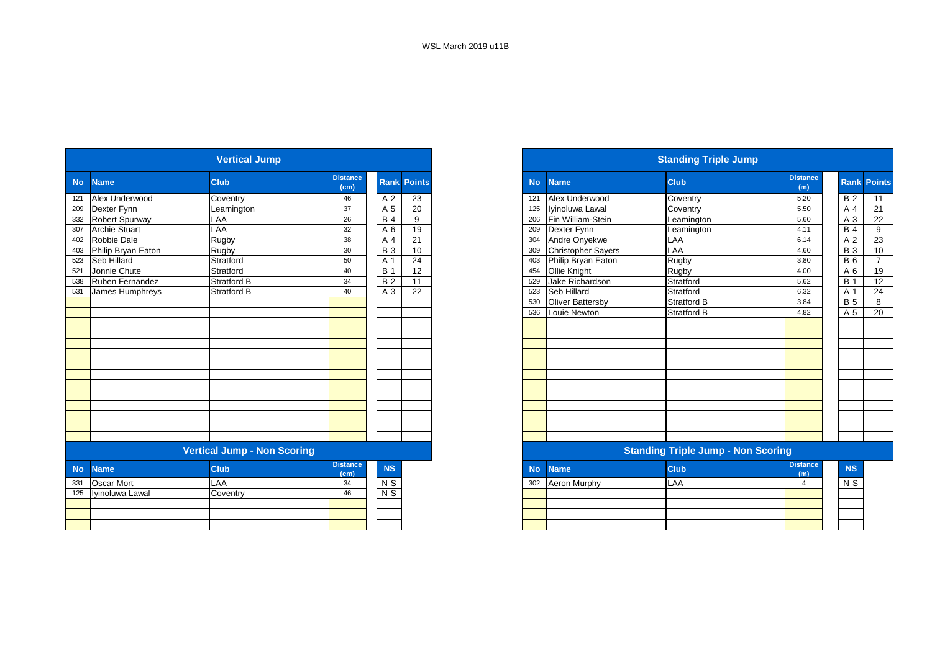|           |                      | <b>Vertical Jump</b>               |                         |             |                 |           |                         | <b>Standing Triple Jump</b>               |                        |                  |
|-----------|----------------------|------------------------------------|-------------------------|-------------|-----------------|-----------|-------------------------|-------------------------------------------|------------------------|------------------|
| <b>No</b> | <b>Name</b>          | <b>Club</b>                        | <b>Distance</b><br>(cm) | <b>Rank</b> | <b>Points</b>   | <b>No</b> | <b>Name</b>             | <b>Club</b>                               | <b>Distance</b><br>(m) | Rank Po          |
| 121       | Alex Underwood       | Coventry                           | 46                      | A 2         | 23              | 121       | Alex Underwood          | Coventry                                  | 5.20                   | B <sub>2</sub>   |
| 209       | Dexter Fynn          | Leamington                         | 37                      | A 5         | 20              | 125       | Iyinoluwa Lawal         | Coventry                                  | 5.50                   | A 4              |
| 332       | Robert Spurway       | LAA                                | 26                      | <b>B</b> 4  | 9               | 206       | Fin William-Stein       | Leamington                                | 5.60                   | A 3              |
| 307       | <b>Archie Stuart</b> | LAA                                | 32                      | A 6         | 19              | 209       | Dexter Fynn             | Leamington                                | 4.11                   | <b>B</b> 4       |
| 402       | Robbie Dale          | <b>Rugby</b>                       | 38                      | A 4         | 21              | 304       | Andre Onyekwe           | LAA                                       | 6.14                   | A 2              |
| 403       | Philip Bryan Eaton   | Rugby                              | 30                      | <b>B</b> 3  | 10              | 309       | Christopher Sayers      | LAA                                       | 4.60                   | <b>B</b> 3       |
| 523       | Seb Hillard          | Stratford                          | 50                      | A 1         | 24              | 403       | Philip Bryan Eaton      | Rugby                                     | 3.80                   | $\overline{B}$ 6 |
| 521       | Jonnie Chute         | Stratford                          | 40                      | <b>B</b> 1  | $\overline{12}$ | 454       | Ollie Knight            | Rugby                                     | 4.00                   | A 6              |
| 538       | Ruben Fernandez      | <b>Stratford B</b>                 | 34                      | <b>B2</b>   | 11              | 529       | Jake Richardson         | Stratford                                 | 5.62                   | <b>B</b> 1       |
| 531       | James Humphreys      | <b>Stratford B</b>                 | 40                      | A 3         | 22              | 523       | Seb Hillard             | Stratford                                 | 6.32                   | A 1              |
|           |                      |                                    |                         |             |                 | 530       | <b>Oliver Battersby</b> | <b>Stratford B</b>                        | 3.84                   | B <sub>5</sub>   |
|           |                      |                                    |                         |             |                 | 536       | Louie Newton            | Stratford B                               | 4.82                   | A 5              |
|           |                      |                                    |                         |             |                 |           |                         |                                           |                        |                  |
|           |                      |                                    |                         |             |                 |           |                         |                                           |                        |                  |
|           |                      |                                    |                         |             |                 |           |                         |                                           |                        |                  |
|           |                      |                                    |                         |             |                 |           |                         |                                           |                        |                  |
|           |                      |                                    |                         |             |                 |           |                         |                                           |                        |                  |
|           |                      |                                    |                         |             |                 |           |                         |                                           |                        |                  |
|           |                      |                                    |                         |             |                 |           |                         |                                           |                        |                  |
|           |                      |                                    |                         |             |                 |           |                         |                                           |                        |                  |
|           |                      |                                    |                         |             |                 |           |                         |                                           |                        |                  |
|           |                      |                                    |                         |             |                 |           |                         |                                           |                        |                  |
|           |                      |                                    |                         |             |                 |           |                         |                                           |                        |                  |
|           |                      |                                    |                         |             |                 |           |                         |                                           |                        |                  |
|           |                      | <b>Vertical Jump - Non Scoring</b> |                         |             |                 |           |                         | <b>Standing Triple Jump - Non Scoring</b> |                        |                  |
| <b>No</b> | <b>Name</b>          | <b>Club</b>                        | <b>Distance</b><br>(cm) | <b>NS</b>   |                 | <b>No</b> | <b>Name</b>             | <b>Club</b>                               | <b>Distance</b><br>(m) |                  |
| 331       | Oscar Mort           | LAA                                | 34                      | $N$ S       |                 | 302       | Aeron Murphy            | LAA                                       | $\overline{4}$         | $N$ S            |
| 125       | Iyinoluwa Lawal      | Coventry                           | 46                      | $N$ S       |                 |           |                         |                                           |                        |                  |
|           |                      |                                    |                         |             |                 |           |                         |                                           |                        |                  |
|           |                      |                                    |                         |             |                 |           |                         |                                           |                        |                  |
|           |                      |                                    |                         |             |                 |           |                         |                                           |                        |                  |

|                          | <b>Vertical Jump</b>               |                         |            |                    |
|--------------------------|------------------------------------|-------------------------|------------|--------------------|
| <b>Name</b>              | <b>Club</b>                        | <b>Distance</b><br>(cm) |            | <b>Rank Points</b> |
| Alex Underwood           | Coventry                           | 46                      | A 2        | 23                 |
| 209 Dexter Fynn          | Leamington                         | 37                      | A 5        | 20                 |
| <b>Robert Spurway</b>    | LAA                                | 26                      | <b>B</b> 4 | 9                  |
| <b>Archie Stuart</b>     | LAA                                | 32                      | A 6        | 19                 |
| Robbie Dale              | Rugby                              | 38                      | A 4        | 21                 |
| Philip Bryan Eaton       | Rugby                              | 30                      | <b>B</b> 3 | 10                 |
| Seb Hillard              | Stratford                          | 50                      | A 1        | 24                 |
| Jonnie Chute             | Stratford                          | 40                      | <b>B</b> 1 | 12                 |
| Ruben Fernandez          | <b>Stratford B</b>                 | 34                      | <b>B2</b>  | 11                 |
| James Humphreys          | <b>Stratford B</b>                 | 40                      | A 3        | 22                 |
|                          |                                    |                         |            |                    |
|                          |                                    |                         |            |                    |
|                          |                                    |                         |            |                    |
|                          |                                    |                         |            |                    |
|                          |                                    |                         |            |                    |
|                          |                                    |                         |            |                    |
|                          |                                    |                         |            |                    |
|                          |                                    |                         |            |                    |
|                          |                                    |                         |            |                    |
|                          |                                    |                         |            |                    |
|                          |                                    |                         |            |                    |
|                          |                                    |                         |            |                    |
|                          |                                    |                         |            |                    |
|                          |                                    |                         |            |                    |
|                          | <b>Vertical Jump - Non Scoring</b> |                         |            |                    |
| <b>No</b><br><b>Name</b> | <b>Club</b>                        | <b>Distance</b><br>(cm) | <b>NS</b>  |                    |
| 331 Oscar Mort           | LAA                                | 34                      | N S        |                    |
| 125 Ivinoluwa Lawal      | Coventry                           | 46                      | $N$ S      |                    |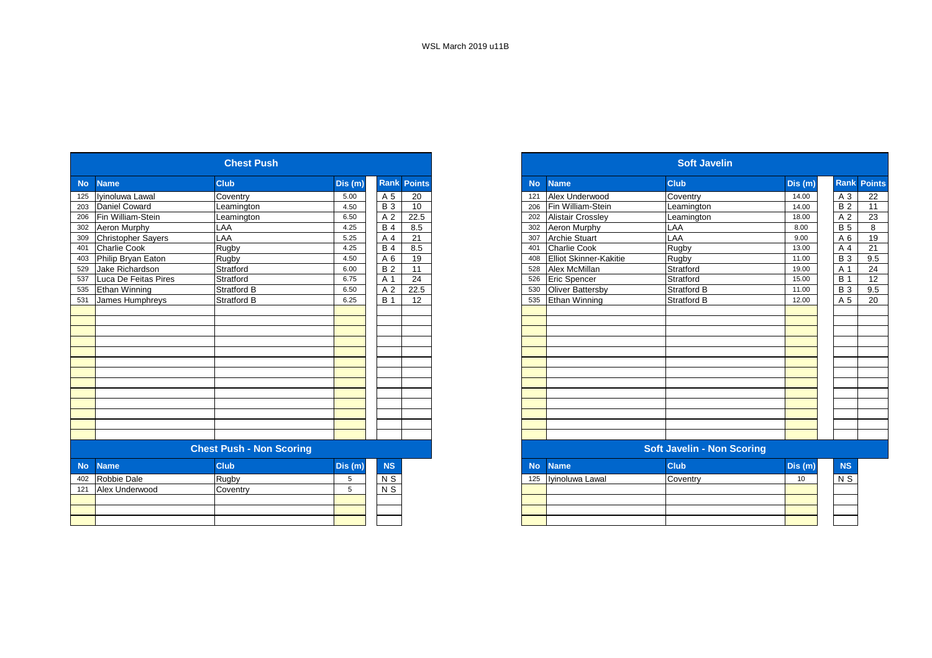|                           | <b>Chest Push</b>                                         |                    |                                 |                    |
|---------------------------|-----------------------------------------------------------|--------------------|---------------------------------|--------------------|
| <b>Name</b>               | <b>Club</b>                                               | Dis (m)            |                                 | <b>Rank Points</b> |
| Iyinoluwa Lawal           | Coventry                                                  | 5.00               | A 5                             | 20                 |
| Daniel Coward             | Leamington                                                | 4.50               | <b>B</b> 3                      | 10                 |
| Fin William-Stein         | Leamington                                                | 6.50               | A <sub>2</sub>                  | 22.5               |
| Aeron Murphy              | LAA                                                       | 4.25               | <b>B</b> 4                      | 8.5                |
| <b>Christopher Sayers</b> | LAA                                                       | 5.25               | A 4                             | 21                 |
| <b>Charlie Cook</b>       | Rugby                                                     | 4.25               | <b>B</b> 4                      | 8.5                |
| Philip Bryan Eaton        |                                                           | 4.50               | A 6                             | 19                 |
| Jake Richardson           | Stratford                                                 | 6.00               | <b>B2</b>                       | 11                 |
|                           |                                                           | 6.75               | A 1                             | 24                 |
| <b>Ethan Winning</b>      | Stratford B                                               | 6.50               | A <sub>2</sub>                  | 22.5               |
|                           | Stratford B                                               | 6.25               | <b>B</b> 1                      | 12                 |
|                           |                                                           |                    |                                 |                    |
|                           |                                                           |                    |                                 |                    |
|                           |                                                           |                    |                                 |                    |
|                           |                                                           |                    |                                 |                    |
|                           |                                                           |                    |                                 |                    |
|                           |                                                           |                    |                                 |                    |
|                           |                                                           |                    |                                 |                    |
|                           |                                                           |                    |                                 |                    |
|                           |                                                           |                    |                                 |                    |
|                           |                                                           |                    |                                 |                    |
|                           |                                                           |                    |                                 |                    |
|                           |                                                           |                    |                                 |                    |
|                           |                                                           |                    |                                 |                    |
|                           |                                                           |                    |                                 |                    |
| <b>Name</b>               | <b>Club</b>                                               | Dis (m)            | <b>NS</b>                       |                    |
| Robbie Dale               | Rugby                                                     | 5                  | $N$ S                           |                    |
|                           | Coventry                                                  | 5                  |                                 |                    |
|                           |                                                           |                    |                                 |                    |
|                           |                                                           |                    |                                 |                    |
|                           |                                                           |                    |                                 |                    |
|                           | Luca De Feitas Pires<br>James Humphreys<br>Alex Underwood | Rugby<br>Stratford | <b>Chest Push - Non Scoring</b> | $N$ S              |

| <b>Chest Push</b>                   |        |                    |
|-------------------------------------|--------|--------------------|
| <b>Club</b>                         | Dis(m) | <b>Rank Points</b> |
| Coventry                            | 5.00   | 20<br>A 5          |
| Leamington                          | 4.50   | <b>B</b> 3<br>10   |
| Fin William-Stein<br>Leamington     | 6.50   | A 2<br>22.5        |
| Aeron Murphy<br>LAA                 | 4.25   | 8.5<br><b>B</b> 4  |
| <b>Christopher Sayers</b><br>LAA    | 5.25   | 21<br>A 4          |
| <b>Charlie Cook</b><br>Rugby        | 4.25   | 8.5<br><b>B</b> 4  |
| Philip Bryan Eaton<br>Rugby         | 4.50   | A 6<br>19          |
| Jake Richardson<br>Stratford        | 6.00   | <b>B2</b><br>11    |
| Luca De Feitas Pires<br>Stratford   | 6.75   | 24<br>A 1          |
| Ethan Winning<br><b>Stratford B</b> | 6.50   | A 2<br>22.5        |
| James Humphreys<br>Stratford B      | 6.25   | <b>B</b> 1<br>12   |
|                                     |        |                    |
|                                     |        |                    |
|                                     |        |                    |
|                                     |        |                    |
|                                     |        |                    |
|                                     |        |                    |
|                                     |        |                    |
|                                     |        |                    |
|                                     |        |                    |
|                                     |        |                    |
|                                     |        |                    |
|                                     |        |                    |
|                                     |        |                    |
| <b>Chest Push - Non Scoring</b>     |        |                    |

|     | No Name         | <b>Club</b> | Dis(m) | <b>NS</b> |
|-----|-----------------|-------------|--------|-----------|
| 125 | Iyinoluwa Lawal | Coventry    | 10     | N S       |
|     |                 |             |        |           |
|     |                 |             |        |           |
|     |                 |             |        |           |
|     |                 |             |        |           |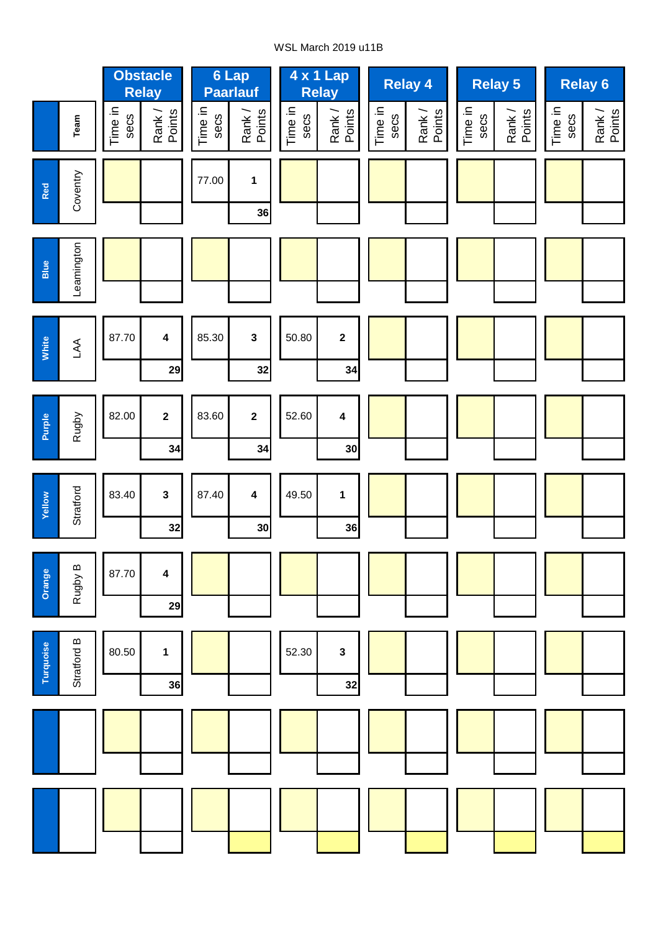## WSL March 2019 u11B

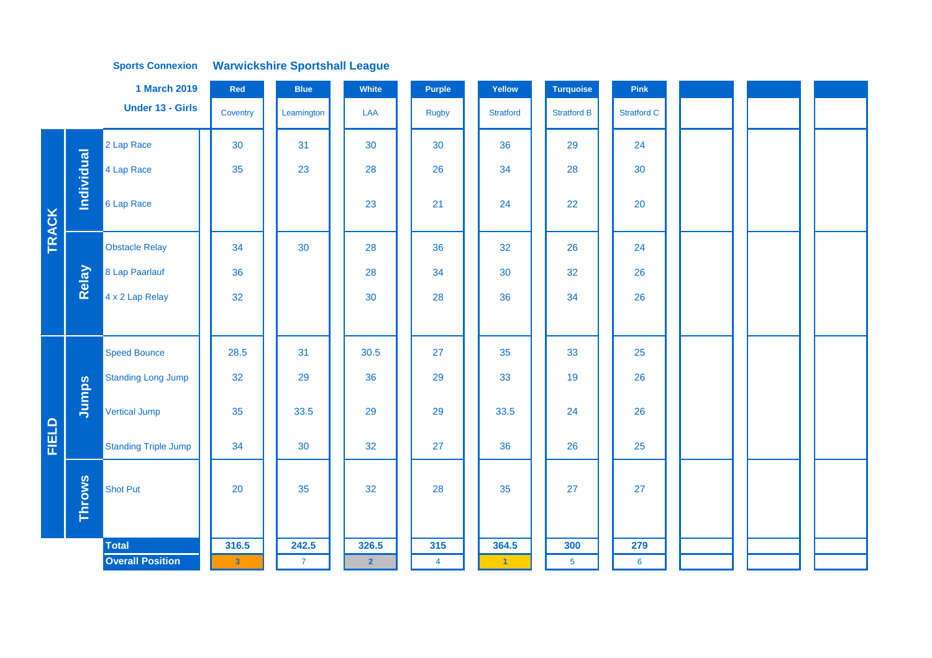**Warwickshire Sportshall League Sports Connexion**

|              |               | 1 March 2019                | Red          | <b>Blue</b>    | White          | <b>Purple</b>  | Yellow           | <b>Turquoise</b>   | Pink               |  |  |
|--------------|---------------|-----------------------------|--------------|----------------|----------------|----------------|------------------|--------------------|--------------------|--|--|
|              |               | <b>Under 13 - Girls</b>     | Coventry     | Leamington     | LAA            | <b>Rugby</b>   | <b>Stratford</b> | <b>Stratford B</b> | <b>Stratford C</b> |  |  |
|              |               | 2 Lap Race                  | 30           | 31             | 30             | 30             | 36               | 29                 | 24                 |  |  |
|              |               | 4 Lap Race                  | 35           | 23             | 28             | 26             | 34               | 28                 | 30                 |  |  |
| <b>TRACK</b> | Individual    | 6 Lap Race                  |              |                | 23             | 21             | 24               | 22                 | 20                 |  |  |
|              |               | <b>Obstacle Relay</b>       | 34           | 30             | 28             | 36             | 32               | 26                 | 24                 |  |  |
|              | Relay         | 8 Lap Paarlauf              | 36           |                | 28             | 34             | 30               | 32                 | 26                 |  |  |
|              |               | 4 x 2 Lap Relay             | 32           |                | 30             | 28             | 36               | 34                 | 26                 |  |  |
|              |               |                             |              |                |                |                |                  |                    |                    |  |  |
|              |               | <b>Speed Bounce</b>         | 28.5         | 31             | 30.5           | 27             | 35               | 33                 | 25                 |  |  |
|              |               | <b>Standing Long Jump</b>   | 32           | 29             | 36             | 29             | 33               | 19                 | 26                 |  |  |
|              | Jumps         | <b>Vertical Jump</b>        | 35           | 33.5           | 29             | 29             | 33.5             | 24                 | 26                 |  |  |
| <b>FIELD</b> |               | <b>Standing Triple Jump</b> | 34           | 30             | 32             | 27             | 36               | 26                 | 25                 |  |  |
|              | <b>Throws</b> | <b>Shot Put</b>             | 20           | 35             | 32             | 28             | 35               | 27                 | 27                 |  |  |
|              |               | <b>Total</b>                | 316.5        | 242.5          | 326.5          | 315            | 364.5            | 300                | 279                |  |  |
|              |               | <b>Overall Position</b>     | $\mathbf{3}$ | $\overline{7}$ | $\overline{2}$ | $\overline{4}$ | $\blacksquare$   | 5 <sub>5</sub>     | $6\phantom{1}6$    |  |  |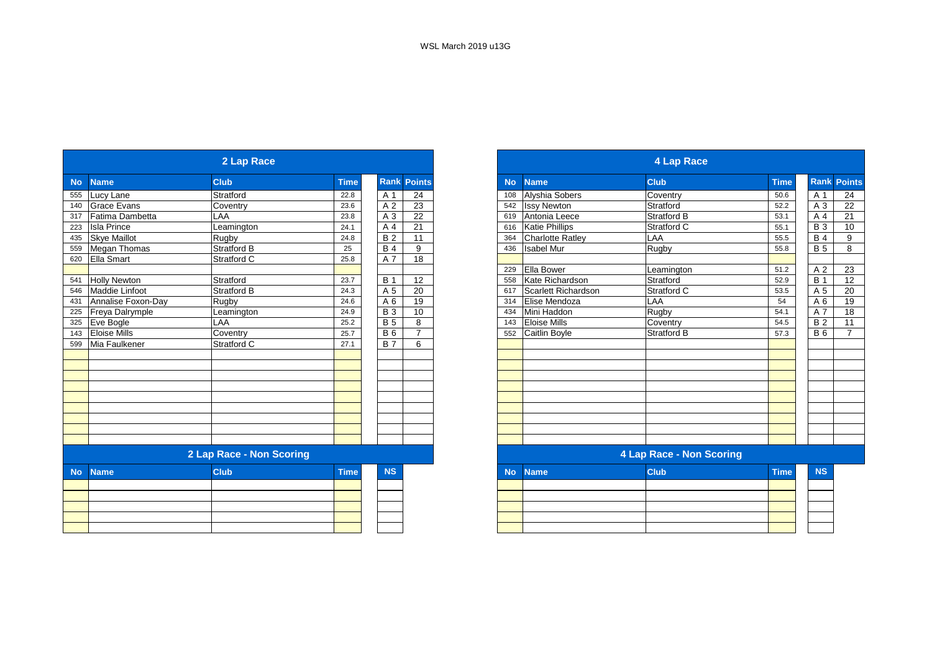|           |                       | 2 Lap Race               |             |                 |                    |
|-----------|-----------------------|--------------------------|-------------|-----------------|--------------------|
| <b>No</b> | <b>Name</b>           | <b>Club</b>              | <b>Time</b> |                 | <b>Rank Points</b> |
|           | 555 Lucy Lane         | Stratford                | 22.8        | A 1             | 24                 |
| 140       | <b>Grace Evans</b>    | Coventry                 | 23.6        | A <sub>2</sub>  | $\overline{23}$    |
|           | 317 Fatima Dambetta   | LAA                      | 23.8        | A 3             | 22                 |
| 223       | <b>Isla Prince</b>    | Leamington               | 24.1        | A 4             | 21                 |
|           | 435 Skye Maillot      | Rugby                    | 24.8        | <b>B2</b>       | 11                 |
|           | 559 Megan Thomas      | <b>Stratford B</b>       | 25          | <b>B</b> 4      | 9                  |
|           | 620 Ella Smart        | Stratford C              | 25.8        | A 7             | $\overline{18}$    |
|           |                       |                          |             |                 |                    |
|           | <b>Holly Newton</b>   | Stratford                | 23.7        | <b>B</b> 1      | 12                 |
| 546       | <b>Maddie Linfoot</b> | Stratford B              | 24.3        | A 5             | 20                 |
|           | Annalise Foxon-Day    | Rugby                    | 24.6        | A 6             | 19                 |
|           | Freya Dalrymple       | Leamington               | 24.9        | $\overline{B}3$ | 10                 |
|           | Eve Bogle             | LAA                      | 25.2        | <b>B</b> 5      | 8                  |
|           | 143 Eloise Mills      | Coventry                 | 25.7        | <b>B6</b>       | $\overline{7}$     |
| 599       | Mia Faulkener         | Stratford C              | 27.1        | <b>B7</b>       | 6                  |
|           |                       |                          |             |                 |                    |
|           |                       |                          |             |                 |                    |
|           |                       |                          |             |                 |                    |
|           |                       |                          |             |                 |                    |
|           |                       |                          |             |                 |                    |
|           |                       |                          |             |                 |                    |
|           |                       |                          |             |                 |                    |
|           |                       |                          |             |                 |                    |
|           |                       |                          |             |                 |                    |
|           |                       | 2 Lap Race - Non Scoring |             |                 |                    |
| <b>No</b> | <b>Name</b>           | <b>Club</b>              | <b>Time</b> | <b>NS</b>       |                    |
|           |                       |                          |             |                 |                    |
|           |                       |                          |             |                 |                    |
|           |                       |                          |             |                 |                    |
|           |                       |                          |             |                 |                    |
|           |                       |                          |             |                 |                    |

|           |                        | 2 Lap Race               |                |                |                |
|-----------|------------------------|--------------------------|----------------|----------------|----------------|
| <b>No</b> | <b>Name</b>            | <b>Club</b>              | <b>Time</b>    | <b>Rank</b>    | <b>Points</b>  |
| 555       | Lucy Lane              | Stratford                | 22.8           | A 1            | 24             |
| 140       | <b>Grace Evans</b>     | Coventry                 | 23.6           | A <sub>2</sub> | 23             |
| 317       | <b>Fatima Dambetta</b> | LAA                      | 23.8           | A <sub>3</sub> | 22             |
| 223       | <b>Isla Prince</b>     | Leamington               | 24.1           | A 4            | 21             |
| 435       | <b>Skye Maillot</b>    | Rugby                    | 24.8           | <b>B2</b>      | 11             |
| 559       | Megan Thomas           | <b>Stratford B</b>       | 25             | <b>B</b> 4     | 9              |
| 620       | <b>Ella Smart</b>      | Stratford C              | 25.8           | A 7            | 18             |
|           |                        |                          |                |                |                |
| 541       | <b>Holly Newton</b>    | Stratford                | 23.7           | <b>B</b> 1     | 12             |
| 546       | <b>Maddie Linfoot</b>  | <b>Stratford B</b>       | 24.3           | A 5            | 20             |
| 431       | Annalise Foxon-Dav     | Rugby                    | 24.6           | A 6            | 19             |
| 225       | Freya Dalrymple        | Leamington               | 24.9           | <b>B</b> 3     | 10             |
| 325       | Eve Bogle              | LAA                      | 25.2           | <b>B</b> 5     | 8              |
| 143       | <b>Eloise Mills</b>    | Coventry                 | 25.7           | <b>B6</b>      | $\overline{ }$ |
| 599       | Mia Faulkener          | Stratford C              | 27.1           | <b>B</b> 7     | 6              |
|           |                        |                          |                |                |                |
|           |                        |                          |                |                |                |
|           |                        |                          |                |                |                |
|           |                        |                          |                |                |                |
|           |                        |                          |                |                |                |
|           |                        |                          |                |                |                |
|           |                        |                          |                |                |                |
|           |                        |                          |                |                |                |
|           |                        |                          |                |                |                |
|           |                        | 2 Lap Race - Non Scoring |                |                |                |
|           | <b>March Marchan</b>   | $\sim$ 1.1 $\sim$        | <b>STATION</b> | <b>AIC</b>     |                |

| ne | <b>Club</b> | <b>COLOR</b><br>المتخلفية |
|----|-------------|---------------------------|
|    |             |                           |
|    |             |                           |

| ١o٠ | <b>Name</b> | <b>Club</b> | <b>Time</b> | <b>NS</b> |
|-----|-------------|-------------|-------------|-----------|
|     |             |             |             |           |
|     |             |             |             |           |
|     |             |             |             |           |
|     |             |             |             |           |
|     |             |             |             |           |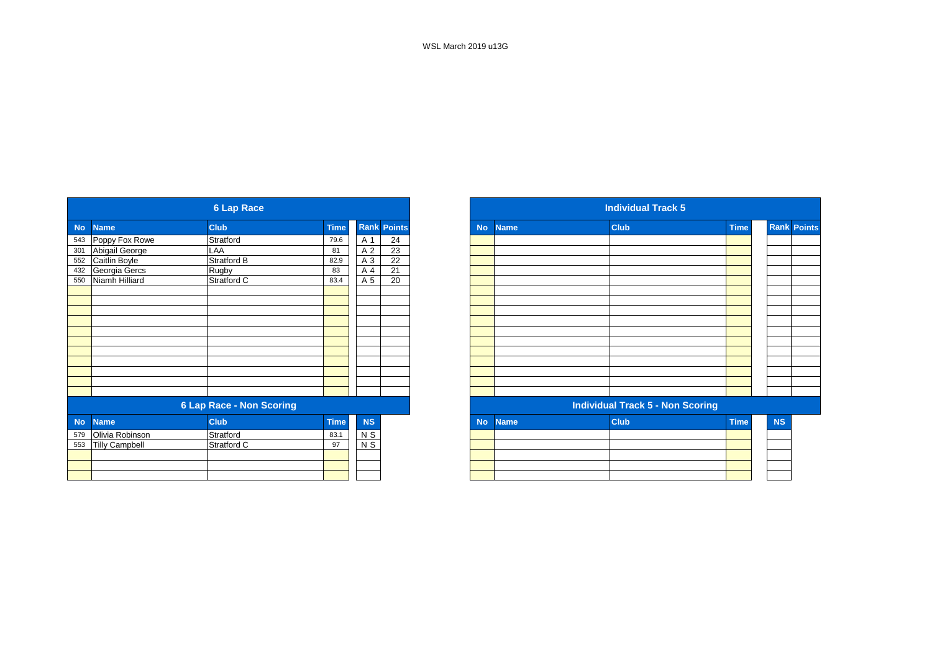|           |                       | <b>6 Lap Race</b>               |             |                |                    |
|-----------|-----------------------|---------------------------------|-------------|----------------|--------------------|
| <b>No</b> | <b>Name</b>           | <b>Club</b>                     | <b>Time</b> |                | <b>Rank Points</b> |
|           | 543 Poppy Fox Rowe    | Stratford                       | 79.6        | A 1            | 24                 |
| 301       | Abigail George        | LAA                             | 81          | A 2            | 23                 |
| 552       | Caitlin Boyle         | Stratford B                     | 82.9        | A 3            | 22                 |
|           | 432 Georgia Gercs     | Rugby                           | 83          | A 4            | 21                 |
| 550       | Niamh Hilliard        | Stratford C                     | 83.4        | A 5            | $\overline{20}$    |
|           |                       |                                 |             |                |                    |
|           |                       |                                 |             |                |                    |
|           |                       |                                 |             |                |                    |
|           |                       |                                 |             |                |                    |
|           |                       |                                 |             |                |                    |
|           |                       |                                 |             |                |                    |
|           |                       |                                 |             |                |                    |
|           |                       |                                 |             |                |                    |
|           |                       |                                 |             |                |                    |
|           |                       |                                 |             |                |                    |
|           |                       |                                 |             |                |                    |
|           |                       | <b>6 Lap Race - Non Scoring</b> |             |                |                    |
| <b>No</b> | <b>Name</b>           | <b>Club</b>                     | <b>Time</b> | <b>NS</b>      |                    |
| 579       | Olivia Robinson       | Stratford                       | 83.1        | N <sub>S</sub> |                    |
| 553       | <b>Tilly Campbell</b> | Stratford C                     | 97          | $N$ S          |                    |
|           |                       |                                 |             |                |                    |
|           |                       |                                 |             |                |                    |
|           |                       |                                 |             |                |                    |

|                   |                       | <b>6 Lap Race</b>               |             |           |                    |
|-------------------|-----------------------|---------------------------------|-------------|-----------|--------------------|
|                   | <b>Name</b>           | <b>Club</b>                     | <b>Time</b> |           | <b>Rank Points</b> |
|                   | 543 Poppy Fox Rowe    | Stratford                       | 79.6        | A 1       | 24                 |
|                   | Abigail George        | LAA                             | 81          | A 2       | 23                 |
| 301<br>552<br>432 | Caitlin Boyle         | Stratford B                     | 82.9        | A 3       | 22                 |
|                   | Georgia Gercs         | Rugby                           | 83          | A 4       | 21                 |
| 550               | Niamh Hilliard        | Stratford C                     | 83.4        | A 5       | 20                 |
|                   |                       |                                 |             |           |                    |
|                   |                       |                                 |             |           |                    |
|                   |                       |                                 |             |           |                    |
|                   |                       |                                 |             |           |                    |
|                   |                       |                                 |             |           |                    |
|                   |                       |                                 |             |           |                    |
|                   |                       |                                 |             |           |                    |
|                   |                       |                                 |             |           |                    |
|                   |                       |                                 |             |           |                    |
|                   |                       |                                 |             |           |                    |
|                   |                       |                                 |             |           |                    |
|                   |                       | <b>6 Lap Race - Non Scoring</b> |             |           |                    |
| No                | <b>Name</b>           | <b>Club</b>                     | <b>Time</b> | <b>NS</b> |                    |
| 579               | Olivia Robinson       | Stratford                       | 83.1        | N S       |                    |
| 553               | <b>Tilly Campbell</b> | Stratford C                     | 97          | $N$ S     |                    |
|                   |                       |                                 |             |           |                    |
|                   |                       |                                 |             |           |                    |
|                   |                       |                                 |             |           |                    |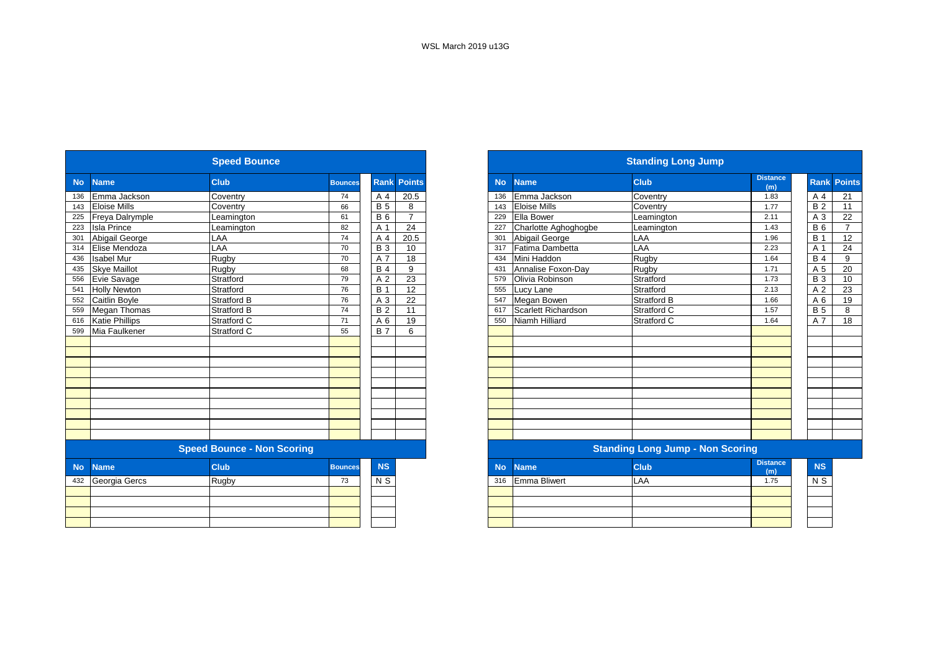|           |                       | <b>Speed Bounce</b>               |                |                 |                    |           |                      | <b>Standing Long Jump</b>               |                        |
|-----------|-----------------------|-----------------------------------|----------------|-----------------|--------------------|-----------|----------------------|-----------------------------------------|------------------------|
| <b>No</b> | <b>Name</b>           | <b>Club</b>                       | <b>Bounces</b> |                 | <b>Rank Points</b> | <b>No</b> | <b>Name</b>          | <b>Club</b>                             | <b>Distance</b><br>(m) |
| 136       | Emma Jackson          | Coventry                          | 74             | A 4             | 20.5               | 136       | Emma Jackson         | Coventry                                | 1.83                   |
| 143       | <b>Eloise Mills</b>   | Coventry                          | 66             | <b>B</b> 5      | 8                  | 143       | <b>Eloise Mills</b>  | Coventry                                | 1.77                   |
| 225       | Freya Dalrymple       | Leamington                        | 61             | <b>B</b> 6      | $\overline{7}$     | 229       | <b>Ella Bower</b>    | Leamington                              | 2.11                   |
| 223       | <b>Isla Prince</b>    | eamington                         | 82             | A 1             | 24                 | 227       | Charlotte Aghoghogbe | Leamington                              | 1.43                   |
| 301       | Abigail George        | LAA                               | 74             | A 4             | 20.5               | 301       | Abigail George       | LAA                                     | 1.96                   |
| 314       | Elise Mendoza         | LAA                               | 70             | <b>B</b> 3      | 10                 | 317       | Fatima Dambetta      | LAA                                     | 2.23                   |
| 436       | <b>Isabel Mur</b>     | Rugby                             | 70             | A 7             | 18                 | 434       | Mini Haddon          | Rugby                                   | 1.64                   |
| 435       | <b>Skye Maillot</b>   | Rugby                             | 68             | <b>B4</b>       | 9                  | 431       | Annalise Foxon-Day   | Rugby                                   | 1.71                   |
| 556       | Evie Savage           | Stratford                         | 79             | A 2             | 23                 | 579       | Olivia Robinson      | Stratford                               | 1.73                   |
| 541       | <b>Holly Newton</b>   | Stratford                         | 76             | <b>B</b> 1      | 12                 | 555       | Lucy Lane            | Stratford                               | 2.13                   |
| 552       | <b>Caitlin Boyle</b>  | <b>Stratford B</b>                | 76             | A 3             | 22                 | 547       | Megan Bowen          | <b>Stratford B</b>                      | 1.66                   |
| 559       | <b>Megan Thomas</b>   | <b>Stratford B</b>                | 74             | $\overline{B}2$ | 11                 | 617       | Scarlett Richardson  | Stratford C                             | 1.57                   |
| 616       | <b>Katie Phillips</b> | Stratford C                       | 71             | A 6             | 19                 | 550       | Niamh Hilliard       | Stratford C                             | 1.64                   |
| 599       | Mia Faulkener         | Stratford C                       | 55             | <b>B</b> 7      | 6                  |           |                      |                                         |                        |
|           |                       |                                   |                |                 |                    |           |                      |                                         |                        |
|           |                       |                                   |                |                 |                    |           |                      |                                         |                        |
|           |                       |                                   |                |                 |                    |           |                      |                                         |                        |
|           |                       |                                   |                |                 |                    |           |                      |                                         |                        |
|           |                       |                                   |                |                 |                    |           |                      |                                         |                        |
|           |                       |                                   |                |                 |                    |           |                      |                                         |                        |
|           |                       |                                   |                |                 |                    |           |                      |                                         |                        |
|           |                       |                                   |                |                 |                    |           |                      |                                         |                        |
|           |                       |                                   |                |                 |                    |           |                      |                                         |                        |
|           |                       |                                   |                |                 |                    |           |                      |                                         |                        |
|           |                       | <b>Speed Bounce - Non Scoring</b> |                |                 |                    |           |                      | <b>Standing Long Jump - Non Scoring</b> |                        |
| <b>No</b> | <b>Name</b>           | <b>Club</b>                       | <b>Bounces</b> | <b>NS</b>       |                    | <b>No</b> | <b>Name</b>          | <b>Club</b>                             | <b>Distance</b><br>(m) |
|           | 432 Georgia Gercs     | Rugby                             | 73             | N <sub>S</sub>  |                    | 316       | <b>Emma Bliwert</b>  | LAA                                     | 1.75                   |
|           |                       |                                   |                |                 |                    |           |                      |                                         |                        |
|           |                       |                                   |                |                 |                    |           |                      |                                         |                        |
|           |                       |                                   |                |                 |                    |           |                      |                                         |                        |
|           |                       |                                   |                |                 |                    |           |                      |                                         |                        |
|           |                       |                                   |                |                 |                    |           |                      |                                         |                        |

|                       |                     | <b>Speed Bounce</b>               |                |            |                 |
|-----------------------|---------------------|-----------------------------------|----------------|------------|-----------------|
| <b>Name</b>           |                     | <b>Club</b>                       | <b>Bounces</b> | Rank       | <b>Points</b>   |
|                       | Emma Jackson        | Coventry                          | 74             | A 4        | 20.5            |
| <b>Eloise Mills</b>   |                     | Coventry                          | 66             | <b>B</b> 5 | 8               |
|                       | Freya Dalrymple     | Leamington                        | 61             | <b>B6</b>  | $\overline{7}$  |
| <b>Isla Prince</b>    |                     | Leamington                        | 82             | A 1        | $\overline{24}$ |
| Abigail George        |                     | LAA                               | 74             | A 4        | 20.5            |
| Elise Mendoza         |                     | LAA                               | 70             | <b>B</b> 3 | 10              |
| <b>Isabel Mur</b>     |                     | Rugby                             | 70             | A 7        | 18              |
| <b>Skye Maillot</b>   |                     | Rugby                             | 68             | <b>B</b> 4 | 9               |
| Evie Savage           |                     | Stratford                         | 79             | A 2        | 23              |
| <b>Holly Newton</b>   |                     | Stratford                         | 76             | <b>B</b> 1 | 12              |
| Caitlin Boyle         |                     | <b>Stratford B</b>                | 76             | A 3        | 22              |
|                       | <b>Megan Thomas</b> | <b>Stratford B</b>                | 74             | <b>B2</b>  | 11              |
| <b>Katie Phillips</b> |                     | Stratford C                       | 71             | A 6        | 19              |
| Mia Faulkener         |                     | Stratford C                       | 55             | <b>B</b> 7 | 6               |
|                       |                     |                                   |                |            |                 |
|                       |                     |                                   |                |            |                 |
|                       |                     |                                   |                |            |                 |
|                       |                     |                                   |                |            |                 |
|                       |                     |                                   |                |            |                 |
|                       |                     |                                   |                |            |                 |
|                       |                     |                                   |                |            |                 |
|                       |                     |                                   |                |            |                 |
|                       |                     |                                   |                |            |                 |
|                       |                     |                                   |                |            |                 |
|                       |                     | <b>Speed Bounce - Non Scoring</b> |                |            |                 |
| <b>Name</b>           |                     | <b>Club</b>                       | <b>Bounces</b> | <b>NS</b>  |                 |
| Georgia Gercs         |                     | Rugby                             | 73             | N S        |                 |
|                       |                     |                                   |                |            |                 |
|                       |                     |                                   |                |            |                 |
|                       |                     |                                   |                |            |                 |
|                       |                     |                                   |                |            |                 |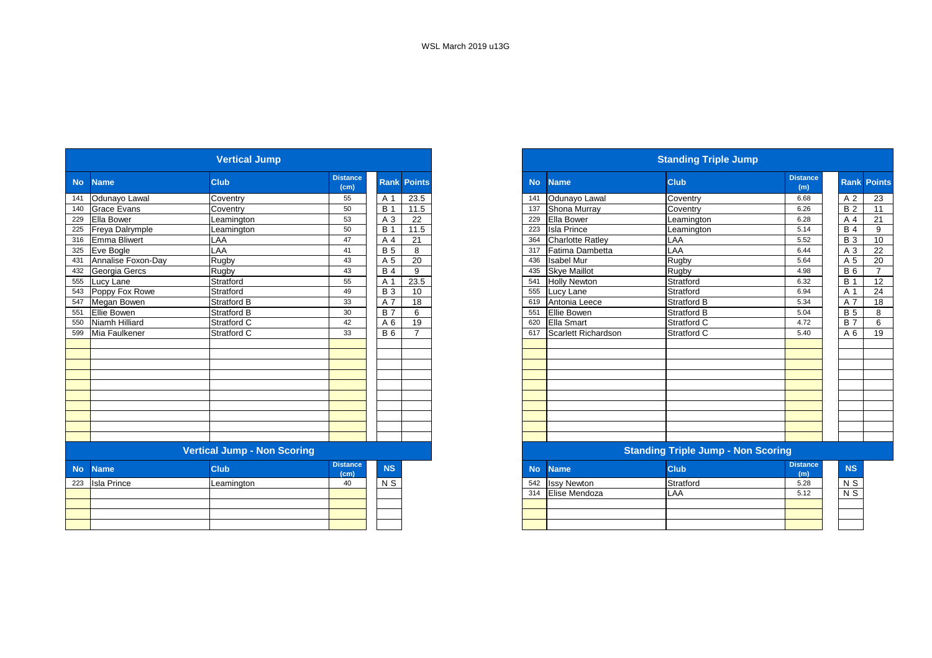|           |                    | <b>Vertical Jump</b>               |                         |            |                    |
|-----------|--------------------|------------------------------------|-------------------------|------------|--------------------|
| <b>No</b> | <b>Name</b>        | <b>Club</b>                        | <b>Distance</b><br>(cm) |            | <b>Rank Points</b> |
| 141       | Odunayo Lawal      | Coventry                           | 55                      | A 1        | 23.5               |
| 140       | <b>Grace Evans</b> | Coventry                           | 50                      | <b>B</b> 1 | 11.5               |
| 229       | Ella Bower         | Leamington                         | 53                      | A 3        | 22                 |
| 225       | Freya Dalrymple    | Leamington                         | 50                      | <b>B</b> 1 | 11.5               |
| 316       | Emma Bliwert       | LAA                                | 47                      | A 4        | 21                 |
| 325       | Eve Bogle          | LAA                                | 41                      | <b>B</b> 5 | 8                  |
| 431       | Annalise Foxon-Day | Rugby                              | 43                      | A 5        | 20                 |
| 432       | Georgia Gercs      | Rugby                              | 43                      | <b>B</b> 4 | 9                  |
| 555       | Lucy Lane          | Stratford                          | 55                      | A 1        | 23.5               |
| 543       | Poppy Fox Rowe     | Stratford                          | 49                      | <b>B</b> 3 | 10                 |
| 547       | Megan Bowen        | <b>Stratford B</b>                 | 33                      | A 7        | 18                 |
| 551       | <b>Ellie Bowen</b> | <b>Stratford B</b>                 | 30                      | <b>B7</b>  | 6                  |
| 550       | Niamh Hilliard     | <b>Stratford C</b>                 | 42                      | A 6        | 19                 |
| 599       | Mia Faulkener      | Stratford C                        | 33                      | <b>B</b> 6 |                    |
|           |                    |                                    |                         |            |                    |
|           |                    |                                    |                         |            |                    |
|           |                    |                                    |                         |            |                    |
|           |                    |                                    |                         |            |                    |
|           |                    |                                    |                         |            |                    |
|           |                    |                                    |                         |            |                    |
|           |                    |                                    |                         |            |                    |
|           |                    |                                    |                         |            |                    |
|           |                    |                                    |                         |            |                    |
|           |                    |                                    |                         |            |                    |
|           |                    | <b>Vertical Jump - Non Scoring</b> |                         |            |                    |
| <b>No</b> | <b>Name</b>        | <b>Club</b>                        | <b>Distance</b><br>(cm) | <b>NS</b>  |                    |
| 223       | <b>Isla Prince</b> | Leamington                         | 40                      | $N$ S      |                    |
|           |                    |                                    |                         |            |                    |
|           |                    |                                    |                         |            |                    |
|           |                    |                                    |                         |            |                    |
|           |                    |                                    |                         |            |                    |

| <b>Distance</b><br><b>Club</b><br><b>No</b><br><b>Club</b><br><b>Name</b><br><b>Rank Points</b><br><b>No</b><br><b>Name</b><br>(cm)<br>Odunayo Lawal<br>23.5<br>Odunayo Lawal<br>Coventry<br>Coventry<br>55<br>A 1<br>141<br>$B$ .<br>Shona Murray<br><b>Grace Evans</b><br>11.5<br>Coventry<br>Coventry<br>50<br>137<br>22<br>Ella Bower<br><b>Ella Bower</b><br>A 3<br>53<br>229<br>Leamington<br>Leamington<br>11.5<br>50<br><b>B</b> 1<br><b>Isla Prince</b><br>Freya Dalrymple<br>223<br>Leamington<br>Leamington<br><b>Emma Bliwert</b><br>LAA<br>21<br><b>Charlotte Ratley</b><br>LAA<br>A 4<br>47<br>364<br><b>B</b> 5<br>LAA<br>LAA<br>8<br>Fatima Dambetta<br>317<br>41<br>Annalise Foxon-Day<br>Rugby<br>20<br><b>Isabel Mur</b><br>Rugby<br>A 5<br>43<br>436 | <b>Distance</b><br>(m)<br>6.68<br>6.26<br>6.28 | A 2<br><b>B2</b> | <b>Rank Points</b> |
|--------------------------------------------------------------------------------------------------------------------------------------------------------------------------------------------------------------------------------------------------------------------------------------------------------------------------------------------------------------------------------------------------------------------------------------------------------------------------------------------------------------------------------------------------------------------------------------------------------------------------------------------------------------------------------------------------------------------------------------------------------------------------|------------------------------------------------|------------------|--------------------|
| 141                                                                                                                                                                                                                                                                                                                                                                                                                                                                                                                                                                                                                                                                                                                                                                      |                                                |                  |                    |
| 140                                                                                                                                                                                                                                                                                                                                                                                                                                                                                                                                                                                                                                                                                                                                                                      |                                                |                  | 23                 |
| 229<br>225<br>316                                                                                                                                                                                                                                                                                                                                                                                                                                                                                                                                                                                                                                                                                                                                                        |                                                |                  | 11                 |
|                                                                                                                                                                                                                                                                                                                                                                                                                                                                                                                                                                                                                                                                                                                                                                          |                                                | A 4              | 21                 |
|                                                                                                                                                                                                                                                                                                                                                                                                                                                                                                                                                                                                                                                                                                                                                                          | 5.14                                           | <b>B</b> 4       | 9                  |
| 325 Eve Bogle<br>431                                                                                                                                                                                                                                                                                                                                                                                                                                                                                                                                                                                                                                                                                                                                                     | 5.52                                           | <b>B</b> 3       | 10                 |
|                                                                                                                                                                                                                                                                                                                                                                                                                                                                                                                                                                                                                                                                                                                                                                          | 6.44                                           | A <sub>3</sub>   | 22                 |
|                                                                                                                                                                                                                                                                                                                                                                                                                                                                                                                                                                                                                                                                                                                                                                          | 5.64                                           | A 5              | 20                 |
| 432<br><b>B</b> 4<br><b>Skye Maillot</b><br>Georgia Gercs<br>Rugby<br>9<br>Rugby<br>43<br>435                                                                                                                                                                                                                                                                                                                                                                                                                                                                                                                                                                                                                                                                            | 4.98                                           | <b>B</b> 6       | ⇁                  |
| Stratford<br>23.5<br>Stratford<br>555 Lucy Lane<br>A 1<br><b>Holly Newton</b><br>55<br>541                                                                                                                                                                                                                                                                                                                                                                                                                                                                                                                                                                                                                                                                               | 6.32                                           | <b>B</b> 1       | 12                 |
| <b>B</b> 3<br>543 Poppy Fox Rowe<br>10<br>Stratford<br>Stratford<br>49<br>555<br>Lucy Lane                                                                                                                                                                                                                                                                                                                                                                                                                                                                                                                                                                                                                                                                               | 6.94                                           | A 1              | 24                 |
| 18<br>547<br>Megan Bowen<br><b>Stratford B</b><br>A 7<br>Stratford B<br>33<br>Antonia Leece<br>619                                                                                                                                                                                                                                                                                                                                                                                                                                                                                                                                                                                                                                                                       | 5.34                                           | A 7              | 18                 |
| 551<br>Ellie Bowen<br>Ellie Bowen<br><b>Stratford B</b><br><b>B</b> 7<br>6<br>Stratford B<br>30<br>551                                                                                                                                                                                                                                                                                                                                                                                                                                                                                                                                                                                                                                                                   | 5.04                                           | <b>B</b> 5       | 8                  |
| 550<br>19<br>Niamh Hilliard<br>Stratford C<br>42<br><b>Ella Smart</b><br>A 6<br>620<br>Stratford C                                                                                                                                                                                                                                                                                                                                                                                                                                                                                                                                                                                                                                                                       | 4.72                                           | <b>B</b> 7       | 6                  |
| 599 Mia Faulkener<br>Stratford C<br><b>B</b> 6<br>Scarlett Richardson<br>33<br>$\overline{ }$<br>Stratford C<br>617                                                                                                                                                                                                                                                                                                                                                                                                                                                                                                                                                                                                                                                      | 5.40                                           | A 6              | 19                 |
|                                                                                                                                                                                                                                                                                                                                                                                                                                                                                                                                                                                                                                                                                                                                                                          |                                                |                  |                    |
|                                                                                                                                                                                                                                                                                                                                                                                                                                                                                                                                                                                                                                                                                                                                                                          |                                                |                  |                    |
|                                                                                                                                                                                                                                                                                                                                                                                                                                                                                                                                                                                                                                                                                                                                                                          |                                                |                  |                    |
|                                                                                                                                                                                                                                                                                                                                                                                                                                                                                                                                                                                                                                                                                                                                                                          |                                                |                  |                    |
|                                                                                                                                                                                                                                                                                                                                                                                                                                                                                                                                                                                                                                                                                                                                                                          |                                                |                  |                    |
|                                                                                                                                                                                                                                                                                                                                                                                                                                                                                                                                                                                                                                                                                                                                                                          |                                                |                  |                    |
|                                                                                                                                                                                                                                                                                                                                                                                                                                                                                                                                                                                                                                                                                                                                                                          |                                                |                  |                    |
|                                                                                                                                                                                                                                                                                                                                                                                                                                                                                                                                                                                                                                                                                                                                                                          |                                                |                  |                    |
|                                                                                                                                                                                                                                                                                                                                                                                                                                                                                                                                                                                                                                                                                                                                                                          |                                                |                  |                    |

### **Standing Triple Jump - Non Scoring**

| <b>stance</b><br>(cm) | <b>NS</b> | <b>No</b> | <b>Name</b>        | <b>Club</b> | <b>Distance</b><br>(m) | <b>NS</b>      |
|-----------------------|-----------|-----------|--------------------|-------------|------------------------|----------------|
| 40                    | N S       | 542       | <b>Issy Newton</b> | Stratford   | 5.28                   | N S            |
|                       |           | 314       | Elise Mendoza      | LAA         | 5.12                   | N <sub>S</sub> |
|                       |           |           |                    |             |                        |                |
|                       |           |           |                    |             |                        |                |
|                       |           |           |                    |             |                        |                |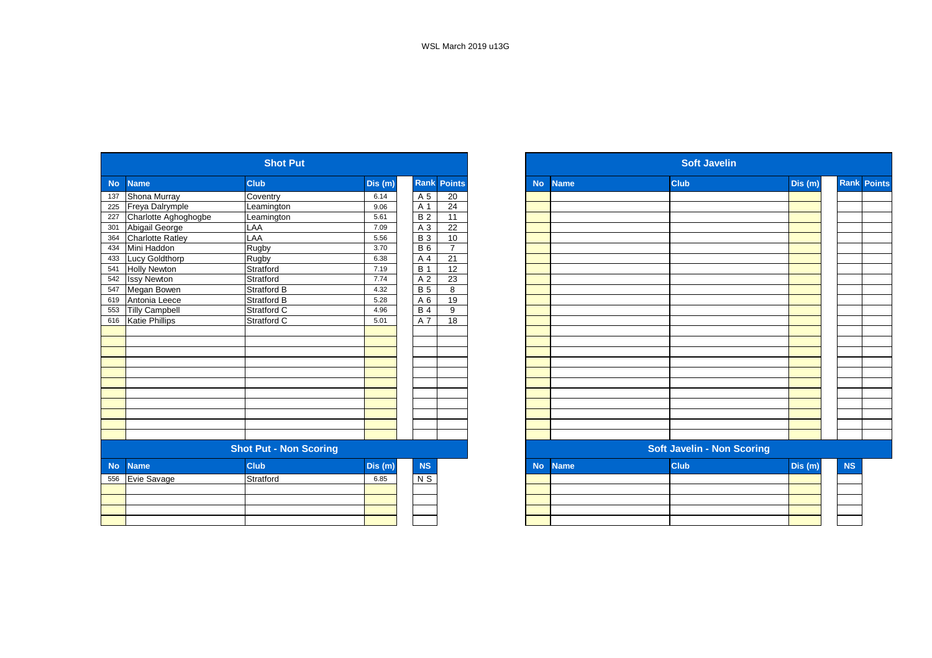|           |                         | <b>Shot Put</b>               |         |                |                 |           |             | <b>Soft Javelin</b>               |         |
|-----------|-------------------------|-------------------------------|---------|----------------|-----------------|-----------|-------------|-----------------------------------|---------|
| <b>No</b> | <b>Name</b>             | <b>Club</b>                   | Dis (m) | Rank           | <b>Points</b>   | <b>No</b> | <b>Name</b> | <b>Club</b>                       | Dis(m)  |
| 137       | Shona Murray            | Coventry                      | 6.14    | A 5            | 20              |           |             |                                   |         |
| 225       | Freya Dalrymple         | Leamington                    | 9.06    | A 1            | 24              |           |             |                                   |         |
| 227       | Charlotte Aghoghogbe    | Leamington                    | 5.61    | <b>B2</b>      | 11              |           |             |                                   |         |
| 301       | Abigail George          | LAA                           | 7.09    | A 3            | $\overline{22}$ |           |             |                                   |         |
| 364       | <b>Charlotte Ratley</b> | LAA                           | 5.56    | <b>B3</b>      | 10              |           |             |                                   |         |
| 434       | Mini Haddon             | Rugby                         | 3.70    | <b>B</b> 6     | $\overline{7}$  |           |             |                                   |         |
| 433       | Lucy Goldthorp          | Rugby                         | 6.38    | A <sub>4</sub> | $\overline{21}$ |           |             |                                   |         |
| 541       | <b>Holly Newton</b>     | Stratford                     | 7.19    | <b>B</b> 1     | $\overline{12}$ |           |             |                                   |         |
| 542       | <b>Issy Newton</b>      | Stratford                     | 7.74    | A 2            | 23              |           |             |                                   |         |
| 547       | Megan Bowen             | <b>Stratford B</b>            | 4.32    | <b>B</b> 5     | 8               |           |             |                                   |         |
| 619       | Antonia Leece           | Stratford B                   | 5.28    | A 6            | 19              |           |             |                                   |         |
| 553       | <b>Tilly Campbell</b>   | Stratford C                   | 4.96    | <b>B4</b>      | 9               |           |             |                                   |         |
| 616       | <b>Katie Phillips</b>   | Stratford C                   | 5.01    | A 7            | 18              |           |             |                                   |         |
|           |                         |                               |         |                |                 |           |             |                                   |         |
|           |                         |                               |         |                |                 |           |             |                                   |         |
|           |                         |                               |         |                |                 |           |             |                                   |         |
|           |                         |                               |         |                |                 |           |             |                                   |         |
|           |                         |                               |         |                |                 |           |             |                                   |         |
|           |                         |                               |         |                |                 |           |             |                                   |         |
|           |                         |                               |         |                |                 |           |             |                                   |         |
|           |                         |                               |         |                |                 |           |             |                                   |         |
|           |                         |                               |         |                |                 |           |             |                                   |         |
|           |                         |                               |         |                |                 |           |             |                                   |         |
|           |                         |                               |         |                |                 |           |             |                                   |         |
|           |                         | <b>Shot Put - Non Scoring</b> |         |                |                 |           |             | <b>Soft Javelin - Non Scoring</b> |         |
| <b>No</b> | <b>Name</b>             | <b>Club</b>                   | Dis(m)  | NS             |                 | <b>No</b> | <b>Name</b> | <b>Club</b>                       | Dis (m) |
| 556       | Evie Savage             | Stratford                     | 6.85    | N <sub>S</sub> |                 |           |             |                                   |         |
|           |                         |                               |         |                |                 |           |             |                                   |         |
|           |                         |                               |         |                |                 |           |             |                                   |         |
|           |                         |                               |         |                |                 |           |             |                                   |         |
|           |                         |                               |         |                |                 |           |             |                                   |         |

|                  |                         | <b>Shot Put</b>               |         |                  |                    |           |             | <b>Soft Javelin</b>               |         |                    |
|------------------|-------------------------|-------------------------------|---------|------------------|--------------------|-----------|-------------|-----------------------------------|---------|--------------------|
| <b>No</b>        | <b>Name</b>             | <b>Club</b>                   | Dis (m) |                  | <b>Rank Points</b> | <b>No</b> | <b>Name</b> | <b>Club</b>                       | Dis(m)  | <b>Rank Points</b> |
| 137              | Shona Murray            | Coventry                      | 6.14    | A 5              | 20                 |           |             |                                   |         |                    |
| 225              | Freya Dalrymple         | Leamington                    | 9.06    | A 1              | 24                 |           |             |                                   |         |                    |
| 227              | Charlotte Aghoghogbe    | Leamington                    | 5.61    | B <sub>2</sub>   | $\overline{11}$    |           |             |                                   |         |                    |
| $\overline{301}$ | Abigail George          | LAA                           | 7.09    | A 3              | 22                 |           |             |                                   |         |                    |
| 364              | <b>Charlotte Ratley</b> | LAA                           | 5.56    | <b>B3</b>        | 10                 |           |             |                                   |         |                    |
| 434              | Mini Haddon             | Rugby                         | 3.70    | <b>B</b> 6       | $\overline{7}$     |           |             |                                   |         |                    |
| 433              | Lucy Goldthorp          | Rugby                         | 6.38    | A 4              | $\overline{21}$    |           |             |                                   |         |                    |
| 541              | <b>Holly Newton</b>     | Stratford                     | 7.19    | $\overline{B}$ 1 | 12                 |           |             |                                   |         |                    |
| 542              | <b>Issy Newton</b>      | Stratford                     | 7.74    | A 2              | 23                 |           |             |                                   |         |                    |
| 547              | Megan Bowen             | Stratford B                   | 4.32    | <b>B</b> 5       | 8                  |           |             |                                   |         |                    |
| 619              | Antonia Leece           | Stratford B                   | 5.28    | A 6              | 19                 |           |             |                                   |         |                    |
| 553              | <b>Tilly Campbell</b>   | Stratford C                   | 4.96    | <b>B</b> 4       | 9                  |           |             |                                   |         |                    |
| 616              | <b>Katie Phillips</b>   | Stratford C                   | 5.01    | A 7              | 18                 |           |             |                                   |         |                    |
|                  |                         |                               |         |                  |                    |           |             |                                   |         |                    |
|                  |                         |                               |         |                  |                    |           |             |                                   |         |                    |
|                  |                         |                               |         |                  |                    |           |             |                                   |         |                    |
|                  |                         |                               |         |                  |                    |           |             |                                   |         |                    |
|                  |                         |                               |         |                  |                    |           |             |                                   |         |                    |
|                  |                         |                               |         |                  |                    |           |             |                                   |         |                    |
|                  |                         |                               |         |                  |                    |           |             |                                   |         |                    |
|                  |                         |                               |         |                  |                    |           |             |                                   |         |                    |
|                  |                         |                               |         |                  |                    |           |             |                                   |         |                    |
|                  |                         |                               |         |                  |                    |           |             |                                   |         |                    |
|                  |                         |                               |         |                  |                    |           |             |                                   |         |                    |
|                  |                         | <b>Shot Put - Non Scoring</b> |         |                  |                    |           |             | <b>Soft Javelin - Non Scoring</b> |         |                    |
| <b>No</b>        | <b>Name</b>             | <b>Club</b>                   | Dis (m) | <b>NS</b>        |                    | <b>No</b> | <b>Name</b> | <b>Club</b>                       | Dis (m) |                    |
| 556              | Evie Savage             | Stratford                     | 6.85    | $N$ S            |                    |           |             |                                   |         |                    |
|                  |                         |                               |         |                  |                    |           |             |                                   |         |                    |
|                  |                         |                               |         |                  |                    |           |             |                                   |         |                    |
|                  |                         |                               |         |                  |                    |           |             |                                   |         |                    |
|                  |                         |                               |         |                  |                    |           |             |                                   |         |                    |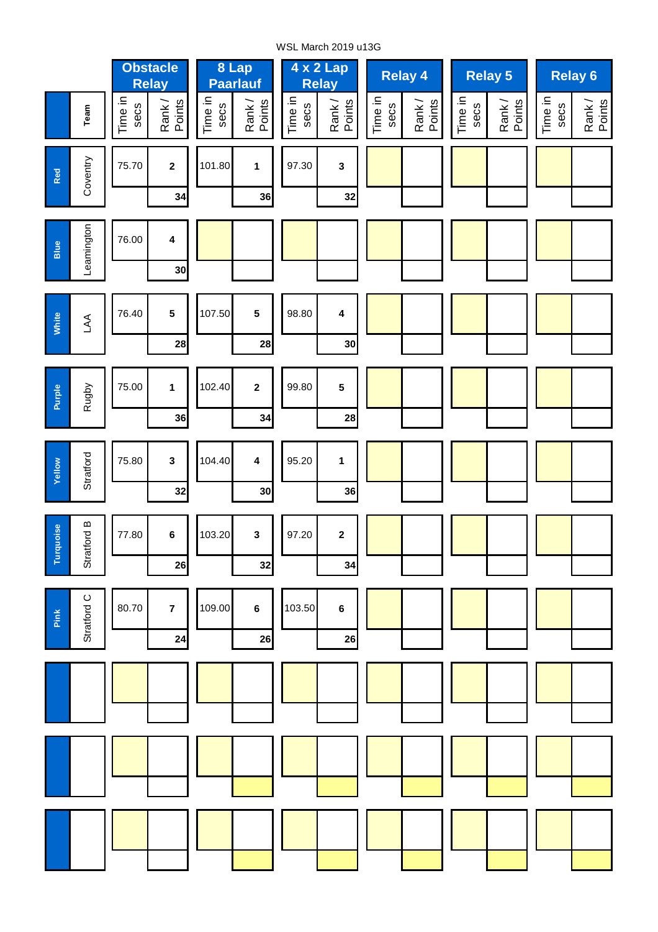WSL March 2019 u13G

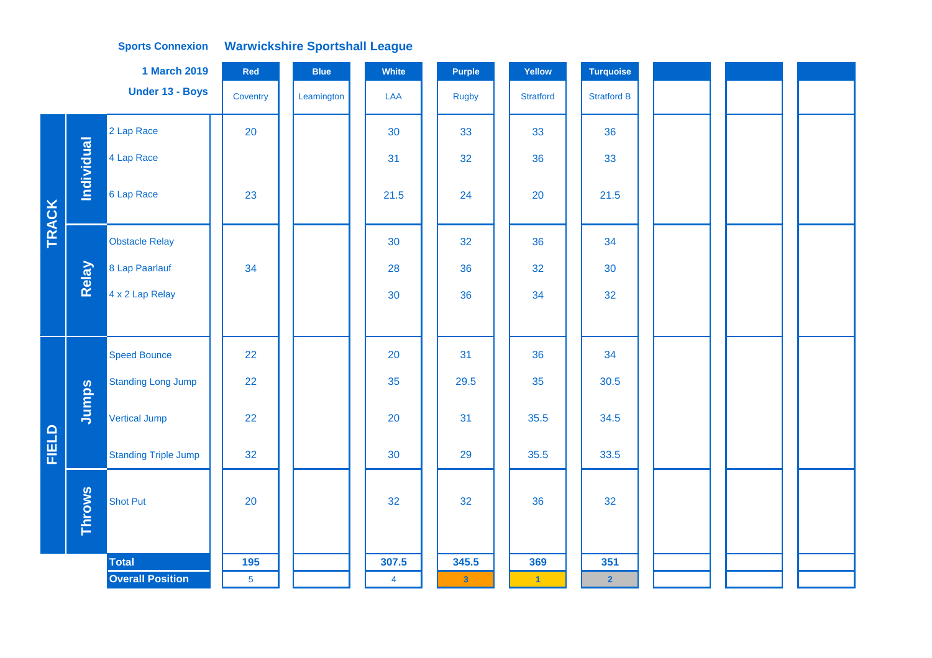|       |               | <b>1 March 2019</b>         | Red             | <b>Blue</b> | White          | <b>Purple</b>           | Yellow               | <b>Turquoise</b>   |  |  |  |
|-------|---------------|-----------------------------|-----------------|-------------|----------------|-------------------------|----------------------|--------------------|--|--|--|
|       |               | Under 13 - Boys             | Coventry        | Leamington  | LAA            | Rugby                   | <b>Stratford</b>     | <b>Stratford B</b> |  |  |  |
|       |               | 2 Lap Race                  | 20              |             | 30             | 33                      | 33                   | 36                 |  |  |  |
|       | Individual    | 4 Lap Race                  |                 |             | 31             | 32                      | 36                   | 33                 |  |  |  |
| TRACK |               | 6 Lap Race                  | 23              |             | 21.5           | 24                      | 20                   | 21.5               |  |  |  |
|       |               | <b>Obstacle Relay</b>       |                 |             | 30             | 32                      | 36                   | 34                 |  |  |  |
|       | Relay         | 8 Lap Paarlauf              | 34              |             | 28             | 36                      | 32                   | 30                 |  |  |  |
|       |               | 4 x 2 Lap Relay             |                 |             | 30             | 36                      | 34                   | 32                 |  |  |  |
|       |               |                             |                 |             |                |                         |                      |                    |  |  |  |
|       |               | <b>Speed Bounce</b>         | 22              |             | 20             | 31                      | 36                   | 34                 |  |  |  |
|       |               | <b>Standing Long Jump</b>   | 22              |             | 35             | 29.5                    | 35                   | 30.5               |  |  |  |
|       | Jumps         | <b>Vertical Jump</b>        | 22              |             | 20             | 31                      | 35.5                 | 34.5               |  |  |  |
| FIELD |               | <b>Standing Triple Jump</b> | 32              |             | 30             | 29                      | 35.5                 | 33.5               |  |  |  |
|       | <b>Throws</b> | <b>Shot Put</b>             | 20              |             | 32             | 32                      | 36                   | 32                 |  |  |  |
|       |               |                             |                 |             |                |                         |                      |                    |  |  |  |
|       |               | <b>Total</b>                | 195             |             | 307.5          | 345.5                   | 369                  | 351                |  |  |  |
|       |               | <b>Overall Position</b>     | $5\phantom{.0}$ |             | $\overline{4}$ | $\overline{\mathbf{3}}$ | $\blacktriangleleft$ | $\overline{2}$     |  |  |  |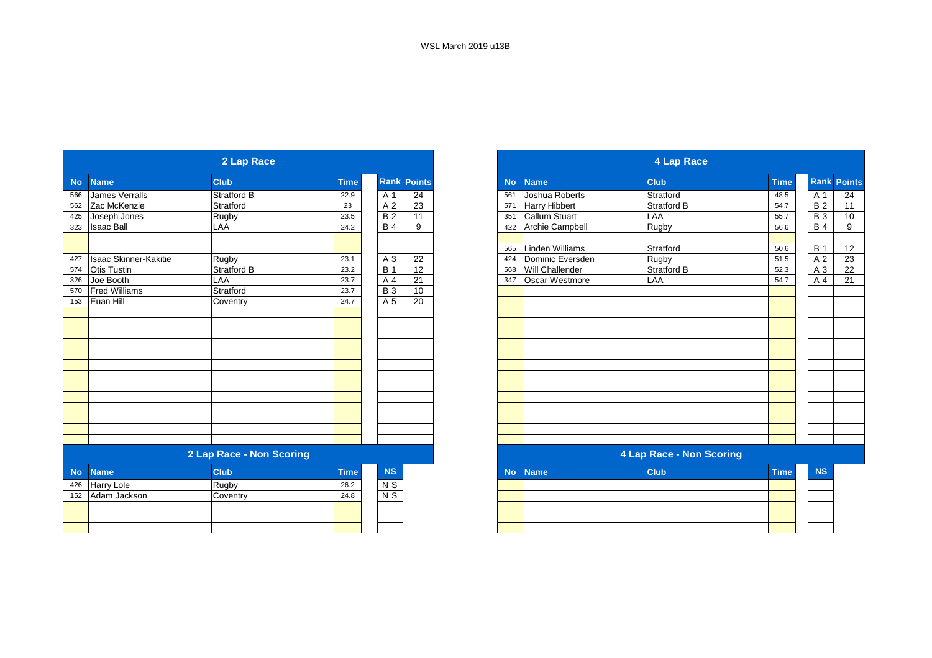|             |                                   | 2 Lap Race               |             |                         |                    |           |                      | 4 Lap Race               |             |                  |
|-------------|-----------------------------------|--------------------------|-------------|-------------------------|--------------------|-----------|----------------------|--------------------------|-------------|------------------|
| <b>Name</b> |                                   | <b>Club</b>              | <b>Time</b> |                         | <b>Rank Points</b> | <b>No</b> | <b>Name</b>          | <b>Club</b>              | <b>Time</b> | <b>Rank Poin</b> |
|             | <b>James Verralls</b>             | Stratford B              | 22.9        | A 1                     | 24                 | 561       | Joshua Roberts       | Stratford                | 48.5        | A 1              |
|             | Zac McKenzie                      | Stratford                | 23          | A <sub>2</sub>          | 23                 | 571       | <b>Harry Hibbert</b> | Stratford B              | 54.7        | B <sub>2</sub>   |
|             | Joseph Jones                      | Rugby                    | 23.5        | <b>B2</b>               | 11                 | 351       | Callum Stuart        | LAA                      | 55.7        | <b>B</b> 3       |
|             | <b>Isaac Ball</b>                 | LAA                      | 24.2        | <b>B4</b>               | 9                  | 422       | Archie Campbell      | Rugby                    | 56.6        | <b>B</b> 4       |
|             |                                   |                          |             |                         |                    | 565       | Linden Williams      | Stratford                | 50.6        | <b>B</b> 1       |
|             | <b>Isaac Skinner-Kakitie</b>      | Rugby                    | 23.1        | A 3                     | $\overline{22}$    | 424       | Dominic Eversden     | Rugby                    | 51.5        | A <sub>2</sub>   |
|             | <b>Otis Tustin</b>                | Stratford B              | 23.2        | <b>B</b> 1              | $\overline{12}$    | 568       | Will Challender      | <b>Stratford B</b>       | 52.3        | A 3              |
|             | Joe Booth                         | LAA                      | 23.7        | A 4                     | 21                 | 347       | Oscar Westmore       | LAA                      | 54.7        | A 4              |
| 570         | <b>Fred Williams</b>              | Stratford                | 23.7        | $\overline{B}3$         | 10                 |           |                      |                          |             |                  |
| 153         | Euan Hill                         | Coventry                 | 24.7        | A 5                     | 20                 |           |                      |                          |             |                  |
|             |                                   |                          |             |                         |                    |           |                      |                          |             |                  |
|             |                                   |                          |             |                         |                    |           |                      |                          |             |                  |
|             |                                   |                          |             |                         |                    |           |                      |                          |             |                  |
|             |                                   |                          |             |                         |                    |           |                      |                          |             |                  |
|             |                                   |                          |             |                         |                    |           |                      |                          |             |                  |
|             |                                   |                          |             |                         |                    |           |                      |                          |             |                  |
|             |                                   |                          |             |                         |                    |           |                      |                          |             |                  |
|             |                                   |                          |             |                         |                    |           |                      |                          |             |                  |
|             |                                   |                          |             |                         |                    |           |                      |                          |             |                  |
|             |                                   |                          |             |                         |                    |           |                      |                          |             |                  |
|             |                                   | 2 Lap Race - Non Scoring |             |                         |                    |           |                      | 4 Lap Race - Non Scoring |             |                  |
| <b>No</b>   | <b>Name</b>                       | <b>Club</b>              | <b>Time</b> | <b>NS</b>               |                    | <b>No</b> | <b>Name</b>          | <b>Club</b>              | <b>Time</b> | <b>NS</b>        |
| 426         |                                   | Rugby                    | 26.2        |                         |                    |           |                      |                          |             |                  |
| 152         | <b>Harry Lole</b><br>Adam Jackson |                          | 24.8        | N <sub>S</sub><br>$N$ S |                    |           |                      |                          |             |                  |
|             |                                   | Coventry                 |             |                         |                    |           |                      |                          |             |                  |
|             |                                   |                          |             |                         |                    |           |                      |                          |             |                  |
|             |                                   |                          |             |                         |                    |           |                      |                          |             |                  |
|             |                                   |                          |             |                         |                    |           |                      |                          |             |                  |

|           |                              | 2 Lap Race               |             |                |               |
|-----------|------------------------------|--------------------------|-------------|----------------|---------------|
|           | <b>Name</b>                  | <b>Club</b>              | <b>Time</b> | <b>Rank</b>    | <b>Points</b> |
|           | <b>James Verralls</b>        | Stratford B              | 22.9        | A 1            | 24            |
|           | Zac McKenzie                 | Stratford                | 23          | A 2            | 23            |
|           | Joseph Jones                 | Rugby                    | 23.5        | <b>B2</b>      | 11            |
|           | <b>Isaac Ball</b>            | LAA                      | 24.2        | <b>B</b> 4     | 9             |
|           |                              |                          |             |                |               |
| 427       | <b>Isaac Skinner-Kakitie</b> | Rugby                    | 23.1        | A 3            | 22            |
|           | <b>Otis Tustin</b>           | <b>Stratford B</b>       | 23.2        | <b>B</b> 1     | 12            |
| 326       | Joe Booth                    | LAA                      | 23.7        | A 4            | 21            |
| 570       | <b>Fred Williams</b>         | Stratford                | 23.7        | <b>B</b> 3     | 10            |
| 153       | Euan Hill                    | Coventry                 | 24.7        | A 5            | 20            |
|           |                              |                          |             |                |               |
|           |                              |                          |             |                |               |
|           |                              |                          |             |                |               |
|           |                              |                          |             |                |               |
|           |                              |                          |             |                |               |
|           |                              |                          |             |                |               |
|           |                              |                          |             |                |               |
|           |                              |                          |             |                |               |
|           |                              |                          |             |                |               |
|           |                              |                          |             |                |               |
|           |                              |                          |             |                |               |
|           |                              |                          |             |                |               |
|           |                              |                          |             |                |               |
|           |                              | 2 Lap Race - Non Scoring |             |                |               |
| <b>No</b> | <b>Name</b>                  | <b>Club</b>              | <b>Time</b> | NS             |               |
| 426       | Harry Lole                   | Rugby                    | 26.2        | N <sub>S</sub> |               |
| 152       | Adam Jackson                 | Coventry                 | 24.8        | $N$ S          |               |
|           |                              |                          |             |                |               |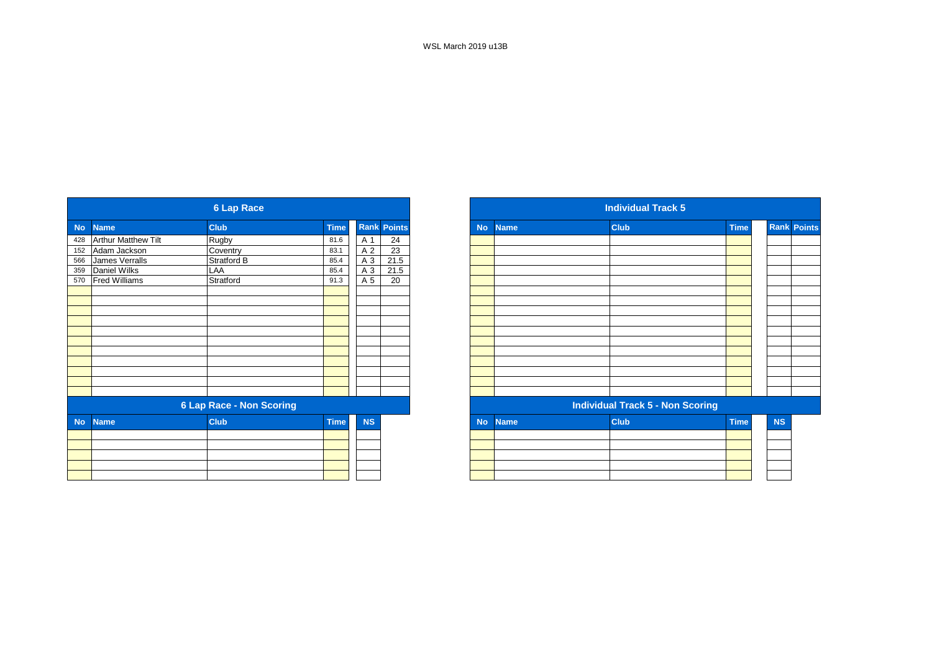|           |                            | <b>6 Lap Race</b>               |             |           |                    |
|-----------|----------------------------|---------------------------------|-------------|-----------|--------------------|
| <b>No</b> | <b>Name</b>                | <b>Club</b>                     | <b>Time</b> |           | <b>Rank Points</b> |
| 428       | <b>Arthur Matthew Tilt</b> | Rugby                           | 81.6        | A 1       | 24                 |
| 152       | Adam Jackson               | Coventry                        | 83.1        | A 2       | $\overline{23}$    |
| 566       | James Verralls             | <b>Stratford B</b>              | 85.4        | A 3       | 21.5               |
| 359       | Daniel Wilks               | LAA                             | 85.4        | A 3       | 21.5               |
| 570       | <b>Fred Williams</b>       | Stratford                       | 91.3        | A 5       | 20                 |
|           |                            |                                 |             |           |                    |
|           |                            |                                 |             |           |                    |
|           |                            |                                 |             |           |                    |
|           |                            |                                 |             |           |                    |
|           |                            |                                 |             |           |                    |
|           |                            |                                 |             |           |                    |
|           |                            |                                 |             |           |                    |
|           |                            |                                 |             |           |                    |
|           |                            |                                 |             |           |                    |
|           |                            |                                 |             |           |                    |
|           |                            |                                 |             |           |                    |
|           |                            | <b>6 Lap Race - Non Scoring</b> |             |           |                    |
| <b>No</b> | <b>Name</b>                | <b>Club</b>                     | <b>Time</b> | <b>NS</b> |                    |
|           |                            |                                 |             |           |                    |
|           |                            |                                 |             |           |                    |
|           |                            |                                 |             |           |                    |
|           |                            |                                 |             |           |                    |
|           |                            |                                 |             |           |                    |

|            |                            | 6 Lap Race               |             |           |                    |
|------------|----------------------------|--------------------------|-------------|-----------|--------------------|
|            | <b>Name</b>                | <b>Club</b>              | <b>Time</b> |           | <b>Rank Points</b> |
|            | <b>Arthur Matthew Tilt</b> | Rugby                    | 81.6        | A 1       | 24                 |
|            | Adam Jackson               | Coventry                 | 83.1        | A 2       | $\overline{23}$    |
| 566        | James Verralls             | Stratford B              | 85.4        | A 3       | 21.5               |
|            | Daniel Wilks               | LAA                      | 85.4        | A 3       | 21.5               |
| 359<br>570 | <b>Fred Williams</b>       | Stratford                | 91.3        | A 5       | 20                 |
|            |                            |                          |             |           |                    |
|            |                            |                          |             |           |                    |
|            |                            |                          |             |           |                    |
|            |                            |                          |             |           |                    |
|            |                            |                          |             |           |                    |
|            |                            |                          |             |           |                    |
|            |                            |                          |             |           |                    |
|            |                            |                          |             |           |                    |
|            |                            |                          |             |           |                    |
|            |                            |                          |             |           |                    |
|            |                            |                          |             |           |                    |
|            |                            | 6 Lap Race - Non Scoring |             |           |                    |
| No         | <b>Name</b>                | <b>Club</b>              | <b>Time</b> | <b>NS</b> |                    |
|            |                            |                          |             |           |                    |
|            |                            |                          |             |           |                    |
|            |                            |                          |             |           |                    |
|            |                            |                          |             |           |                    |
|            |                            |                          |             |           |                    |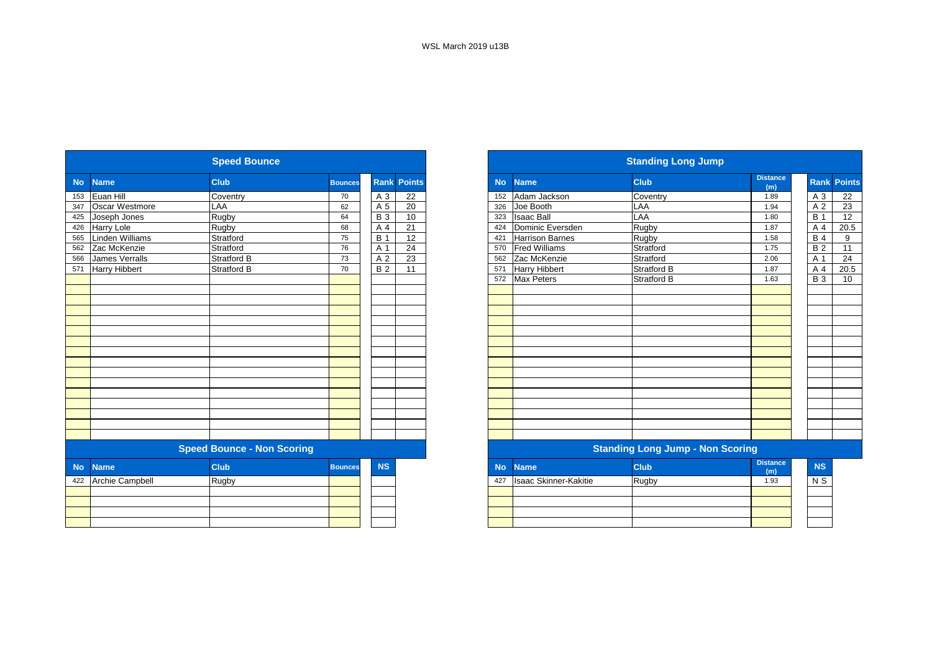|           |                        | <b>Speed Bounce</b>               |                |            |                    |           |                              | <b>Standing Long Jump</b>               |                        |
|-----------|------------------------|-----------------------------------|----------------|------------|--------------------|-----------|------------------------------|-----------------------------------------|------------------------|
| <b>No</b> | <b>Name</b>            | <b>Club</b>                       | <b>Bounces</b> |            | <b>Rank Points</b> | <b>No</b> | <b>Name</b>                  | <b>Club</b>                             | <b>Distance</b><br>(m) |
| 153       | Euan Hill              | Coventry                          | 70             | A 3        | 22                 | 152       | Adam Jackson                 | Coventry                                | 1.89                   |
| 347       | Oscar Westmore         | LAA                               | 62             | A 5        | 20                 | 326       | Joe Booth                    | LAA                                     | 1.94                   |
| 425       | Joseph Jones           | Rugby                             | 64             | <b>B</b> 3 | 10                 | 323       | <b>Isaac Ball</b>            | LAA                                     | 1.80                   |
| 426       | Harry Lole             | Rugby                             | 68             | A 4        | $\overline{21}$    | 424       | Dominic Eversden             | Rugby                                   | 1.87                   |
| 565       | <b>Linden Williams</b> | Stratford                         | 75             | <b>B</b> 1 | 12                 | 421       | <b>Harrison Barnes</b>       | Rugby                                   | 1.58                   |
| 562       | Zac McKenzie           | Stratford                         | 76             | A 1        | 24                 | 570       | <b>Fred Williams</b>         | Stratford                               | 1.75                   |
| 566       | <b>James Verralls</b>  | <b>Stratford B</b>                | 73             | A 2        | $\overline{23}$    | 562       | Zac McKenzie                 | Stratford                               | 2.06                   |
| 571       | <b>Harry Hibbert</b>   | <b>Stratford B</b>                | 70             | <b>B2</b>  | 11                 | 571       | <b>Harry Hibbert</b>         | <b>Stratford B</b>                      | 1.87                   |
|           |                        |                                   |                |            |                    | 572       | <b>Max Peters</b>            | <b>Stratford B</b>                      | 1.63                   |
|           |                        |                                   |                |            |                    |           |                              |                                         |                        |
|           |                        |                                   |                |            |                    |           |                              |                                         |                        |
|           |                        |                                   |                |            |                    |           |                              |                                         |                        |
|           |                        |                                   |                |            |                    |           |                              |                                         |                        |
|           |                        |                                   |                |            |                    |           |                              |                                         |                        |
|           |                        |                                   |                |            |                    |           |                              |                                         |                        |
|           |                        |                                   |                |            |                    |           |                              |                                         |                        |
|           |                        |                                   |                |            |                    |           |                              |                                         |                        |
|           |                        |                                   |                |            |                    |           |                              |                                         |                        |
|           |                        |                                   |                |            |                    |           |                              |                                         |                        |
|           |                        |                                   |                |            |                    |           |                              |                                         |                        |
|           |                        |                                   |                |            |                    |           |                              |                                         |                        |
|           |                        |                                   |                |            |                    |           |                              |                                         |                        |
|           |                        |                                   |                |            |                    |           |                              |                                         |                        |
|           |                        |                                   |                |            |                    |           |                              |                                         |                        |
|           |                        | <b>Speed Bounce - Non Scoring</b> |                |            |                    |           |                              | <b>Standing Long Jump - Non Scoring</b> |                        |
| <b>No</b> | <b>Name</b>            | <b>Club</b>                       | <b>Bounces</b> | <b>NS</b>  |                    | <b>No</b> | <b>Name</b>                  | <b>Club</b>                             | <b>Distance</b><br>(m) |
| 422       | <b>Archie Campbell</b> | <b>Rugby</b>                      |                |            |                    | 427       | <b>Isaac Skinner-Kakitie</b> | Rugby                                   | 1.93                   |
|           |                        |                                   |                |            |                    |           |                              |                                         |                        |
|           |                        |                                   |                |            |                    |           |                              |                                         |                        |
|           |                        |                                   |                |            |                    |           |                              |                                         |                        |
|           |                        |                                   |                |            |                    |           |                              |                                         |                        |
|           |                        |                                   |                |            |                    |           |                              |                                         |                        |

|           |                       | <b>Speed Bounce</b>               |                |                 |                    |           |                              | <b>Standing Long Jump</b>               |                        |                  |                    |
|-----------|-----------------------|-----------------------------------|----------------|-----------------|--------------------|-----------|------------------------------|-----------------------------------------|------------------------|------------------|--------------------|
| <b>No</b> | <b>Name</b>           | <b>Club</b>                       | <b>Bounces</b> |                 | <b>Rank Points</b> | <b>No</b> | <b>Name</b>                  | <b>Club</b>                             | <b>Distance</b><br>(m) |                  | <b>Rank Points</b> |
| 153       | Euan Hill             | Coventry                          | 70             | A 3             | 22                 | 152       | Adam Jackson                 | Coventry                                | 1.89                   | A 3              | 22                 |
| 347       | Oscar Westmore        | LAA                               | 62             | A 5             | 20                 | 326       | Joe Booth                    | LAA                                     | 1.94                   | A 2              | $\overline{23}$    |
| 425       | Joseph Jones          | Rugby                             | 64             | <b>B</b> 3      | 10                 | 323       | <b>Isaac Ball</b>            | LAA                                     | 1.80                   | <b>B</b> 1       | 12                 |
| 426       | <b>Harry Lole</b>     | Rugby                             | 68             | A 4             | 21                 | 424       | Dominic Eversden             | Rugby                                   | 1.87                   | A 4              | 20.5               |
| 565       | Linden Williams       | Stratford                         | 75             | <b>B</b> 1      | 12                 | 421       | <b>Harrison Barnes</b>       | Rugby                                   | 1.58                   | <b>B</b> 4       | 9                  |
| 562       | Zac McKenzie          | Stratford                         | 76             | A 1             | 24                 | 570       | <b>Fred Williams</b>         | Stratford                               | 1.75                   | <b>B2</b>        | 11                 |
| 566       | <b>James Verralls</b> | Stratford B                       | 73             | A 2             | 23                 | 562       | Zac McKenzie                 | Stratford                               | 2.06                   | A 1              | 24                 |
| 571       | <b>Harry Hibbert</b>  | Stratford B                       | 70             | $\overline{B2}$ | 11                 | 571       | <b>Harry Hibbert</b>         | <b>Stratford B</b>                      | 1.87                   | A 4              | 20.5               |
|           |                       |                                   |                |                 |                    | 572       | <b>Max Peters</b>            | <b>Stratford B</b>                      | 1.63                   | $\overline{B}$ 3 | 10                 |
|           |                       |                                   |                |                 |                    |           |                              |                                         |                        |                  |                    |
|           |                       |                                   |                |                 |                    |           |                              |                                         |                        |                  |                    |
|           |                       |                                   |                |                 |                    |           |                              |                                         |                        |                  |                    |
|           |                       |                                   |                |                 |                    |           |                              |                                         |                        |                  |                    |
|           |                       |                                   |                |                 |                    |           |                              |                                         |                        |                  |                    |
|           |                       |                                   |                |                 |                    |           |                              |                                         |                        |                  |                    |
|           |                       |                                   |                |                 |                    |           |                              |                                         |                        |                  |                    |
|           |                       |                                   |                |                 |                    |           |                              |                                         |                        |                  |                    |
|           |                       |                                   |                |                 |                    |           |                              |                                         |                        |                  |                    |
|           |                       |                                   |                |                 |                    |           |                              |                                         |                        |                  |                    |
|           |                       |                                   |                |                 |                    |           |                              |                                         |                        |                  |                    |
|           |                       |                                   |                |                 |                    |           |                              |                                         |                        |                  |                    |
|           |                       |                                   |                |                 |                    |           |                              |                                         |                        |                  |                    |
|           |                       |                                   |                |                 |                    |           |                              |                                         |                        |                  |                    |
|           |                       |                                   |                |                 |                    |           |                              |                                         |                        |                  |                    |
|           |                       | <b>Speed Bounce - Non Scoring</b> |                |                 |                    |           |                              | <b>Standing Long Jump - Non Scoring</b> |                        |                  |                    |
| <b>No</b> | <b>Name</b>           | <b>Club</b>                       | <b>Bounces</b> | <b>NS</b>       |                    | <b>No</b> | <b>Name</b>                  | <b>Club</b>                             | <b>Distance</b><br>(m) | <b>NS</b>        |                    |
| 422       | Archie Campbell       | <b>Rugby</b>                      |                |                 |                    | 427       | <b>Isaac Skinner-Kakitie</b> | Rugby                                   | 1.93                   | N S              |                    |
|           |                       |                                   |                |                 |                    |           |                              |                                         |                        |                  |                    |
|           |                       |                                   |                |                 |                    |           |                              |                                         |                        |                  |                    |
|           |                       |                                   |                |                 |                    |           |                              |                                         |                        |                  |                    |
|           |                       |                                   |                |                 |                    |           |                              |                                         |                        |                  |                    |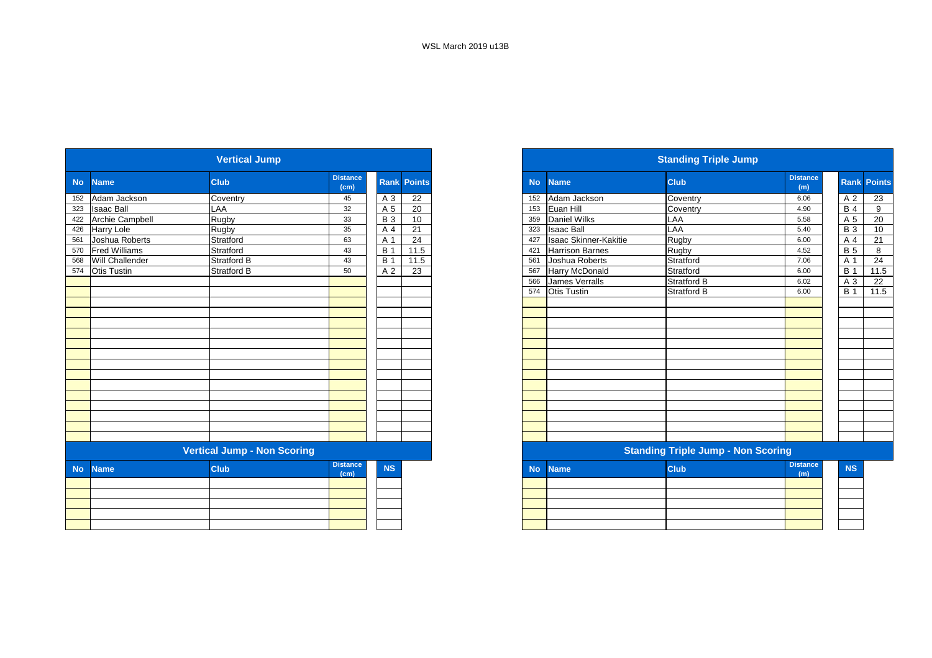|           |                        | <b>Vertical Jump</b>               |                         |            |                    |
|-----------|------------------------|------------------------------------|-------------------------|------------|--------------------|
| <b>No</b> | <b>Name</b>            | <b>Club</b>                        | <b>Distance</b><br>(cm) |            | <b>Rank Points</b> |
| 152       | Adam Jackson           | Coventry                           | 45                      | A 3        | 22                 |
| 323       | <b>Isaac Ball</b>      | LAA                                | 32                      | A 5        | 20                 |
| 422       | <b>Archie Campbell</b> | Rugby                              | 33                      | <b>B3</b>  | 10                 |
| 426       | Harry Lole             | Rugby                              | 35                      | A 4        | 21                 |
| 561       | Joshua Roberts         | Stratford                          | 63                      | A 1        | 24                 |
| 570       | <b>Fred Williams</b>   | Stratford                          | 43                      | <b>B</b> 1 | 11.5               |
| 568       | Will Challender        | Stratford B                        | 43                      | <b>B</b> 1 | 11.5               |
| 574       | <b>Otis Tustin</b>     | Stratford B                        | 50                      | A 2        | 23                 |
|           |                        |                                    |                         |            |                    |
|           |                        |                                    |                         |            |                    |
|           |                        |                                    |                         |            |                    |
|           |                        |                                    |                         |            |                    |
|           |                        |                                    |                         |            |                    |
|           |                        |                                    |                         |            |                    |
|           |                        |                                    |                         |            |                    |
|           |                        |                                    |                         |            |                    |
|           |                        |                                    |                         |            |                    |
|           |                        |                                    |                         |            |                    |
|           |                        |                                    |                         |            |                    |
|           |                        |                                    |                         |            |                    |
|           |                        |                                    |                         |            |                    |
|           |                        |                                    |                         |            |                    |
|           |                        |                                    |                         |            |                    |
|           |                        |                                    |                         |            |                    |
|           |                        | <b>Vertical Jump - Non Scoring</b> |                         |            |                    |
| <b>No</b> | <b>Name</b>            | <b>Club</b>                        | <b>Distance</b><br>(cm) | <b>NS</b>  |                    |
|           |                        |                                    |                         |            |                    |
|           |                        |                                    |                         |            |                    |
|           |                        |                                    |                         |            |                    |
|           |                        |                                    |                         |            |                    |
|           |                        |                                    |                         |            |                    |

|           |                      | <b>Vertical Jump</b>               |                         |            |                    |           |                              | <b>Standing Triple Jump</b>               |                        |             |               |
|-----------|----------------------|------------------------------------|-------------------------|------------|--------------------|-----------|------------------------------|-------------------------------------------|------------------------|-------------|---------------|
| <b>No</b> | <b>Name</b>          | <b>Club</b>                        | <b>Distance</b><br>(cm) |            | <b>Rank Points</b> | <b>No</b> | <b>Name</b>                  | <b>Club</b>                               | <b>Distance</b><br>(m) | <b>Rank</b> | <b>Points</b> |
| 152       | Adam Jackson         | Coventry                           | 45                      | A 3        | 22                 | 152       | Adam Jackson                 | Coventry                                  | 6.06                   | A 2         | 23            |
|           | 323 Isaac Ball       | LAA                                | 32                      | A 5        | 20                 | 153       | Euan Hill                    | Coventry                                  | 4.90                   | <b>B4</b>   | 9             |
|           | 422 Archie Campbell  | Rugby                              | 33                      | <b>B</b> 3 | 10                 | 359       | Daniel Wilks                 | LAA                                       | 5.58                   | A 5         | 20            |
| 426       | <b>Harry Lole</b>    | Rugby                              | 35                      | A 4        | 21                 | 323       | <b>Isaac Ball</b>            | LAA                                       | 5.40                   | <b>B</b> 3  | 10            |
| 561       | Joshua Roberts       | Stratford                          | 63                      | A 1        | 24                 | 427       | <b>Isaac Skinner-Kakitie</b> | Rugby                                     | 6.00                   | A 4         | 21            |
| 570       | <b>Fred Williams</b> | Stratford                          | 43                      | <b>B</b> 1 | 11.5               | 421       | <b>Harrison Barnes</b>       | Rugby                                     | 4.52                   | <b>B</b> 5  | 8             |
|           | 568 Will Challender  | <b>Stratford B</b>                 | 43                      | <b>B</b> 1 | 11.5               | 561       | Joshua Roberts               | Stratford                                 | 7.06                   | A 1         | 24            |
| 574       | <b>Otis Tustin</b>   | <b>Stratford B</b>                 | 50                      | A 2        | $\overline{23}$    | 567       | Harry McDonald               | Stratford                                 | 6.00                   | <b>B</b> 1  | 11.5          |
|           |                      |                                    |                         |            |                    | 566       | <b>James Verralls</b>        | <b>Stratford B</b>                        | 6.02                   | A 3         | 22            |
|           |                      |                                    |                         |            |                    | 574       | <b>Otis Tustin</b>           | Stratford B                               | 6.00                   | <b>B</b> 1  | 11.5          |
|           |                      |                                    |                         |            |                    |           |                              |                                           |                        |             |               |
|           |                      |                                    |                         |            |                    |           |                              |                                           |                        |             |               |
|           |                      |                                    |                         |            |                    |           |                              |                                           |                        |             |               |
|           |                      |                                    |                         |            |                    |           |                              |                                           |                        |             |               |
|           |                      |                                    |                         |            |                    |           |                              |                                           |                        |             |               |
|           |                      |                                    |                         |            |                    |           |                              |                                           |                        |             |               |
|           |                      |                                    |                         |            |                    |           |                              |                                           |                        |             |               |
|           |                      |                                    |                         |            |                    |           |                              |                                           |                        |             |               |
|           |                      |                                    |                         |            |                    |           |                              |                                           |                        |             |               |
|           |                      |                                    |                         |            |                    |           |                              |                                           |                        |             |               |
|           |                      |                                    |                         |            |                    |           |                              |                                           |                        |             |               |
|           |                      |                                    |                         |            |                    |           |                              |                                           |                        |             |               |
|           |                      |                                    |                         |            |                    |           |                              |                                           |                        |             |               |
|           |                      |                                    |                         |            |                    |           |                              |                                           |                        |             |               |
|           |                      | <b>Vertical Jump - Non Scoring</b> |                         |            |                    |           |                              | <b>Standing Triple Jump - Non Scoring</b> |                        |             |               |
| <b>No</b> | <b>Name</b>          | <b>Club</b>                        | <b>Distance</b><br>(cm) | <b>NS</b>  |                    | <b>No</b> | <b>Name</b>                  | Club                                      | <b>Distance</b><br>(m) | <b>NS</b>   |               |
|           |                      |                                    |                         |            |                    |           |                              |                                           |                        |             |               |
|           |                      |                                    |                         |            |                    |           |                              |                                           |                        |             |               |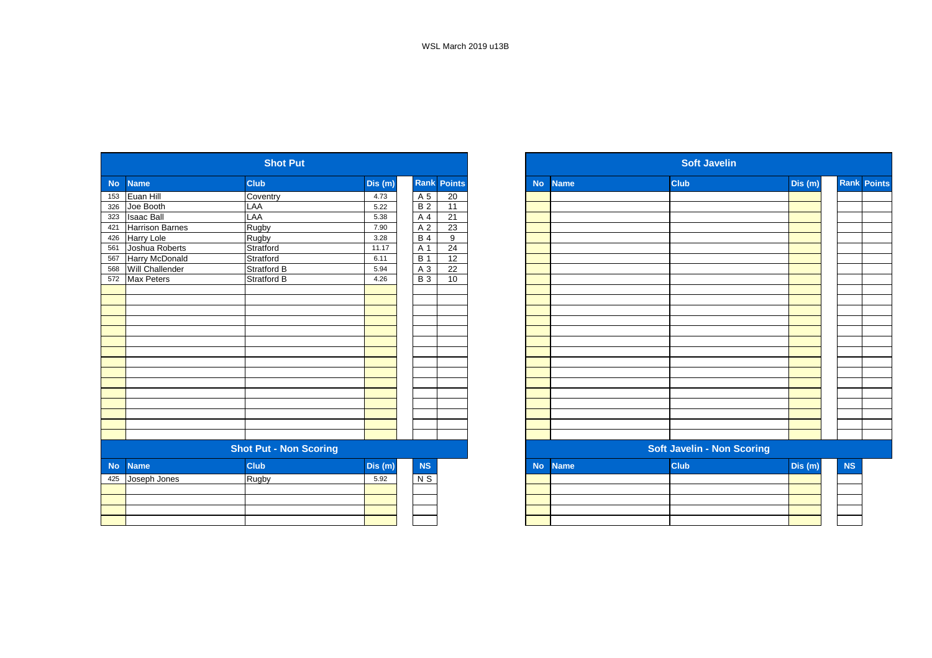|           |                        | <b>Shot Put</b>               |         |                  |                    |           |             | <b>Soft Javelin</b>               |         |
|-----------|------------------------|-------------------------------|---------|------------------|--------------------|-----------|-------------|-----------------------------------|---------|
| <b>No</b> | <b>Name</b>            | Club                          | Dis(m)  |                  | <b>Rank Points</b> | <b>No</b> | <b>Name</b> | <b>Club</b>                       | Dis (m) |
| 153       | Euan Hill              | Coventry                      | 4.73    | A 5              | 20                 |           |             |                                   |         |
| 326       | Joe Booth              | LAA                           | 5.22    | B <sub>2</sub>   | $\overline{11}$    |           |             |                                   |         |
| 323       | <b>Isaac Ball</b>      | LAA                           | 5.38    | A 4              | 21                 |           |             |                                   |         |
| 421       | <b>Harrison Barnes</b> | Rugby                         | 7.90    | A 2              | 23                 |           |             |                                   |         |
| 426       | Harry Lole             | Rugby                         | 3.28    | <b>B4</b>        | 9                  |           |             |                                   |         |
| 561       | Joshua Roberts         | Stratford                     | 11.17   | A 1              | 24                 |           |             |                                   |         |
| 567       | Harry McDonald         | Stratford                     | 6.11    | $\overline{B}$ 1 | $\overline{12}$    |           |             |                                   |         |
| 568       | Will Challender        | <b>Stratford B</b>            | 5.94    | A 3              | 22                 |           |             |                                   |         |
| 572       | Max Peters             | Stratford B                   | 4.26    | <b>B</b> 3       | 10                 |           |             |                                   |         |
|           |                        |                               |         |                  |                    |           |             |                                   |         |
|           |                        |                               |         |                  |                    |           |             |                                   |         |
|           |                        |                               |         |                  |                    |           |             |                                   |         |
|           |                        |                               |         |                  |                    |           |             |                                   |         |
|           |                        |                               |         |                  |                    |           |             |                                   |         |
|           |                        |                               |         |                  |                    |           |             |                                   |         |
|           |                        |                               |         |                  |                    |           |             |                                   |         |
|           |                        |                               |         |                  |                    |           |             |                                   |         |
|           |                        |                               |         |                  |                    |           |             |                                   |         |
|           |                        |                               |         |                  |                    |           |             |                                   |         |
|           |                        |                               |         |                  |                    |           |             |                                   |         |
|           |                        |                               |         |                  |                    |           |             |                                   |         |
|           |                        |                               |         |                  |                    |           |             |                                   |         |
|           |                        |                               |         |                  |                    |           |             |                                   |         |
|           |                        |                               |         |                  |                    |           |             |                                   |         |
|           |                        | <b>Shot Put - Non Scoring</b> |         |                  |                    |           |             | <b>Soft Javelin - Non Scoring</b> |         |
| <b>No</b> | <b>Name</b>            | <b>Club</b>                   | Dis (m) | NS               |                    | <b>No</b> | <b>Name</b> | <b>Club</b>                       | Dis (m) |
| 425       | Joseph Jones           | <b>Rugby</b>                  | 5.92    | $N$ S            |                    |           |             |                                   |         |
|           |                        |                               |         |                  |                    |           |             |                                   |         |
|           |                        |                               |         |                  |                    |           |             |                                   |         |
|           |                        |                               |         |                  |                    |           |             |                                   |         |
|           |                        |                               |         |                  |                    |           |             |                                   |         |

|     |                        | <b>Shot Put</b>               |         |                  |                    |           |             | <b>Soft Javelin</b>               |         |    |                    |
|-----|------------------------|-------------------------------|---------|------------------|--------------------|-----------|-------------|-----------------------------------|---------|----|--------------------|
| No  | <b>Name</b>            | <b>Club</b>                   | Dis(m)  |                  | <b>Rank Points</b> | <b>No</b> | <b>Name</b> | <b>Club</b>                       | Dis (m) |    | <b>Rank Points</b> |
| 153 | Euan Hill              | Coventry                      | 4.73    | A 5              | 20                 |           |             |                                   |         |    |                    |
| 326 | Joe Booth              | LAA                           | 5.22    | <b>B</b> 2       | 11                 |           |             |                                   |         |    |                    |
| 323 | <b>Isaac Ball</b>      | LAA                           | 5.38    | A                | 21                 |           |             |                                   |         |    |                    |
| 421 | <b>Harrison Barnes</b> | Rugby                         | 7.90    | A 2              | 23                 |           |             |                                   |         |    |                    |
| 426 | Harry Lole             | Rugby                         | 3.28    | <b>B</b> 4       | 9                  |           |             |                                   |         |    |                    |
| 561 | Joshua Roberts         | Stratford                     | 11.17   | A 1              | 24                 |           |             |                                   |         |    |                    |
| 567 | Harry McDonald         | Stratford                     | 6.11    | $\overline{B}$ 1 | 12                 |           |             |                                   |         |    |                    |
| 568 | Will Challender        | <b>Stratford B</b>            | 5.94    | A 3              | 22                 |           |             |                                   |         |    |                    |
| 572 | Max Peters             | Stratford B                   | 4.26    | <b>B</b> 3       | 10                 |           |             |                                   |         |    |                    |
|     |                        |                               |         |                  |                    |           |             |                                   |         |    |                    |
|     |                        |                               |         |                  |                    |           |             |                                   |         |    |                    |
|     |                        |                               |         |                  |                    |           |             |                                   |         |    |                    |
|     |                        |                               |         |                  |                    |           |             |                                   |         |    |                    |
|     |                        |                               |         |                  |                    |           |             |                                   |         |    |                    |
|     |                        |                               |         |                  |                    |           |             |                                   |         |    |                    |
|     |                        |                               |         |                  |                    |           |             |                                   |         |    |                    |
|     |                        |                               |         |                  |                    |           |             |                                   |         |    |                    |
|     |                        |                               |         |                  |                    |           |             |                                   |         |    |                    |
|     |                        |                               |         |                  |                    |           |             |                                   |         |    |                    |
|     |                        |                               |         |                  |                    |           |             |                                   |         |    |                    |
|     |                        |                               |         |                  |                    |           |             |                                   |         |    |                    |
|     |                        |                               |         |                  |                    |           |             |                                   |         |    |                    |
|     |                        |                               |         |                  |                    |           |             |                                   |         |    |                    |
|     |                        |                               |         |                  |                    |           |             |                                   |         |    |                    |
|     |                        | <b>Shot Put - Non Scoring</b> |         |                  |                    |           |             | <b>Soft Javelin - Non Scoring</b> |         |    |                    |
| No  | <b>Name</b>            | Club                          | Dis (m) | NS               |                    | <b>No</b> | <b>Name</b> | <b>Club</b>                       | Dis(m)  | NS |                    |
| 425 | Joseph Jones           | Rugby                         | 5.92    | $N$ S            |                    |           |             |                                   |         |    |                    |
|     |                        |                               |         |                  |                    |           |             |                                   |         |    |                    |
|     |                        |                               |         |                  |                    |           |             |                                   |         |    |                    |
|     |                        |                               |         |                  |                    |           |             |                                   |         |    |                    |
|     |                        |                               |         |                  |                    |           |             |                                   |         |    |                    |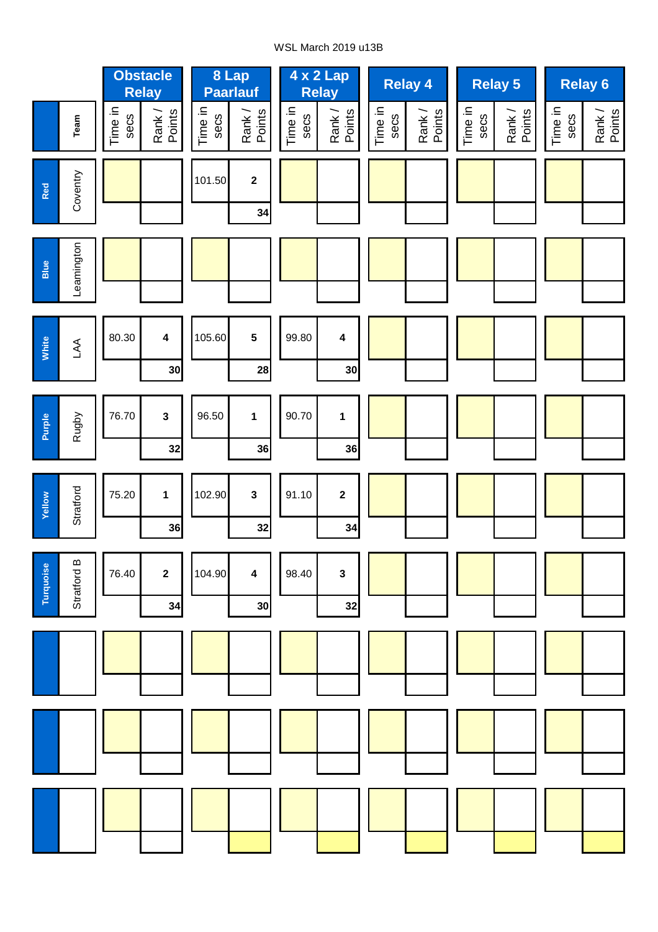## WSL March 2019 u13B

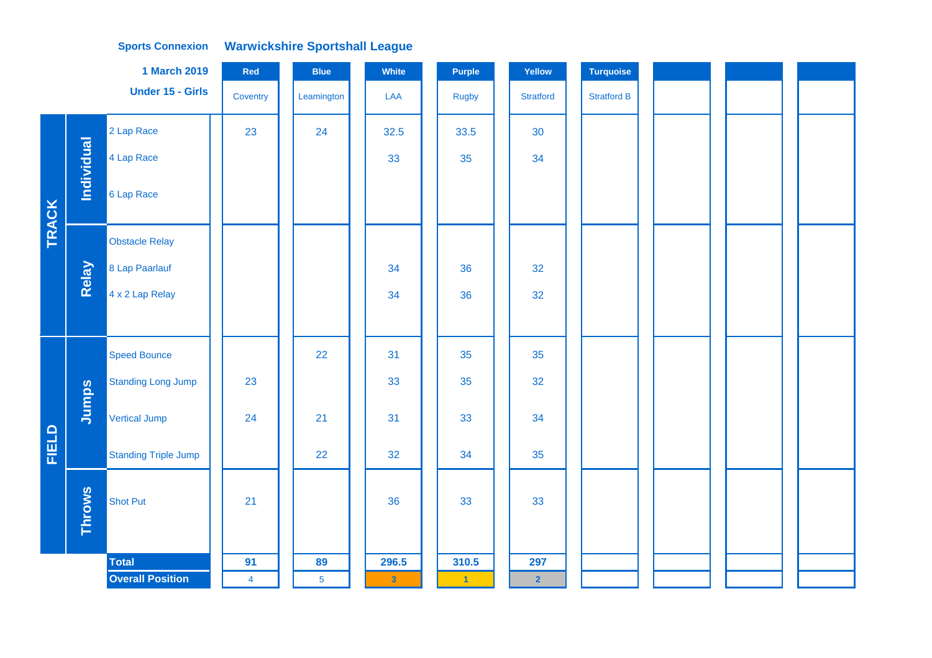|       |                   | <b>1 March 2019</b>         | Red            | <b>Blue</b>    | White                   | Purple       | Yellow           | <b>Turquoise</b>   |  |  |
|-------|-------------------|-----------------------------|----------------|----------------|-------------------------|--------------|------------------|--------------------|--|--|
|       |                   | Under 15 - Girls            | Coventry       | Leamington     | LAA                     | <b>Rugby</b> | <b>Stratford</b> | <b>Stratford B</b> |  |  |
|       |                   | 2 Lap Race                  | 23             | 24             | 32.5                    | 33.5         | 30               |                    |  |  |
|       | <b>Individual</b> | 4 Lap Race                  |                |                | 33                      | 35           | 34               |                    |  |  |
| TRACK |                   | 6 Lap Race                  |                |                |                         |              |                  |                    |  |  |
|       |                   | <b>Obstacle Relay</b>       |                |                |                         |              |                  |                    |  |  |
|       | Relay             | 8 Lap Paarlauf              |                |                | 34                      | 36           | 32               |                    |  |  |
|       |                   | 4 x 2 Lap Relay             |                |                | 34                      | 36           | 32               |                    |  |  |
|       |                   |                             |                |                |                         |              |                  |                    |  |  |
|       |                   | <b>Speed Bounce</b>         |                | 22             | 31                      | 35           | 35               |                    |  |  |
|       |                   | <b>Standing Long Jump</b>   | 23             |                | 33                      | 35           | 32               |                    |  |  |
|       | Jumps             | <b>Vertical Jump</b>        | 24             | 21             | 31                      | 33           | 34               |                    |  |  |
| FIELD |                   | <b>Standing Triple Jump</b> |                | 22             | 32                      | 34           | 35               |                    |  |  |
|       | <b>Throws</b>     | <b>Shot Put</b>             | 21             |                | 36                      | 33           | 33               |                    |  |  |
|       |                   | <b>Total</b>                | 91             | 89             | 296.5                   | 310.5        | 297              |                    |  |  |
|       |                   | <b>Overall Position</b>     | $\overline{4}$ | $\overline{5}$ | $\overline{\mathbf{3}}$ | $\mathbf{1}$ | $\overline{2}$   |                    |  |  |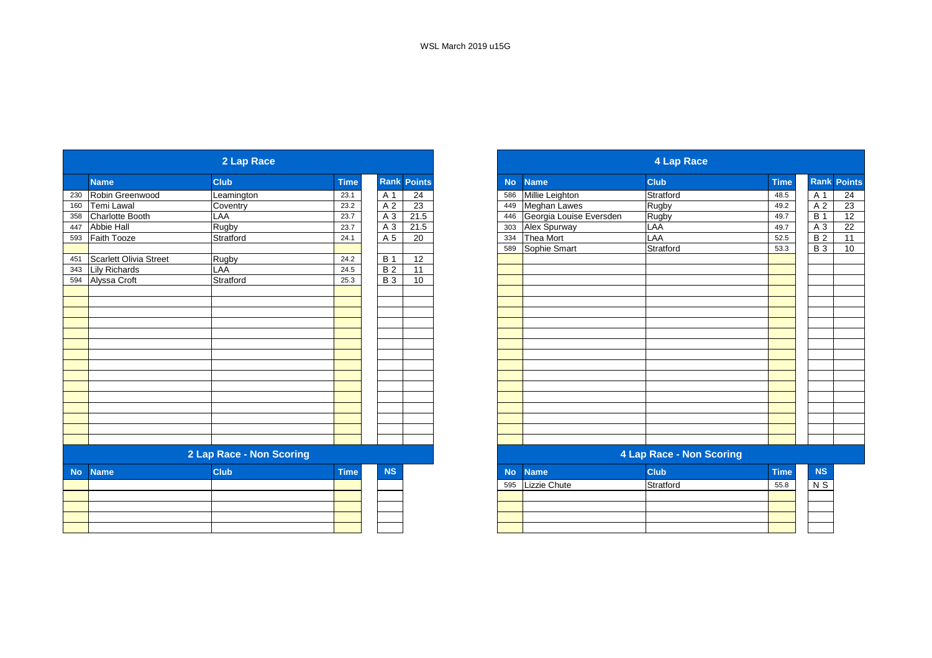|           |                               | 2 Lap Race               |             |            |                    |           |                         | 4 Lap Race                      |             |
|-----------|-------------------------------|--------------------------|-------------|------------|--------------------|-----------|-------------------------|---------------------------------|-------------|
|           | <b>Name</b>                   | <b>Club</b>              | <b>Time</b> |            | <b>Rank Points</b> | <b>No</b> | <b>Name</b>             | <b>Club</b>                     | <b>Time</b> |
| 230       | Robin Greenwood               | Leamington               | 23.1        | A 1        | 24                 | 586       | Millie Leighton         | Stratford                       | 48.5        |
| 160       | Temi Lawal                    | Coventry                 | 23.2        | A 2        | $\overline{23}$    | 449       | Meghan Lawes            | Rugby                           | 49.2        |
| 358       | <b>Charlotte Booth</b>        | LAA                      | 23.7        | A 3        | 21.5               | 446       | Georgia Louise Eversden | Rugby                           | 49.7        |
| 447       | Abbie Hall                    | Rugby                    | 23.7        | A 3        | 21.5               | 303       | Alex Spurway            | LAA                             | 49.7        |
| 593       | Faith Tooze                   | Stratford                | 24.1        | A 5        | 20                 | 334       | Thea Mort               | LAA                             | 52.5        |
|           |                               |                          |             |            |                    | 589       | Sophie Smart            | Stratford                       | 53.3        |
| 451       | <b>Scarlett Olivia Street</b> | Rugby                    | 24.2        | <b>B</b> 1 | 12                 |           |                         |                                 |             |
| 343       | <b>Lily Richards</b>          | LAA                      | 24.5        | <b>B2</b>  | 11                 |           |                         |                                 |             |
|           | 594 Alyssa Croft              | Stratford                | 25.3        | <b>B3</b>  | 10                 |           |                         |                                 |             |
|           |                               |                          |             |            |                    |           |                         |                                 |             |
|           |                               |                          |             |            |                    |           |                         |                                 |             |
|           |                               |                          |             |            |                    |           |                         |                                 |             |
|           |                               |                          |             |            |                    |           |                         |                                 |             |
|           |                               |                          |             |            |                    |           |                         |                                 |             |
|           |                               |                          |             |            |                    |           |                         |                                 |             |
|           |                               |                          |             |            |                    |           |                         |                                 |             |
|           |                               |                          |             |            |                    |           |                         |                                 |             |
|           |                               |                          |             |            |                    |           |                         |                                 |             |
|           |                               |                          |             |            |                    |           |                         |                                 |             |
|           |                               |                          |             |            |                    |           |                         |                                 |             |
|           |                               |                          |             |            |                    |           |                         |                                 |             |
|           |                               |                          |             |            |                    |           |                         |                                 |             |
|           |                               |                          |             |            |                    |           |                         |                                 |             |
|           |                               |                          |             |            |                    |           |                         |                                 |             |
|           |                               | 2 Lap Race - Non Scoring |             |            |                    |           |                         | <b>4 Lap Race - Non Scoring</b> |             |
| <b>No</b> | <b>Name</b>                   | <b>Club</b>              | <b>Time</b> | <b>NS</b>  |                    | <b>No</b> | <b>Name</b>             | <b>Club</b>                     | <b>Time</b> |
|           |                               |                          |             |            |                    | 595       | Lizzie Chute            | Stratford                       | 55.8        |
|           |                               |                          |             |            |                    |           |                         |                                 |             |
|           |                               |                          |             |            |                    |           |                         |                                 |             |
|           |                               |                          |             |            |                    |           |                         |                                 |             |
|           |                               |                          |             |            |                    |           |                         |                                 |             |

|                             | 2 Lap Race               |              |                              |           |                                | 4 Lap Race                      |              |  |
|-----------------------------|--------------------------|--------------|------------------------------|-----------|--------------------------------|---------------------------------|--------------|--|
| Name                        | <b>Club</b>              | <b>Time</b>  | <b>Points</b><br><b>Rank</b> | <b>No</b> | <b>Name</b>                    | <b>Club</b>                     | <b>Time</b>  |  |
| Robin Greenwood             | Leamington               | 23.1         | A 1<br>24                    | 586       | Millie Leighton                | Stratford                       | 48.5         |  |
| Temi Lawal                  | Coventry                 | 23.2         | 23<br>A 2                    | 449       | Meghan Lawes                   | Rugby                           | 49.2         |  |
| Charlotte Booth             | LAA                      | 23.7         | A 3<br>21.5                  |           | Georgia Louise Eversden<br>446 | Rugby                           | 49.7         |  |
| <b>Abbie Hall</b>           | Rugby                    | 23.7         | 21.5<br>A 3                  | 303       | Alex Spurway                   | LAA                             | 49.7         |  |
| Faith Tooze<br>593          | Stratford                | 24.1         | 20<br>A 5                    | 334       | Thea Mort                      | LAA                             | 52.5         |  |
|                             |                          |              |                              | 589       | Sophie Smart                   | Stratford                       | 53.3         |  |
| Scarlett Olivia Street      | Rugby                    | 24.2         | 12<br><b>B</b> 1             |           |                                |                                 |              |  |
| 343<br><b>Lily Richards</b> | LAA                      | 24.5         | <b>B2</b><br>11              |           |                                |                                 |              |  |
| 594<br>Alyssa Croft         | Stratford                | 25.3         | <b>B</b> 3<br>10             |           |                                |                                 |              |  |
|                             |                          |              |                              |           |                                |                                 |              |  |
|                             |                          |              |                              |           |                                |                                 |              |  |
|                             |                          |              |                              |           |                                |                                 |              |  |
|                             |                          |              |                              |           |                                |                                 |              |  |
|                             |                          |              |                              |           |                                |                                 |              |  |
|                             |                          |              |                              |           |                                |                                 |              |  |
|                             |                          |              |                              |           |                                |                                 |              |  |
|                             |                          |              |                              |           |                                |                                 |              |  |
|                             |                          |              |                              |           |                                |                                 |              |  |
|                             |                          |              |                              |           |                                |                                 |              |  |
|                             |                          |              |                              |           |                                |                                 |              |  |
|                             |                          |              |                              |           |                                |                                 |              |  |
|                             |                          |              |                              |           |                                |                                 |              |  |
|                             |                          |              |                              |           |                                |                                 |              |  |
|                             |                          |              |                              |           |                                |                                 |              |  |
|                             | 2 Lap Race - Non Scoring |              |                              |           |                                | <b>4 Lap Race - Non Scoring</b> |              |  |
| Mac Massach                 | O(1.16)                  | <b>Times</b> | <b>MO</b>                    |           | <b>Allen Alexandri</b>         | O(1.16)                         | <b>Times</b> |  |

|     | No Name      | <b>Club</b> | <b>Time</b> | <b>NS</b> |  |
|-----|--------------|-------------|-------------|-----------|--|
| 595 | Lizzie Chute | Stratford   | 55.8        | N S       |  |
|     |              |             |             |           |  |
|     |              |             |             |           |  |
|     |              |             |             |           |  |
|     |              |             |             |           |  |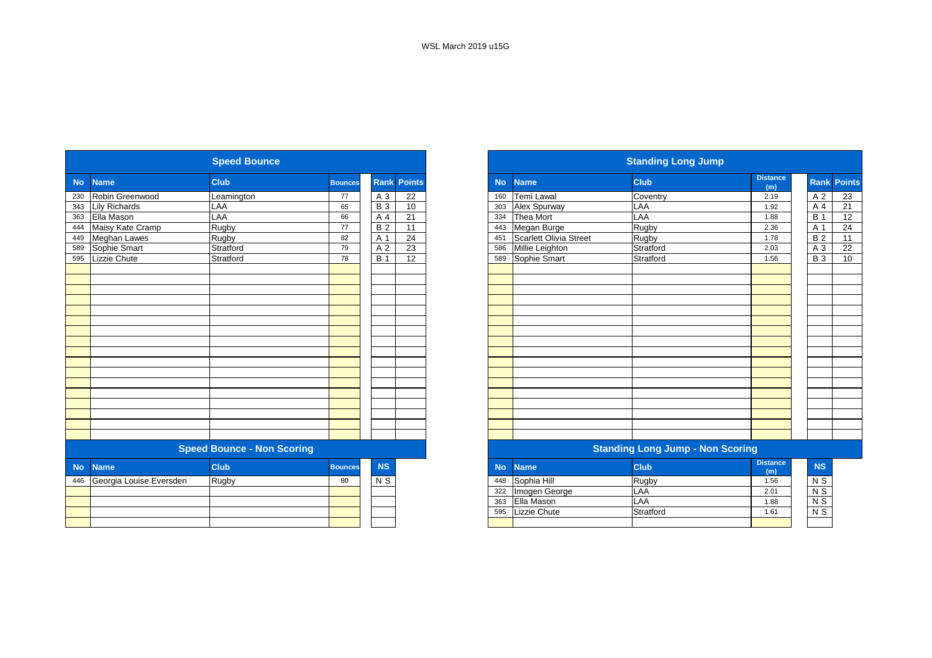| <b>Club</b><br><b>Rank Points</b><br><b>Name</b><br><b>Club</b><br><b>Name</b><br><b>No</b><br><b>No</b><br><b>Bounces</b><br>Temi Lawal<br>Coventry<br>Robin Greenwood<br>A 3<br>22<br>230<br>Leamington<br>77<br>160<br><b>B</b> 3<br><b>Lily Richards</b><br>LAA<br>10<br>Alex Spurway<br>LAA<br>65<br>343<br>303<br>LAA<br><b>Thea Mort</b><br>LAA<br>Ella Mason<br>A 4<br>21<br>363<br>66<br>334<br>Rugby<br>Maisy Kate Cramp<br>Rugby<br><b>B2</b><br>Megan Burge<br>11<br>444<br>77<br>443<br>Scarlett Olivia Street<br>A 1<br>24<br>Rugby<br><b>Meghan Lawes</b><br>Rugby<br>82<br>449<br>451<br>23<br>Sophie Smart<br>Stratford<br>A 2<br>Millie Leighton<br>Stratford<br>79<br>589<br>586<br>Lizzie Chute<br><b>B</b> 1<br>12<br>Sophie Smart<br>Stratford<br>Stratford<br>78<br>595<br>589 | <b>Standing Long Jump</b> |
|-------------------------------------------------------------------------------------------------------------------------------------------------------------------------------------------------------------------------------------------------------------------------------------------------------------------------------------------------------------------------------------------------------------------------------------------------------------------------------------------------------------------------------------------------------------------------------------------------------------------------------------------------------------------------------------------------------------------------------------------------------------------------------------------------------|---------------------------|
|                                                                                                                                                                                                                                                                                                                                                                                                                                                                                                                                                                                                                                                                                                                                                                                                       | <b>Distance</b><br>(m)    |
|                                                                                                                                                                                                                                                                                                                                                                                                                                                                                                                                                                                                                                                                                                                                                                                                       | 2.19                      |
|                                                                                                                                                                                                                                                                                                                                                                                                                                                                                                                                                                                                                                                                                                                                                                                                       | 1.92                      |
|                                                                                                                                                                                                                                                                                                                                                                                                                                                                                                                                                                                                                                                                                                                                                                                                       | 1.88                      |
|                                                                                                                                                                                                                                                                                                                                                                                                                                                                                                                                                                                                                                                                                                                                                                                                       | 2.36                      |
|                                                                                                                                                                                                                                                                                                                                                                                                                                                                                                                                                                                                                                                                                                                                                                                                       | 1.78                      |
|                                                                                                                                                                                                                                                                                                                                                                                                                                                                                                                                                                                                                                                                                                                                                                                                       | 2.03                      |
|                                                                                                                                                                                                                                                                                                                                                                                                                                                                                                                                                                                                                                                                                                                                                                                                       | 1.56                      |
|                                                                                                                                                                                                                                                                                                                                                                                                                                                                                                                                                                                                                                                                                                                                                                                                       |                           |
|                                                                                                                                                                                                                                                                                                                                                                                                                                                                                                                                                                                                                                                                                                                                                                                                       |                           |
|                                                                                                                                                                                                                                                                                                                                                                                                                                                                                                                                                                                                                                                                                                                                                                                                       |                           |
|                                                                                                                                                                                                                                                                                                                                                                                                                                                                                                                                                                                                                                                                                                                                                                                                       |                           |
|                                                                                                                                                                                                                                                                                                                                                                                                                                                                                                                                                                                                                                                                                                                                                                                                       |                           |
|                                                                                                                                                                                                                                                                                                                                                                                                                                                                                                                                                                                                                                                                                                                                                                                                       |                           |
|                                                                                                                                                                                                                                                                                                                                                                                                                                                                                                                                                                                                                                                                                                                                                                                                       |                           |
|                                                                                                                                                                                                                                                                                                                                                                                                                                                                                                                                                                                                                                                                                                                                                                                                       |                           |
|                                                                                                                                                                                                                                                                                                                                                                                                                                                                                                                                                                                                                                                                                                                                                                                                       |                           |
|                                                                                                                                                                                                                                                                                                                                                                                                                                                                                                                                                                                                                                                                                                                                                                                                       |                           |
|                                                                                                                                                                                                                                                                                                                                                                                                                                                                                                                                                                                                                                                                                                                                                                                                       |                           |
|                                                                                                                                                                                                                                                                                                                                                                                                                                                                                                                                                                                                                                                                                                                                                                                                       |                           |
|                                                                                                                                                                                                                                                                                                                                                                                                                                                                                                                                                                                                                                                                                                                                                                                                       |                           |
|                                                                                                                                                                                                                                                                                                                                                                                                                                                                                                                                                                                                                                                                                                                                                                                                       |                           |
| <b>Speed Bounce - Non Scoring</b><br><b>Standing Long Jump - Non Scoring</b>                                                                                                                                                                                                                                                                                                                                                                                                                                                                                                                                                                                                                                                                                                                          |                           |
| <b>NS</b><br><b>Club</b><br><b>Name</b><br><b>Club</b><br><b>Name</b><br><b>No</b><br><b>No</b><br><b>Bounces</b>                                                                                                                                                                                                                                                                                                                                                                                                                                                                                                                                                                                                                                                                                     | <b>Distance</b><br>(m)    |
| Sophia Hill<br>Georgia Louise Eversden<br>$\overline{N}$<br>Rugby<br>Rugby<br>446<br>80<br>448                                                                                                                                                                                                                                                                                                                                                                                                                                                                                                                                                                                                                                                                                                        | 1.56                      |
| LAA<br>Imogen George<br>322                                                                                                                                                                                                                                                                                                                                                                                                                                                                                                                                                                                                                                                                                                                                                                           | 2.01                      |
| Ella Mason<br>LAA<br>363                                                                                                                                                                                                                                                                                                                                                                                                                                                                                                                                                                                                                                                                                                                                                                              | 1.88                      |
| Lizzie Chute<br>Stratford<br>595                                                                                                                                                                                                                                                                                                                                                                                                                                                                                                                                                                                                                                                                                                                                                                      | 1.61                      |
|                                                                                                                                                                                                                                                                                                                                                                                                                                                                                                                                                                                                                                                                                                                                                                                                       |                           |

|                   |                         | <b>Speed Bounce</b>               |                |                |                    |           |                        | <b>Standing Long Jump</b>               |                        |                    |    |
|-------------------|-------------------------|-----------------------------------|----------------|----------------|--------------------|-----------|------------------------|-----------------------------------------|------------------------|--------------------|----|
| <b>No</b>         | <b>Name</b>             | <b>Club</b>                       | <b>Bounces</b> |                | <b>Rank Points</b> | <b>No</b> | <b>Name</b>            | <b>Club</b>                             | <b>Distance</b><br>(m) | <b>Rank Points</b> |    |
| 230               | Robin Greenwood         | Leamington                        | 77             | A 3            | 22                 | 160       | <b>Temi Lawal</b>      | Coventry                                | 2.19                   | A 2                | 23 |
| 343               | <b>Lily Richards</b>    | LAA                               | 65             | <b>B</b> 3     | 10                 | 303       | Alex Spurway           | LAA                                     | 1.92                   | A 4                | 21 |
| 363               | Ella Mason              | LAA                               | 66             | A 4            | 21                 | 334       | Thea Mort              | LAA                                     | 1.88                   | <b>B</b> 1         | 12 |
| 444               | Maisy Kate Cramp        | Rugby                             | 77             | <b>B2</b>      | 11                 | 443       | Megan Burge            | Rugby                                   | 2.36                   | A 1                | 24 |
|                   | Meghan Lawes            | Rugby                             | 82             | A 1            | 24                 | 451       | Scarlett Olivia Street | Rugby                                   | 1.78                   | <b>B2</b>          | 11 |
| 449<br>589<br>595 | Sophie Smart            | Stratford                         | 79             | A <sub>2</sub> | $\overline{23}$    | 586       | Millie Leighton        | Stratford                               | 2.03                   | A 3                | 22 |
|                   | Lizzie Chute            | Stratford                         | 78             | <b>B</b> 1     | 12                 | 589       | Sophie Smart           | Stratford                               | 1.56                   | <b>B</b> 3         | 10 |
|                   |                         |                                   |                |                |                    |           |                        |                                         |                        |                    |    |
|                   |                         |                                   |                |                |                    |           |                        |                                         |                        |                    |    |
|                   |                         |                                   |                |                |                    |           |                        |                                         |                        |                    |    |
|                   |                         |                                   |                |                |                    |           |                        |                                         |                        |                    |    |
|                   |                         |                                   |                |                |                    |           |                        |                                         |                        |                    |    |
|                   |                         |                                   |                |                |                    |           |                        |                                         |                        |                    |    |
|                   |                         |                                   |                |                |                    |           |                        |                                         |                        |                    |    |
|                   |                         |                                   |                |                |                    |           |                        |                                         |                        |                    |    |
|                   |                         |                                   |                |                |                    |           |                        |                                         |                        |                    |    |
|                   |                         |                                   |                |                |                    |           |                        |                                         |                        |                    |    |
|                   |                         |                                   |                |                |                    |           |                        |                                         |                        |                    |    |
|                   |                         |                                   |                |                |                    |           |                        |                                         |                        |                    |    |
|                   |                         |                                   |                |                |                    |           |                        |                                         |                        |                    |    |
|                   |                         |                                   |                |                |                    |           |                        |                                         |                        |                    |    |
|                   |                         |                                   |                |                |                    |           |                        |                                         |                        |                    |    |
|                   |                         |                                   |                |                |                    |           |                        |                                         |                        |                    |    |
|                   |                         |                                   |                |                |                    |           |                        |                                         |                        |                    |    |
|                   |                         | <b>Speed Bounce - Non Scoring</b> |                |                |                    |           |                        | <b>Standing Long Jump - Non Scoring</b> |                        |                    |    |
| <b>No</b>         | <b>Name</b>             | <b>Club</b>                       | <b>Bounces</b> | <b>NS</b>      |                    | <b>No</b> | <b>Name</b>            | <b>Club</b>                             | <b>Distance</b><br>(m) | <b>NS</b>          |    |
| 446               | Georgia Louise Eversden | <b>Rugby</b>                      | 80             | N <sub>S</sub> |                    | 448       | Sophia Hill            | Rugby                                   | 1.56                   | N <sub>S</sub>     |    |
|                   |                         |                                   |                |                |                    | 322       | Imogen George          | LAA                                     | 2.01                   | $\overline{N}$     |    |
|                   |                         |                                   |                |                |                    | 363       | Ella Mason             | LAA                                     | 1.88                   | $N$ S              |    |
|                   |                         |                                   |                |                |                    | 595       | Lizzie Chute           | Stratford                               | 1.61                   | $N$ S              |    |
|                   |                         |                                   |                |                |                    |           |                        |                                         |                        |                    |    |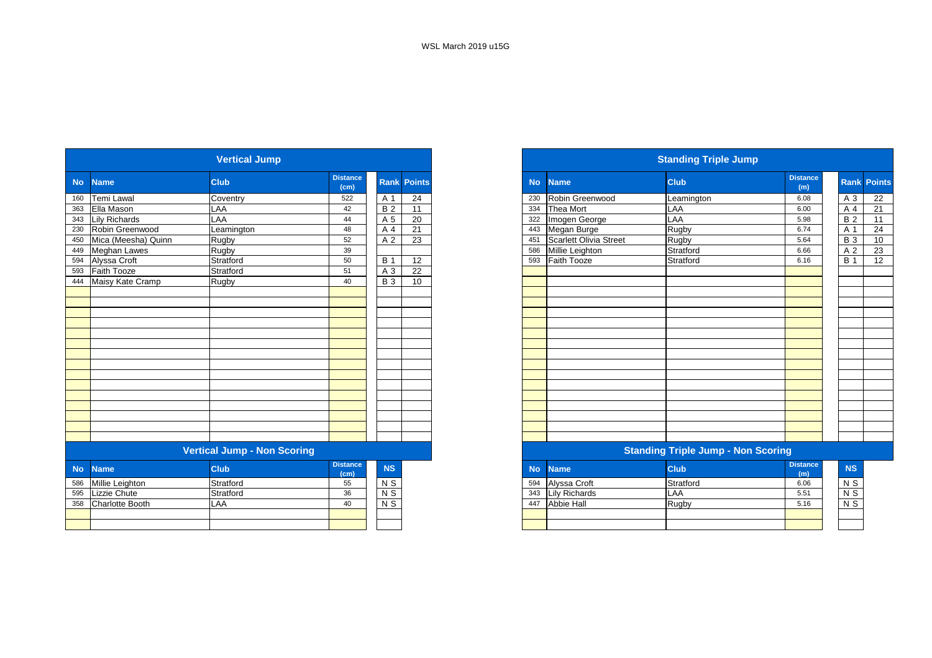| <b>Vertical Jump</b> |                                    |             |                         |             |                 |  |  |  |
|----------------------|------------------------------------|-------------|-------------------------|-------------|-----------------|--|--|--|
|                      | <b>Name</b>                        | <b>Club</b> | <b>Distance</b><br>(cm) | <b>Rank</b> | <b>Points</b>   |  |  |  |
| 160                  | Temi Lawal                         | Coventry    | 522                     | A 1         | $\overline{24}$ |  |  |  |
| 363                  | Ella Mason                         | LAA         | 42                      | <b>B2</b>   | 11              |  |  |  |
| 343                  | <b>Lily Richards</b>               | LAA         | 44                      | A 5         | 20              |  |  |  |
| 230                  | Robin Greenwood                    | Leamington  | 48                      | A 4         | 21              |  |  |  |
| 450                  | Mica (Meesha) Quinn                | Rugby       | 52                      | A 2         | 23              |  |  |  |
| 449                  | Meghan Lawes                       | Rugby       | 39                      |             |                 |  |  |  |
| 594                  | Alyssa Croft                       | Stratford   | 50                      | <b>B</b> 1  | 12              |  |  |  |
| 593                  | Faith Tooze                        | Stratford   | 51                      | A 3         | $\overline{22}$ |  |  |  |
| 444                  | Maisy Kate Cramp                   | Rugby       | 40                      | <b>B3</b>   | 10              |  |  |  |
|                      |                                    |             |                         |             |                 |  |  |  |
|                      |                                    |             |                         |             |                 |  |  |  |
|                      |                                    |             |                         |             |                 |  |  |  |
|                      |                                    |             |                         |             |                 |  |  |  |
|                      |                                    |             |                         |             |                 |  |  |  |
|                      |                                    |             |                         |             |                 |  |  |  |
|                      |                                    |             |                         |             |                 |  |  |  |
|                      |                                    |             |                         |             |                 |  |  |  |
|                      |                                    |             |                         |             |                 |  |  |  |
|                      |                                    |             |                         |             |                 |  |  |  |
|                      |                                    |             |                         |             |                 |  |  |  |
|                      |                                    |             |                         |             |                 |  |  |  |
|                      |                                    |             |                         |             |                 |  |  |  |
|                      |                                    |             |                         |             |                 |  |  |  |
|                      | <b>Vertical Jump - Non Scoring</b> |             |                         |             |                 |  |  |  |
| <b>No</b>            | <b>Name</b>                        | <b>Club</b> | <b>Distance</b>         | NS          |                 |  |  |  |
|                      |                                    |             | (cm)                    |             |                 |  |  |  |
| 586                  | Millie Leighton                    | Stratford   | 55                      | N S         |                 |  |  |  |
| 595                  | Lizzie Chute                       | Stratford   | 36                      | $N$ S       |                 |  |  |  |
| 358                  | Charlotte Booth                    | LAA         | 40                      | $N$ S       |                 |  |  |  |
|                      |                                    |             |                         |             |                 |  |  |  |

|                            | <b>Vertical Jump</b>               |                         |            |                    |  |  |  |  |  |  |  |
|----------------------------|------------------------------------|-------------------------|------------|--------------------|--|--|--|--|--|--|--|
| <b>No</b><br><b>Name</b>   | <b>Club</b>                        | <b>Distance</b><br>(cm) |            | <b>Rank Points</b> |  |  |  |  |  |  |  |
| Temi Lawal<br>160          | Coventry                           | 522                     | A 1        | 24                 |  |  |  |  |  |  |  |
| 363 Ella Mason             | LAA                                | 42                      | <b>B2</b>  | 11                 |  |  |  |  |  |  |  |
| 343 Lily Richards          | LAA                                | 44                      | A 5        | 20                 |  |  |  |  |  |  |  |
| 230<br>Robin Greenwood     | Leamington                         | 48                      | A 4        | 21                 |  |  |  |  |  |  |  |
| 450<br>Mica (Meesha) Quinn | Rugby                              | 52                      | A 2        | 23                 |  |  |  |  |  |  |  |
| 449 Meghan Lawes           | Rugby                              | 39                      |            |                    |  |  |  |  |  |  |  |
| 594 Alyssa Croft           | Stratford                          | 50                      | <b>B</b> 1 | 12                 |  |  |  |  |  |  |  |
| 593<br><b>Faith Tooze</b>  | Stratford                          | 51                      | A 3        | 22                 |  |  |  |  |  |  |  |
| 444 Maisy Kate Cramp       | Rugby                              | 40                      | <b>B</b> 3 | 10                 |  |  |  |  |  |  |  |
|                            |                                    |                         |            |                    |  |  |  |  |  |  |  |
|                            |                                    |                         |            |                    |  |  |  |  |  |  |  |
|                            |                                    |                         |            |                    |  |  |  |  |  |  |  |
|                            |                                    |                         |            |                    |  |  |  |  |  |  |  |
|                            |                                    |                         |            |                    |  |  |  |  |  |  |  |
|                            |                                    |                         |            |                    |  |  |  |  |  |  |  |
|                            |                                    |                         |            |                    |  |  |  |  |  |  |  |
|                            |                                    |                         |            |                    |  |  |  |  |  |  |  |
|                            |                                    |                         |            |                    |  |  |  |  |  |  |  |
|                            |                                    |                         |            |                    |  |  |  |  |  |  |  |
|                            |                                    |                         |            |                    |  |  |  |  |  |  |  |
|                            |                                    |                         |            |                    |  |  |  |  |  |  |  |
|                            |                                    |                         |            |                    |  |  |  |  |  |  |  |
|                            |                                    |                         |            |                    |  |  |  |  |  |  |  |
|                            |                                    |                         |            |                    |  |  |  |  |  |  |  |
|                            | <b>Vertical Jump - Non Scoring</b> |                         |            |                    |  |  |  |  |  |  |  |

| <b>stance</b><br>(cm) | <b>NS</b>      |  |     | No Name       | <b>Club</b> | <b>Distance</b><br>(m) |  |  |  |  |  |  |  |
|-----------------------|----------------|--|-----|---------------|-------------|------------------------|--|--|--|--|--|--|--|
| 55                    | N <sub>S</sub> |  | 594 | Alyssa Croft  | Stratford   | 6.06                   |  |  |  |  |  |  |  |
| 36                    | N <sub>S</sub> |  | 343 | Lily Richards | LAA         | 5.51                   |  |  |  |  |  |  |  |
| 40                    | N S            |  | 447 | Abbie Hall    | Rugby       | 5.16                   |  |  |  |  |  |  |  |
|                       |                |  |     |               |             |                        |  |  |  |  |  |  |  |
|                       |                |  |     |               |             |                        |  |  |  |  |  |  |  |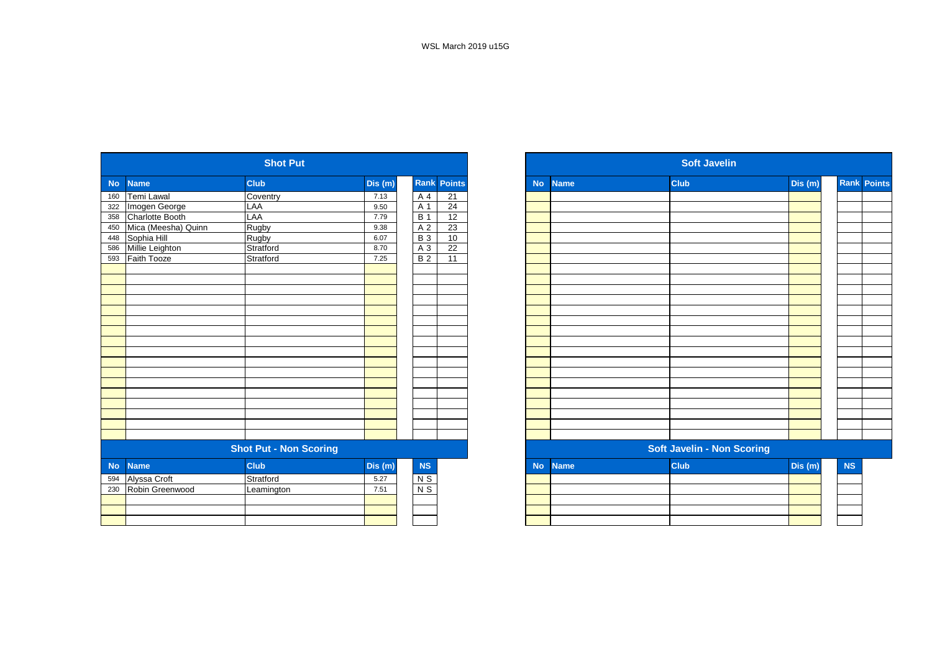| <b>Club</b><br>Rank<br><b>Points</b><br>Dis (m)<br><b>Club</b><br><b>No</b><br><b>Name</b><br><b>Name</b><br><b>No</b><br>Temi Lawal<br>Coventry<br>21<br>A 4<br>7.13<br>160<br>$\overline{24}$<br>Imogen George<br>LAA<br>9.50<br>A 1<br>322<br>Charlotte Booth<br>LAA<br>$\overline{12}$<br><b>B</b> 1<br>358<br>7.79<br>Mica (Meesha) Quinn<br>Rugby<br>A 2<br>23<br>9.38<br>450<br>Sophia Hill<br>10<br>Rugby<br><b>B3</b><br>6.07<br>448<br>Millie Leighton<br>Stratford<br>22<br>A 3<br>586<br>8.70<br>Faith Tooze<br>Stratford<br><b>B2</b><br>11<br>593<br>7.25<br><b>Shot Put - Non Scoring</b><br><b>Soft Javelin - Non Scoring</b><br><b>Club</b><br>NS<br><b>Club</b><br>Dis (m)<br>Dis (m)<br><b>No</b><br><b>Name</b><br><b>Name</b><br><b>No</b><br>Alyssa Croft<br>Stratford<br>$N$ S<br>5.27<br>594<br>$N$ S<br>Robin Greenwood<br>7.51<br>230<br>Leamington |  | <b>Shot Put</b> |  |  | <b>Soft Javelin</b> |  |         |
|-------------------------------------------------------------------------------------------------------------------------------------------------------------------------------------------------------------------------------------------------------------------------------------------------------------------------------------------------------------------------------------------------------------------------------------------------------------------------------------------------------------------------------------------------------------------------------------------------------------------------------------------------------------------------------------------------------------------------------------------------------------------------------------------------------------------------------------------------------------------------------|--|-----------------|--|--|---------------------|--|---------|
|                                                                                                                                                                                                                                                                                                                                                                                                                                                                                                                                                                                                                                                                                                                                                                                                                                                                               |  |                 |  |  |                     |  | Dis (m) |
|                                                                                                                                                                                                                                                                                                                                                                                                                                                                                                                                                                                                                                                                                                                                                                                                                                                                               |  |                 |  |  |                     |  |         |
|                                                                                                                                                                                                                                                                                                                                                                                                                                                                                                                                                                                                                                                                                                                                                                                                                                                                               |  |                 |  |  |                     |  |         |
|                                                                                                                                                                                                                                                                                                                                                                                                                                                                                                                                                                                                                                                                                                                                                                                                                                                                               |  |                 |  |  |                     |  |         |
|                                                                                                                                                                                                                                                                                                                                                                                                                                                                                                                                                                                                                                                                                                                                                                                                                                                                               |  |                 |  |  |                     |  |         |
|                                                                                                                                                                                                                                                                                                                                                                                                                                                                                                                                                                                                                                                                                                                                                                                                                                                                               |  |                 |  |  |                     |  |         |
|                                                                                                                                                                                                                                                                                                                                                                                                                                                                                                                                                                                                                                                                                                                                                                                                                                                                               |  |                 |  |  |                     |  |         |
|                                                                                                                                                                                                                                                                                                                                                                                                                                                                                                                                                                                                                                                                                                                                                                                                                                                                               |  |                 |  |  |                     |  |         |
|                                                                                                                                                                                                                                                                                                                                                                                                                                                                                                                                                                                                                                                                                                                                                                                                                                                                               |  |                 |  |  |                     |  |         |
|                                                                                                                                                                                                                                                                                                                                                                                                                                                                                                                                                                                                                                                                                                                                                                                                                                                                               |  |                 |  |  |                     |  |         |
|                                                                                                                                                                                                                                                                                                                                                                                                                                                                                                                                                                                                                                                                                                                                                                                                                                                                               |  |                 |  |  |                     |  |         |
|                                                                                                                                                                                                                                                                                                                                                                                                                                                                                                                                                                                                                                                                                                                                                                                                                                                                               |  |                 |  |  |                     |  |         |
|                                                                                                                                                                                                                                                                                                                                                                                                                                                                                                                                                                                                                                                                                                                                                                                                                                                                               |  |                 |  |  |                     |  |         |
|                                                                                                                                                                                                                                                                                                                                                                                                                                                                                                                                                                                                                                                                                                                                                                                                                                                                               |  |                 |  |  |                     |  |         |
|                                                                                                                                                                                                                                                                                                                                                                                                                                                                                                                                                                                                                                                                                                                                                                                                                                                                               |  |                 |  |  |                     |  |         |
|                                                                                                                                                                                                                                                                                                                                                                                                                                                                                                                                                                                                                                                                                                                                                                                                                                                                               |  |                 |  |  |                     |  |         |
|                                                                                                                                                                                                                                                                                                                                                                                                                                                                                                                                                                                                                                                                                                                                                                                                                                                                               |  |                 |  |  |                     |  |         |
|                                                                                                                                                                                                                                                                                                                                                                                                                                                                                                                                                                                                                                                                                                                                                                                                                                                                               |  |                 |  |  |                     |  |         |
|                                                                                                                                                                                                                                                                                                                                                                                                                                                                                                                                                                                                                                                                                                                                                                                                                                                                               |  |                 |  |  |                     |  |         |
|                                                                                                                                                                                                                                                                                                                                                                                                                                                                                                                                                                                                                                                                                                                                                                                                                                                                               |  |                 |  |  |                     |  |         |
|                                                                                                                                                                                                                                                                                                                                                                                                                                                                                                                                                                                                                                                                                                                                                                                                                                                                               |  |                 |  |  |                     |  |         |
|                                                                                                                                                                                                                                                                                                                                                                                                                                                                                                                                                                                                                                                                                                                                                                                                                                                                               |  |                 |  |  |                     |  |         |
|                                                                                                                                                                                                                                                                                                                                                                                                                                                                                                                                                                                                                                                                                                                                                                                                                                                                               |  |                 |  |  |                     |  |         |
|                                                                                                                                                                                                                                                                                                                                                                                                                                                                                                                                                                                                                                                                                                                                                                                                                                                                               |  |                 |  |  |                     |  |         |
|                                                                                                                                                                                                                                                                                                                                                                                                                                                                                                                                                                                                                                                                                                                                                                                                                                                                               |  |                 |  |  |                     |  |         |
|                                                                                                                                                                                                                                                                                                                                                                                                                                                                                                                                                                                                                                                                                                                                                                                                                                                                               |  |                 |  |  |                     |  |         |
|                                                                                                                                                                                                                                                                                                                                                                                                                                                                                                                                                                                                                                                                                                                                                                                                                                                                               |  |                 |  |  |                     |  |         |
|                                                                                                                                                                                                                                                                                                                                                                                                                                                                                                                                                                                                                                                                                                                                                                                                                                                                               |  |                 |  |  |                     |  |         |
|                                                                                                                                                                                                                                                                                                                                                                                                                                                                                                                                                                                                                                                                                                                                                                                                                                                                               |  |                 |  |  |                     |  |         |
|                                                                                                                                                                                                                                                                                                                                                                                                                                                                                                                                                                                                                                                                                                                                                                                                                                                                               |  |                 |  |  |                     |  |         |
|                                                                                                                                                                                                                                                                                                                                                                                                                                                                                                                                                                                                                                                                                                                                                                                                                                                                               |  |                 |  |  |                     |  |         |
|                                                                                                                                                                                                                                                                                                                                                                                                                                                                                                                                                                                                                                                                                                                                                                                                                                                                               |  |                 |  |  |                     |  |         |

|            |                     | <b>Shot Put</b>               |         |            |                    | <b>Soft Javelin</b> |             |                                   |         |           |                    |  |
|------------|---------------------|-------------------------------|---------|------------|--------------------|---------------------|-------------|-----------------------------------|---------|-----------|--------------------|--|
| <b>No</b>  | <b>Name</b>         | <b>Club</b>                   | Dis (m) |            | <b>Rank Points</b> | <b>No</b>           | <b>Name</b> | <b>Club</b>                       | Dis (m) |           | <b>Rank Points</b> |  |
| 160        | Temi Lawal          | Coventry                      | 7.13    | A 4        | $\overline{21}$    |                     |             |                                   |         |           |                    |  |
| 322        | Imogen George       | LAA                           | 9.50    | A 1        | 24                 |                     |             |                                   |         |           |                    |  |
| 358        | Charlotte Booth     | LAA                           | 7.79    | <b>B</b> 1 | 12                 |                     |             |                                   |         |           |                    |  |
| 450        | Mica (Meesha) Quinn | Rugby                         | 9.38    | A 2        | 23                 |                     |             |                                   |         |           |                    |  |
| 448        | Sophia Hill         | Rugby                         | 6.07    | <b>B3</b>  | 10                 |                     |             |                                   |         |           |                    |  |
| 586        | Millie Leighton     | Stratford                     | 8.70    | A 3        | 22                 |                     |             |                                   |         |           |                    |  |
| 593        | Faith Tooze         | Stratford                     | 7.25    | <b>B2</b>  | 11                 |                     |             |                                   |         |           |                    |  |
|            |                     |                               |         |            |                    |                     |             |                                   |         |           |                    |  |
|            |                     |                               |         |            |                    |                     |             |                                   |         |           |                    |  |
|            |                     |                               |         |            |                    |                     |             |                                   |         |           |                    |  |
|            |                     |                               |         |            |                    |                     |             |                                   |         |           |                    |  |
|            |                     |                               |         |            |                    |                     |             |                                   |         |           |                    |  |
|            |                     |                               |         |            |                    |                     |             |                                   |         |           |                    |  |
|            |                     |                               |         |            |                    |                     |             |                                   |         |           |                    |  |
|            |                     |                               |         |            |                    |                     |             |                                   |         |           |                    |  |
|            |                     |                               |         |            |                    |                     |             |                                   |         |           |                    |  |
|            |                     |                               |         |            |                    |                     |             |                                   |         |           |                    |  |
|            |                     |                               |         |            |                    |                     |             |                                   |         |           |                    |  |
|            |                     |                               |         |            |                    |                     |             |                                   |         |           |                    |  |
|            |                     |                               |         |            |                    |                     |             |                                   |         |           |                    |  |
|            |                     |                               |         |            |                    |                     |             |                                   |         |           |                    |  |
|            |                     |                               |         |            |                    |                     |             |                                   |         |           |                    |  |
|            |                     |                               |         |            |                    |                     |             |                                   |         |           |                    |  |
|            |                     |                               |         |            |                    |                     |             |                                   |         |           |                    |  |
|            |                     | <b>Shot Put - Non Scoring</b> |         |            |                    |                     |             | <b>Soft Javelin - Non Scoring</b> |         |           |                    |  |
| <b>No</b>  | <b>Name</b>         | <b>Club</b>                   | Dis (m) | <b>NS</b>  |                    | <b>No</b>           | <b>Name</b> | <b>Club</b>                       | Dis(m)  | <b>NS</b> |                    |  |
| 594<br>230 | Alyssa Croft        | Stratford                     | 5.27    | $N$ S      |                    |                     |             |                                   |         |           |                    |  |
|            | Robin Greenwood     | Leamington                    | 7.51    | $N$ S      |                    |                     |             |                                   |         |           |                    |  |
|            |                     |                               |         |            |                    |                     |             |                                   |         |           |                    |  |
|            |                     |                               |         |            |                    |                     |             |                                   |         |           |                    |  |
|            |                     |                               |         |            |                    |                     |             |                                   |         |           |                    |  |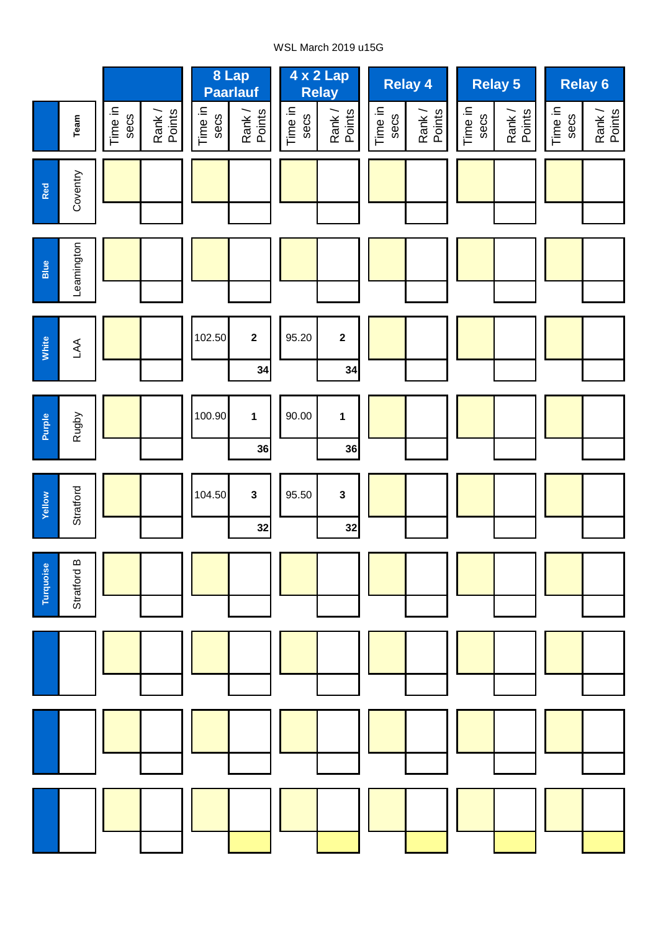## WSL March 2019 u15G

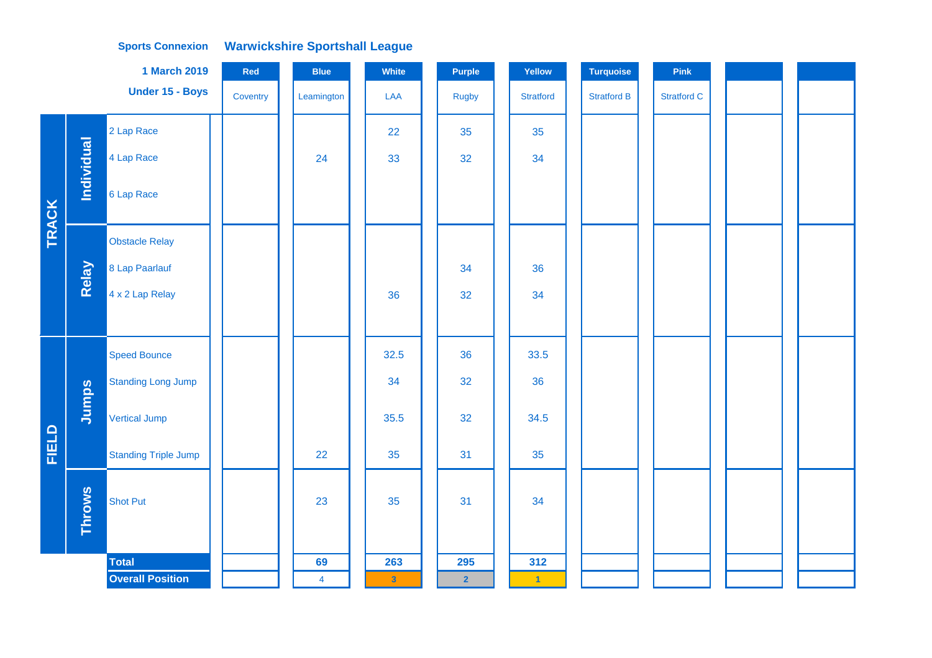## **Warwickshire Sportshall League Sports Connexion**

|              |                   | <b>1 March 2019</b>         | Red      | <b>Blue</b>    | White                   | <b>Purple</b>  | Yellow               | <b>Turquoise</b>   | Pink               |  |
|--------------|-------------------|-----------------------------|----------|----------------|-------------------------|----------------|----------------------|--------------------|--------------------|--|
|              |                   | Under 15 - Boys             | Coventry | Leamington     | LAA                     | Rugby          | <b>Stratford</b>     | <b>Stratford B</b> | <b>Stratford C</b> |  |
|              |                   | 2 Lap Race                  |          |                | 22                      | 35             | 35                   |                    |                    |  |
|              | <b>Individual</b> | 4 Lap Race                  |          | 24             | 33                      | 32             | 34                   |                    |                    |  |
| <b>TRACK</b> |                   | 6 Lap Race                  |          |                |                         |                |                      |                    |                    |  |
|              |                   | <b>Obstacle Relay</b>       |          |                |                         |                |                      |                    |                    |  |
|              | Relay             | 8 Lap Paarlauf              |          |                |                         | 34             | 36                   |                    |                    |  |
|              |                   | 4 x 2 Lap Relay             |          |                | 36                      | 32             | 34                   |                    |                    |  |
|              |                   |                             |          |                |                         |                |                      |                    |                    |  |
|              |                   | <b>Speed Bounce</b>         |          |                | 32.5                    | 36             | 33.5                 |                    |                    |  |
|              |                   | <b>Standing Long Jump</b>   |          |                | 34                      | 32             | 36                   |                    |                    |  |
|              | Jumps             | <b>Vertical Jump</b>        |          |                | 35.5                    | 32             | 34.5                 |                    |                    |  |
| <b>FIELD</b> |                   | <b>Standing Triple Jump</b> |          | 22             | 35                      | 31             | 35                   |                    |                    |  |
|              | <b>Throws</b>     | <b>Shot Put</b>             |          | 23             | 35                      | 31             | 34                   |                    |                    |  |
|              |                   | <b>Total</b>                |          | 69             | 263                     | 295            | 312                  |                    |                    |  |
|              |                   | <b>Overall Position</b>     |          | $\overline{4}$ | $\overline{\mathbf{3}}$ | $\overline{2}$ | $\blacktriangleleft$ |                    |                    |  |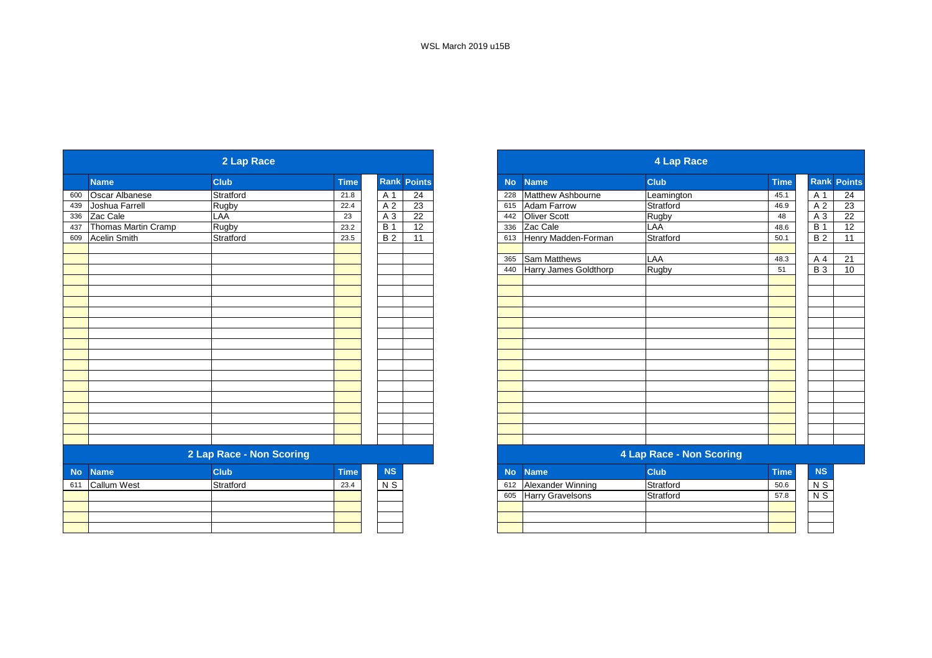| 2 Lap Race |                          |              |             |                  |                    |  |  |
|------------|--------------------------|--------------|-------------|------------------|--------------------|--|--|
|            | <b>Name</b>              | <b>Club</b>  | <b>Time</b> |                  | <b>Rank Points</b> |  |  |
|            | Oscar Albanese           | Stratford    | 21.8        | A 1              | 24                 |  |  |
|            | Joshua Farrell           | <b>Rugby</b> | 22.4        | A <sub>2</sub>   | 23                 |  |  |
| 336        | Zac Cale                 | LAA          | 23          | $A_3$            | $\overline{22}$    |  |  |
| 437        | Thomas Martin Cramp      | <b>Rugby</b> | 23.2        | $\overline{B}$ 1 | 12                 |  |  |
| 609        | <b>Acelin Smith</b>      | Stratford    | 23.5        | <b>B2</b>        | 11                 |  |  |
|            |                          |              |             |                  |                    |  |  |
|            |                          |              |             |                  |                    |  |  |
|            |                          |              |             |                  |                    |  |  |
|            |                          |              |             |                  |                    |  |  |
|            |                          |              |             |                  |                    |  |  |
|            |                          |              |             |                  |                    |  |  |
|            |                          |              |             |                  |                    |  |  |
|            |                          |              |             |                  |                    |  |  |
|            |                          |              |             |                  |                    |  |  |
|            |                          |              |             |                  |                    |  |  |
|            |                          |              |             |                  |                    |  |  |
|            |                          |              |             |                  |                    |  |  |
|            |                          |              |             |                  |                    |  |  |
|            | 2 Lap Race - Non Scoring |              |             |                  |                    |  |  |
| <b>No</b>  | <b>Name</b>              | <b>Club</b>  | <b>Time</b> | NS               |                    |  |  |
| 611        | <b>Callum West</b>       | Stratford    | 23.4        | N <sub>S</sub>   |                    |  |  |
|            |                          |              |             |                  |                    |  |  |
|            |                          |              |             |                  |                    |  |  |
|            |                          |              |             |                  |                    |  |  |

|                     | 2 Lap Race               |             |            |                    |           | 4 Lap Race |                       |                          |             |                    |                 |  |  |
|---------------------|--------------------------|-------------|------------|--------------------|-----------|------------|-----------------------|--------------------------|-------------|--------------------|-----------------|--|--|
| <b>Name</b>         | <b>Club</b>              | <b>Time</b> |            | <b>Rank Points</b> | <b>No</b> |            | <b>Name</b>           | <b>Club</b>              | <b>Time</b> | <b>Rank Points</b> |                 |  |  |
| Oscar Albanese      | Stratford                | 21.8        | A 1        | 24                 | 228       |            | Matthew Ashbourne     | Leamington               | 45.1        | A 1                | 24              |  |  |
| Joshua Farrell      | Rugby                    | 22.4        | A 2        | $\overline{23}$    | 615       |            | Adam Farrow           | Stratford                | 46.9        | A 2                | $\overline{23}$ |  |  |
| Zac Cale            | LAA                      | 23          | A 3        | 22                 | 442       |            | Oliver Scott          | Rugby                    | 48          | A 3                | 22              |  |  |
| Thomas Martin Cramp | Rugby                    | 23.2        | <b>B</b> 1 | 12                 | 336       |            | Zac Cale              | LAA                      | 48.6        | $\overline{B}$ 1   | 12              |  |  |
| Acelin Smith        | Stratford                | 23.5        | <b>B</b> 2 | 11                 | 613       |            | Henry Madden-Forman   | Stratford                | 50.1        | <b>B2</b>          | 11              |  |  |
|                     |                          |             |            |                    |           |            |                       |                          |             |                    |                 |  |  |
|                     |                          |             |            |                    | 365       |            | <b>Sam Matthews</b>   | LAA                      | 48.3        | A 4                | 21              |  |  |
|                     |                          |             |            |                    | 440       |            | Harry James Goldthorp | Rugby                    | 51          | $B_3$              | 10              |  |  |
|                     |                          |             |            |                    |           |            |                       |                          |             |                    |                 |  |  |
|                     |                          |             |            |                    |           |            |                       |                          |             |                    |                 |  |  |
|                     |                          |             |            |                    |           |            |                       |                          |             |                    |                 |  |  |
|                     |                          |             |            |                    |           |            |                       |                          |             |                    |                 |  |  |
|                     |                          |             |            |                    |           |            |                       |                          |             |                    |                 |  |  |
|                     |                          |             |            |                    |           |            |                       |                          |             |                    |                 |  |  |
|                     |                          |             |            |                    |           |            |                       |                          |             |                    |                 |  |  |
|                     |                          |             |            |                    |           |            |                       |                          |             |                    |                 |  |  |
|                     |                          |             |            |                    |           |            |                       |                          |             |                    |                 |  |  |
|                     |                          |             |            |                    |           |            |                       |                          |             |                    |                 |  |  |
|                     |                          |             |            |                    |           |            |                       |                          |             |                    |                 |  |  |
|                     |                          |             |            |                    |           |            |                       |                          |             |                    |                 |  |  |
|                     |                          |             |            |                    |           |            |                       |                          |             |                    |                 |  |  |
|                     |                          |             |            |                    |           |            |                       |                          |             |                    |                 |  |  |
|                     |                          |             |            |                    |           |            |                       |                          |             |                    |                 |  |  |
|                     |                          |             |            |                    |           |            |                       |                          |             |                    |                 |  |  |
|                     | 2 Lap Race - Non Scoring |             |            |                    |           |            |                       | 4 Lap Race - Non Scoring |             |                    |                 |  |  |

| <b>NS</b> | <b>No</b> | Mame <sup>1</sup>       | <b>Club</b> | <b>Time</b> | <b>NS</b> |
|-----------|-----------|-------------------------|-------------|-------------|-----------|
| ۷S        | 612       | Alexander Winning       | Stratford   | 50.6        | N S       |
|           | 605       | <b>Harry Gravelsons</b> | Stratford   | 57.8        | N S       |
|           |           |                         |             |             |           |
|           |           |                         |             |             |           |
|           |           |                         |             |             |           |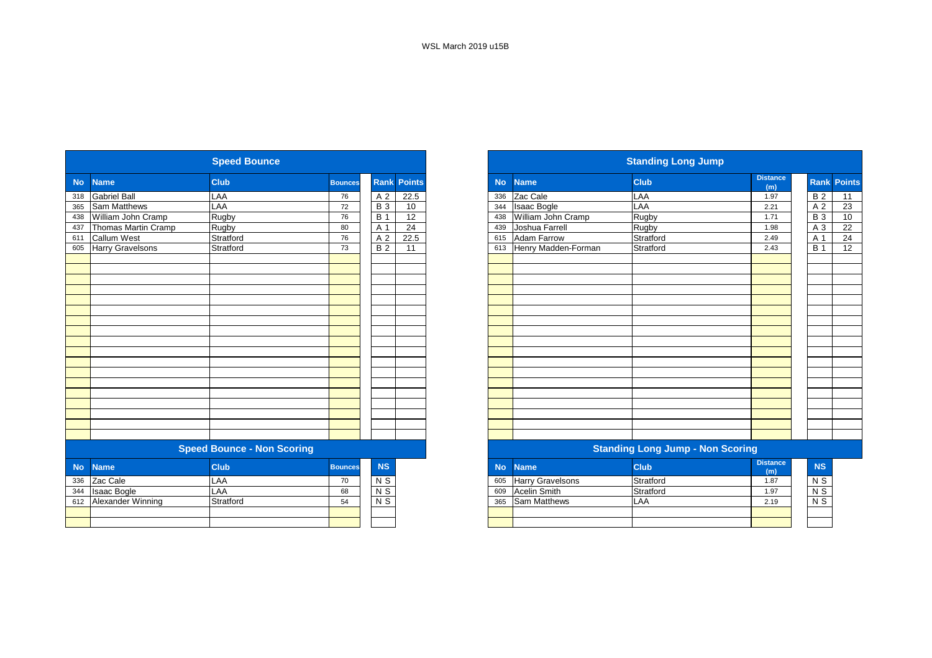|           |                          |                                   |                |                  |                    | <b>Standing Long Jump</b> |                     |                                         |                        |
|-----------|--------------------------|-----------------------------------|----------------|------------------|--------------------|---------------------------|---------------------|-----------------------------------------|------------------------|
| <b>No</b> | <b>Name</b>              | Club                              | <b>Bounces</b> |                  | <b>Rank Points</b> | <b>No</b>                 | <b>Name</b>         | <b>Club</b>                             | <b>Distance</b><br>(m) |
| 318       | <b>Gabriel Ball</b>      | LAA                               | 76             | A 2              | 22.5               | 336                       | Zac Cale            | <b>LAA</b>                              | 1.97                   |
| 365       | <b>Sam Matthews</b>      | LAA                               | 72             | $\overline{B}$ 3 | 10                 | 344                       | <b>Isaac Bogle</b>  | LAA                                     | 2.21                   |
| 438       | William John Cramp       | Rugby                             | 76             | <b>B</b> 1       | $\overline{12}$    | 438                       | William John Cramp  | Rugby                                   | 1.71                   |
| 437       | Thomas Martin Cramp      | Rugby                             | 80             | A 1              | 24                 | 439                       | Joshua Farrell      | Rugby                                   | 1.98                   |
| 611       | <b>Callum West</b>       | Stratford                         | 76             | A 2              | 22.5               | 615                       | Adam Farrow         | Stratford                               | 2.49                   |
| 605       | <b>Harry Gravelsons</b>  | Stratford                         | 73             | $\overline{B2}$  | 11                 | 613                       | Henry Madden-Forman | Stratford                               | 2.43                   |
|           |                          |                                   |                |                  |                    |                           |                     |                                         |                        |
|           |                          |                                   |                |                  |                    |                           |                     |                                         |                        |
|           |                          |                                   |                |                  |                    |                           |                     |                                         |                        |
|           |                          |                                   |                |                  |                    |                           |                     |                                         |                        |
|           |                          |                                   |                |                  |                    |                           |                     |                                         |                        |
|           |                          |                                   |                |                  |                    |                           |                     |                                         |                        |
|           |                          |                                   |                |                  |                    |                           |                     |                                         |                        |
|           |                          |                                   |                |                  |                    |                           |                     |                                         |                        |
|           |                          |                                   |                |                  |                    |                           |                     |                                         |                        |
|           |                          |                                   |                |                  |                    |                           |                     |                                         |                        |
|           |                          |                                   |                |                  |                    |                           |                     |                                         |                        |
|           |                          |                                   |                |                  |                    |                           |                     |                                         |                        |
|           |                          |                                   |                |                  |                    |                           |                     |                                         |                        |
|           |                          |                                   |                |                  |                    |                           |                     |                                         |                        |
|           |                          | <b>Speed Bounce - Non Scoring</b> |                |                  |                    |                           |                     | <b>Standing Long Jump - Non Scoring</b> |                        |
|           |                          |                                   |                |                  |                    |                           |                     |                                         |                        |
| <b>No</b> | <b>Name</b>              | <b>Club</b>                       | <b>Bounces</b> | <b>NS</b>        |                    | <b>No</b>                 | <b>Name</b>         | Club                                    | <b>Distance</b><br>(m) |
| 336       | Zac Cale                 | LAA                               | 70             | N <sub>S</sub>   |                    | 605                       | Harry Gravelsons    | Stratford                               | 1.87                   |
| 344       | <b>Isaac Bogle</b>       | LAA                               | 68             | $N$ S            |                    | 609                       | <b>Acelin Smith</b> | Stratford                               | 1.97                   |
| 612       | <b>Alexander Winning</b> | Stratford                         | 54             | $N$ S            |                    | 365                       | Sam Matthews        | <b>LAA</b>                              | 2.19                   |
|           |                          |                                   |                |                  |                    |                           |                     |                                         |                        |
|           |                          |                                   |                |                  |                    |                           |                     |                                         |                        |

|           |                         | <b>Speed Bounce</b>               |                |                |                    |           | <b>Standing Long Jump</b>               |             |                        |                    |    |  |  |  |  |
|-----------|-------------------------|-----------------------------------|----------------|----------------|--------------------|-----------|-----------------------------------------|-------------|------------------------|--------------------|----|--|--|--|--|
| <b>No</b> | <b>Name</b>             | <b>Club</b>                       | <b>Bounces</b> |                | <b>Rank Points</b> | <b>No</b> | <b>Name</b>                             | <b>Club</b> | <b>Distance</b><br>(m) | <b>Rank Points</b> |    |  |  |  |  |
| 318       | <b>Gabriel Ball</b>     | LAA                               | 76             | A 2            | 22.5               | 336       | Zac Cale                                | LAA         | 1.97                   | <b>B2</b>          | 11 |  |  |  |  |
| 365       | <b>Sam Matthews</b>     | LAA                               | 72             | <b>B</b> 3     | 10                 | 344       | <b>Isaac Bogle</b>                      | LAA         | 2.21                   | A 2                | 23 |  |  |  |  |
| 438       | William John Cramp      | Rugby                             | 76             | <b>B</b> 1     | 12                 | 438       | William John Cramp                      | Rugby       | 1.71                   | <b>B</b> 3         | 10 |  |  |  |  |
| 437       | Thomas Martin Cramp     | Rugby                             | 80             | A 1            | 24                 | 439       | Joshua Farrell                          | Rugby       | 1.98                   | A 3                |    |  |  |  |  |
| 611       | <b>Callum West</b>      | Stratford                         | 76             | A 2            | 22.5               | 615       | Adam Farrow                             | Stratford   | 2.49                   | A 1                |    |  |  |  |  |
| 605       | <b>Harry Gravelsons</b> | Stratford                         | 73             | <b>B2</b>      | 11                 | 613       | Henry Madden-Forman                     | Stratford   | 2.43                   | <b>B</b> 1         | 12 |  |  |  |  |
|           |                         |                                   |                |                |                    |           |                                         |             |                        |                    |    |  |  |  |  |
|           |                         |                                   |                |                |                    |           |                                         |             |                        |                    |    |  |  |  |  |
|           |                         |                                   |                |                |                    |           |                                         |             |                        |                    |    |  |  |  |  |
|           |                         |                                   |                |                |                    |           |                                         |             |                        |                    |    |  |  |  |  |
|           |                         |                                   |                |                |                    |           |                                         |             |                        |                    |    |  |  |  |  |
|           |                         |                                   |                |                |                    |           |                                         |             |                        |                    |    |  |  |  |  |
|           |                         |                                   |                |                |                    |           |                                         |             |                        |                    |    |  |  |  |  |
|           |                         |                                   |                |                |                    |           |                                         |             |                        |                    |    |  |  |  |  |
|           |                         |                                   |                |                |                    |           |                                         |             |                        |                    |    |  |  |  |  |
|           |                         |                                   |                |                |                    |           |                                         |             |                        |                    |    |  |  |  |  |
|           |                         |                                   |                |                |                    |           |                                         |             |                        |                    |    |  |  |  |  |
|           |                         |                                   |                |                |                    |           |                                         |             |                        |                    |    |  |  |  |  |
|           |                         |                                   |                |                |                    |           |                                         |             |                        |                    |    |  |  |  |  |
|           |                         |                                   |                |                |                    |           |                                         |             |                        |                    |    |  |  |  |  |
|           |                         |                                   |                |                |                    |           |                                         |             |                        |                    |    |  |  |  |  |
|           |                         | <b>Speed Bounce - Non Scoring</b> |                |                |                    |           | <b>Standing Long Jump - Non Scoring</b> |             |                        |                    |    |  |  |  |  |
| <b>No</b> | <b>Name</b>             | <b>Club</b>                       | <b>Bounces</b> | <b>NS</b>      |                    | <b>No</b> | <b>Name</b>                             | <b>Club</b> | <b>Distance</b><br>(m) | <b>NS</b>          |    |  |  |  |  |
| 336       | Zac Cale                | LAA                               | 70             | N <sub>S</sub> |                    | 605       | <b>Harry Gravelsons</b>                 | Stratford   | 1.87                   | N S                |    |  |  |  |  |
| 344       | <b>Isaac Bogle</b>      | LAA                               | 68             | $N$ S          |                    | 609       | <b>Acelin Smith</b>                     | Stratford   | 1.97                   | $N$ S              |    |  |  |  |  |
| 612       | Alexander Winning       | Stratford                         | 54             | N <sub>S</sub> |                    | 365       | <b>Sam Matthews</b>                     | LAA         | 2.19                   | $N$ S              |    |  |  |  |  |
|           |                         |                                   |                |                |                    |           |                                         |             |                        |                    |    |  |  |  |  |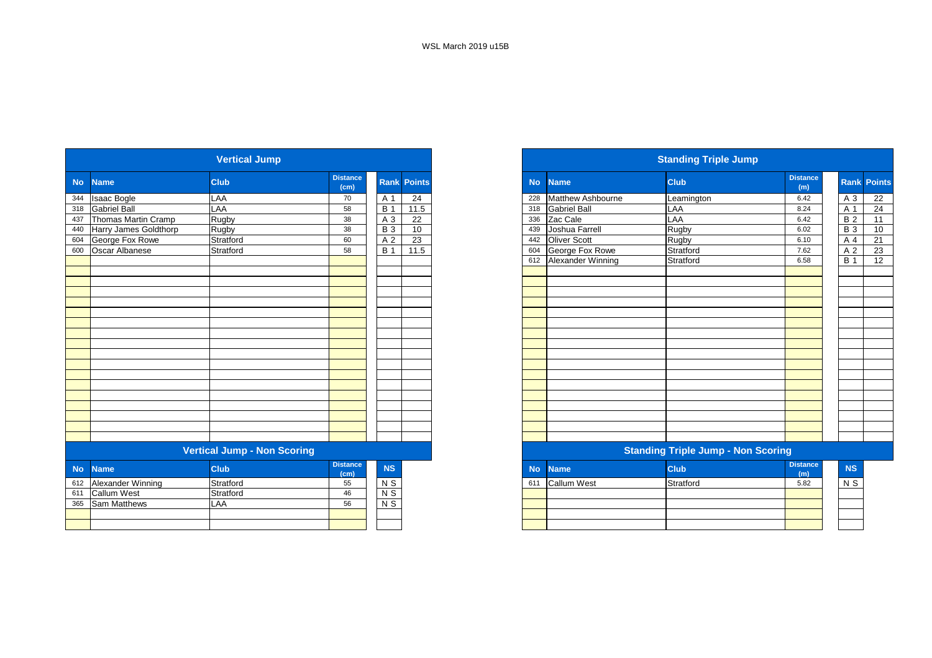| <b>Name</b>           |                     |                                                           |             |                 | <b>Standing Triple Jump</b> |                          |                                                                                                                  |                        |                                           |                                |
|-----------------------|---------------------|-----------------------------------------------------------|-------------|-----------------|-----------------------------|--------------------------|------------------------------------------------------------------------------------------------------------------|------------------------|-------------------------------------------|--------------------------------|
|                       | <b>Club</b>         | <b>Distance</b><br>(cm)                                   | <b>Rank</b> | <b>Points</b>   | <b>No</b>                   | <b>Name</b>              | <b>Club</b>                                                                                                      | <b>Distance</b><br>(m) | Rank Po                                   |                                |
| <b>Isaac Bogle</b>    | LAA                 | 70                                                        | A 1         | $\overline{24}$ | 228                         | <b>Matthew Ashbourne</b> | Leamington                                                                                                       | 6.42                   | A 3                                       |                                |
| <b>Gabriel Ball</b>   |                     | 58                                                        | <b>B</b> 1  | 11.5            | 318                         |                          | LAA                                                                                                              | 8.24                   | A 1                                       |                                |
|                       | Rugby               | 38                                                        | A 3         | 22              |                             |                          |                                                                                                                  | 6.42                   | <b>B2</b>                                 |                                |
| Harry James Goldthorp |                     | 38                                                        | <b>B</b> 3  | 10              |                             |                          | Rugby                                                                                                            | 6.02                   |                                           |                                |
| George Fox Rowe       | Stratford           | 60                                                        | A 2         | 23              | 442                         |                          |                                                                                                                  | 6.10                   | A 4                                       |                                |
| Oscar Albanese        | Stratford           | 58                                                        | <b>B</b> 1  | 11.5            | 604                         |                          | Stratford                                                                                                        | 7.62                   | A 2                                       |                                |
|                       |                     |                                                           |             |                 | 612                         |                          | Stratford                                                                                                        | 6.58                   | $\overline{B}$ 1                          |                                |
|                       |                     |                                                           |             |                 |                             |                          |                                                                                                                  |                        |                                           |                                |
|                       |                     |                                                           |             |                 |                             |                          |                                                                                                                  |                        |                                           |                                |
|                       |                     |                                                           |             |                 |                             |                          |                                                                                                                  |                        |                                           |                                |
|                       |                     |                                                           |             |                 |                             |                          |                                                                                                                  |                        |                                           |                                |
|                       |                     |                                                           |             |                 |                             |                          |                                                                                                                  |                        |                                           |                                |
|                       |                     |                                                           |             |                 |                             |                          |                                                                                                                  |                        |                                           |                                |
|                       |                     |                                                           |             |                 |                             |                          |                                                                                                                  |                        |                                           |                                |
|                       |                     |                                                           |             |                 |                             |                          |                                                                                                                  |                        |                                           |                                |
|                       |                     |                                                           |             |                 |                             |                          |                                                                                                                  |                        |                                           |                                |
|                       |                     |                                                           |             |                 |                             |                          |                                                                                                                  |                        |                                           |                                |
|                       |                     |                                                           |             |                 |                             |                          |                                                                                                                  |                        |                                           |                                |
|                       |                     |                                                           |             |                 |                             |                          |                                                                                                                  |                        |                                           |                                |
|                       |                     |                                                           |             |                 |                             |                          |                                                                                                                  |                        |                                           |                                |
|                       |                     |                                                           |             |                 |                             |                          |                                                                                                                  |                        |                                           |                                |
|                       |                     |                                                           |             |                 |                             |                          |                                                                                                                  |                        |                                           |                                |
|                       |                     |                                                           |             |                 |                             |                          |                                                                                                                  |                        |                                           |                                |
|                       |                     |                                                           |             |                 |                             |                          |                                                                                                                  |                        |                                           |                                |
|                       |                     |                                                           |             |                 |                             |                          |                                                                                                                  |                        |                                           |                                |
| <b>Name</b>           | <b>Club</b>         | <b>Distance</b><br>(cm)                                   | NS          |                 | <b>No</b>                   | <b>Name</b>              | <b>Club</b>                                                                                                      | <b>Distance</b><br>(m) |                                           |                                |
| Alexander Winning     | Stratford           | 55                                                        | $N$ S       |                 | 611                         | <b>Callum West</b>       | Stratford                                                                                                        | 5.82                   |                                           |                                |
| <b>Callum West</b>    | Stratford           | 46                                                        |             |                 |                             |                          |                                                                                                                  |                        |                                           |                                |
| Sam Matthews          | LAA                 | 56                                                        | $N$ S       |                 |                             |                          |                                                                                                                  |                        |                                           |                                |
|                       |                     |                                                           |             |                 |                             |                          |                                                                                                                  |                        |                                           |                                |
|                       |                     |                                                           |             |                 |                             |                          |                                                                                                                  |                        |                                           |                                |
|                       | Thomas Martin Cramp | LAA<br><b>Rugby</b><br><b>Vertical Jump - Non Scoring</b> |             | N <sub>S</sub>  |                             | 336<br>439               | <b>Gabriel Ball</b><br>Zac Cale<br>Joshua Farrell<br><b>Oliver Scott</b><br>George Fox Rowe<br>Alexander Winning | LAA<br>Rugby           | <b>Standing Triple Jump - Non Scoring</b> | $\overline{B}3$<br>NS<br>$N$ S |

|                           | <b>Vertical Jump</b>               |                         |            |                    |
|---------------------------|------------------------------------|-------------------------|------------|--------------------|
| No Name                   | <b>Club</b>                        | <b>Distance</b><br>(cm) |            | <b>Rank Points</b> |
| 344 Isaac Bogle           | LAA                                | 70                      | A 1        | 24                 |
| 318 Gabriel Ball          | LAA                                | 58                      | <b>B</b> 1 | 11.5               |
| 437 Thomas Martin Cramp   | Rugby                              | 38                      | A 3        | 22                 |
| 440 Harry James Goldthorp | <b>Rugby</b>                       | 38                      | <b>B</b> 3 | 10                 |
| 604 George Fox Rowe       | Stratford                          | 60                      | A 2        | 23                 |
| Oscar Albanese            | Stratford                          | 58                      | <b>B</b> 1 | 11.5               |
|                           |                                    |                         |            |                    |
|                           |                                    |                         |            |                    |
|                           |                                    |                         |            |                    |
|                           |                                    |                         |            |                    |
|                           |                                    |                         |            |                    |
|                           |                                    |                         |            |                    |
|                           |                                    |                         |            |                    |
|                           |                                    |                         |            |                    |
|                           |                                    |                         |            |                    |
|                           |                                    |                         |            |                    |
|                           |                                    |                         |            |                    |
|                           |                                    |                         |            |                    |
|                           |                                    |                         |            |                    |
|                           |                                    |                         |            |                    |
|                           |                                    |                         |            |                    |
|                           |                                    |                         |            |                    |
|                           |                                    |                         |            |                    |
|                           |                                    |                         |            |                    |
|                           | <b>Vertical Jump - Non Scoring</b> |                         |            |                    |
| March Marine Co.          | <b>CHANGE</b>                      | <b>Distance</b>         | <b>AIO</b> |                    |

| <b>stance</b><br>(cm) | <b>NS</b>      | <b>No</b> | <b>Name</b>        | <b>Club</b> | <b>Distance</b><br>(m) | <b>NS</b> |
|-----------------------|----------------|-----------|--------------------|-------------|------------------------|-----------|
| 55                    | N <sub>S</sub> | 611       | <b>Callum West</b> | Stratford   | 5.82                   | N S       |
| 46                    | N <sub>S</sub> |           |                    |             |                        |           |
| 56                    | N S            |           |                    |             |                        |           |
|                       |                |           |                    |             |                        |           |
|                       |                |           |                    |             |                        |           |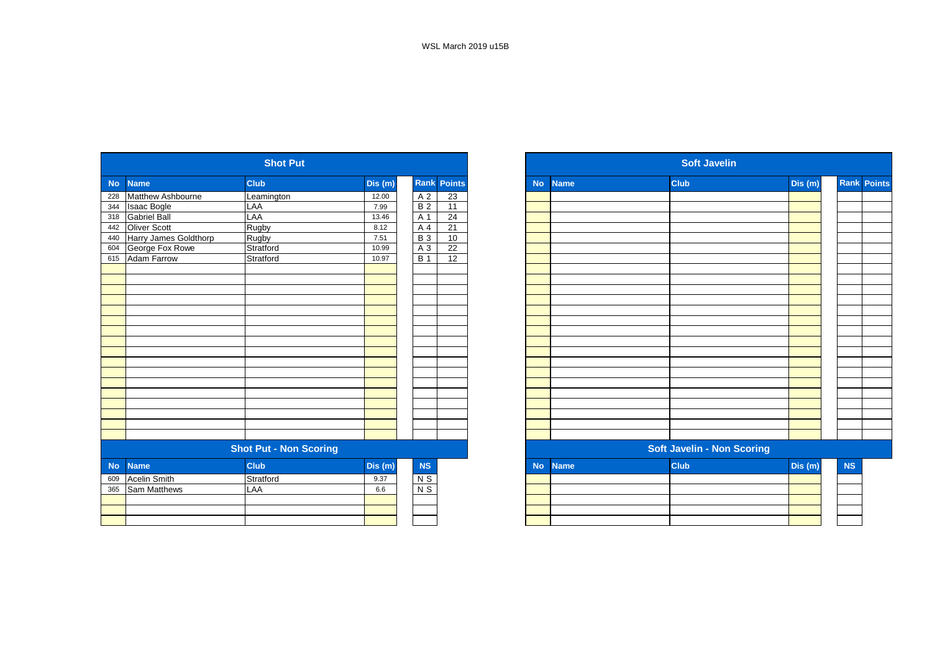| Club<br>Rank<br><b>Points</b><br>Dis(m)<br>Dis(m)<br><b>Club</b><br><b>Name</b><br><b>No</b><br><b>Name</b><br><b>No</b><br>Matthew Ashbourne<br>$\overline{23}$<br>A 2<br>228<br>12.00<br>Leamington<br>B <sub>2</sub><br>11<br>LAA<br><b>Isaac Bogle</b><br>7.99<br>344<br><b>Gabriel Ball</b><br>LAA<br>24<br>A 1<br>318<br>13.46<br><b>Oliver Scott</b><br>Rugby<br>21<br>A 4<br>442<br>8.12<br>Harry James Goldthorp<br>Rugby<br><b>B3</b><br>10<br>7.51<br>440<br>22<br>George Fox Rowe<br>Stratford<br>A 3<br>604<br>10.99<br><b>Adam Farrow</b><br>$\overline{12}$<br>Stratford<br><b>B</b> 1<br>615<br>10.97<br><b>Soft Javelin - Non Scoring</b><br><b>Shot Put - Non Scoring</b><br>Club<br>NS<br><b>Club</b><br>Dis (m)<br><b>Name</b><br><b>Name</b><br><b>No</b><br><b>No</b> |     |                     | <b>Shot Put</b> |      |       |  |  | <b>Soft Javelin</b> |  |
|---------------------------------------------------------------------------------------------------------------------------------------------------------------------------------------------------------------------------------------------------------------------------------------------------------------------------------------------------------------------------------------------------------------------------------------------------------------------------------------------------------------------------------------------------------------------------------------------------------------------------------------------------------------------------------------------------------------------------------------------------------------------------------------------|-----|---------------------|-----------------|------|-------|--|--|---------------------|--|
|                                                                                                                                                                                                                                                                                                                                                                                                                                                                                                                                                                                                                                                                                                                                                                                             |     |                     |                 |      |       |  |  |                     |  |
|                                                                                                                                                                                                                                                                                                                                                                                                                                                                                                                                                                                                                                                                                                                                                                                             |     |                     |                 |      |       |  |  |                     |  |
|                                                                                                                                                                                                                                                                                                                                                                                                                                                                                                                                                                                                                                                                                                                                                                                             |     |                     |                 |      |       |  |  |                     |  |
|                                                                                                                                                                                                                                                                                                                                                                                                                                                                                                                                                                                                                                                                                                                                                                                             |     |                     |                 |      |       |  |  |                     |  |
|                                                                                                                                                                                                                                                                                                                                                                                                                                                                                                                                                                                                                                                                                                                                                                                             |     |                     |                 |      |       |  |  |                     |  |
|                                                                                                                                                                                                                                                                                                                                                                                                                                                                                                                                                                                                                                                                                                                                                                                             |     |                     |                 |      |       |  |  |                     |  |
|                                                                                                                                                                                                                                                                                                                                                                                                                                                                                                                                                                                                                                                                                                                                                                                             |     |                     |                 |      |       |  |  |                     |  |
|                                                                                                                                                                                                                                                                                                                                                                                                                                                                                                                                                                                                                                                                                                                                                                                             |     |                     |                 |      |       |  |  |                     |  |
|                                                                                                                                                                                                                                                                                                                                                                                                                                                                                                                                                                                                                                                                                                                                                                                             |     |                     |                 |      |       |  |  |                     |  |
|                                                                                                                                                                                                                                                                                                                                                                                                                                                                                                                                                                                                                                                                                                                                                                                             |     |                     |                 |      |       |  |  |                     |  |
| Dis (m)                                                                                                                                                                                                                                                                                                                                                                                                                                                                                                                                                                                                                                                                                                                                                                                     |     |                     |                 |      |       |  |  |                     |  |
|                                                                                                                                                                                                                                                                                                                                                                                                                                                                                                                                                                                                                                                                                                                                                                                             |     |                     |                 |      |       |  |  |                     |  |
|                                                                                                                                                                                                                                                                                                                                                                                                                                                                                                                                                                                                                                                                                                                                                                                             |     |                     |                 |      |       |  |  |                     |  |
|                                                                                                                                                                                                                                                                                                                                                                                                                                                                                                                                                                                                                                                                                                                                                                                             |     |                     |                 |      |       |  |  |                     |  |
|                                                                                                                                                                                                                                                                                                                                                                                                                                                                                                                                                                                                                                                                                                                                                                                             |     |                     |                 |      |       |  |  |                     |  |
|                                                                                                                                                                                                                                                                                                                                                                                                                                                                                                                                                                                                                                                                                                                                                                                             |     |                     |                 |      |       |  |  |                     |  |
|                                                                                                                                                                                                                                                                                                                                                                                                                                                                                                                                                                                                                                                                                                                                                                                             |     |                     |                 |      |       |  |  |                     |  |
|                                                                                                                                                                                                                                                                                                                                                                                                                                                                                                                                                                                                                                                                                                                                                                                             |     |                     |                 |      |       |  |  |                     |  |
|                                                                                                                                                                                                                                                                                                                                                                                                                                                                                                                                                                                                                                                                                                                                                                                             |     |                     |                 |      |       |  |  |                     |  |
|                                                                                                                                                                                                                                                                                                                                                                                                                                                                                                                                                                                                                                                                                                                                                                                             |     |                     |                 |      |       |  |  |                     |  |
|                                                                                                                                                                                                                                                                                                                                                                                                                                                                                                                                                                                                                                                                                                                                                                                             |     |                     |                 |      |       |  |  |                     |  |
|                                                                                                                                                                                                                                                                                                                                                                                                                                                                                                                                                                                                                                                                                                                                                                                             |     |                     |                 |      |       |  |  |                     |  |
|                                                                                                                                                                                                                                                                                                                                                                                                                                                                                                                                                                                                                                                                                                                                                                                             |     |                     |                 |      |       |  |  |                     |  |
|                                                                                                                                                                                                                                                                                                                                                                                                                                                                                                                                                                                                                                                                                                                                                                                             |     |                     |                 |      |       |  |  |                     |  |
|                                                                                                                                                                                                                                                                                                                                                                                                                                                                                                                                                                                                                                                                                                                                                                                             |     |                     |                 |      |       |  |  |                     |  |
|                                                                                                                                                                                                                                                                                                                                                                                                                                                                                                                                                                                                                                                                                                                                                                                             |     |                     |                 |      |       |  |  |                     |  |
|                                                                                                                                                                                                                                                                                                                                                                                                                                                                                                                                                                                                                                                                                                                                                                                             |     |                     |                 |      |       |  |  |                     |  |
|                                                                                                                                                                                                                                                                                                                                                                                                                                                                                                                                                                                                                                                                                                                                                                                             | 609 | <b>Acelin Smith</b> | Stratford       | 9.37 | $N$ S |  |  |                     |  |
| Sam Matthews<br>$N$ S<br>LAA<br>365<br>6.6                                                                                                                                                                                                                                                                                                                                                                                                                                                                                                                                                                                                                                                                                                                                                  |     |                     |                 |      |       |  |  |                     |  |
|                                                                                                                                                                                                                                                                                                                                                                                                                                                                                                                                                                                                                                                                                                                                                                                             |     |                     |                 |      |       |  |  |                     |  |
|                                                                                                                                                                                                                                                                                                                                                                                                                                                                                                                                                                                                                                                                                                                                                                                             |     |                     |                 |      |       |  |  |                     |  |
|                                                                                                                                                                                                                                                                                                                                                                                                                                                                                                                                                                                                                                                                                                                                                                                             |     |                     |                 |      |       |  |  |                     |  |

|                   |                       | <b>Shot Put</b>               |         |                  |                    |
|-------------------|-----------------------|-------------------------------|---------|------------------|--------------------|
| No.<br>228<br>344 | <b>Name</b>           | <b>Club</b>                   | Dis (m) |                  | <b>Rank Points</b> |
|                   | Matthew Ashbourne     | Leamington                    | 12.00   | A 2              | 23                 |
|                   | <b>Isaac Bogle</b>    | LAA                           | 7.99    | <b>B2</b>        | 11                 |
|                   | <b>Gabriel Ball</b>   | LAA                           | 13.46   | A 1              | 24                 |
|                   | Oliver Scott          | Rugby                         | 8.12    | A 4              | 21                 |
|                   | Harry James Goldthorp | Rugby                         | 7.51    | <b>B</b> 3       | 10                 |
|                   | George Fox Rowe       | Stratford                     | 10.99   | A 3              | 22                 |
| 615               | Adam Farrow           | Stratford                     | 10.97   | $\overline{B}$ 1 | 12                 |
|                   |                       |                               |         |                  |                    |
|                   |                       |                               |         |                  |                    |
|                   |                       |                               |         |                  |                    |
|                   |                       |                               |         |                  |                    |
|                   |                       |                               |         |                  |                    |
|                   |                       |                               |         |                  |                    |
|                   |                       |                               |         |                  |                    |
|                   |                       |                               |         |                  |                    |
|                   |                       |                               |         |                  |                    |
|                   |                       |                               |         |                  |                    |
|                   |                       |                               |         |                  |                    |
|                   |                       |                               |         |                  |                    |
|                   |                       |                               |         |                  |                    |
|                   |                       |                               |         |                  |                    |
|                   |                       |                               |         |                  |                    |
|                   |                       |                               |         |                  |                    |
|                   |                       |                               |         |                  |                    |
|                   |                       | <b>Shot Put - Non Scoring</b> |         |                  |                    |
| No                | <b>Name</b>           | <b>Club</b>                   | Dis(m)  | NS               |                    |
| 609               | <b>Acelin Smith</b>   | Stratford                     | 9.37    | $N$ S            |                    |
| 365               | Sam Matthews          | LAA                           | 6.6     | $N$ S            |                    |
|                   |                       |                               |         |                  |                    |
|                   |                       |                               |         |                  |                    |
|                   |                       |                               |         |                  |                    |